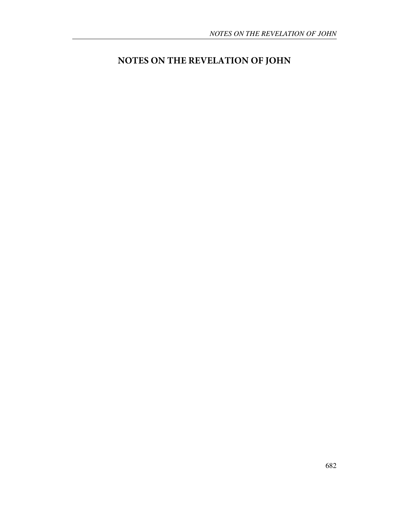## **NOTES ON THE REVELATION OF JOHN**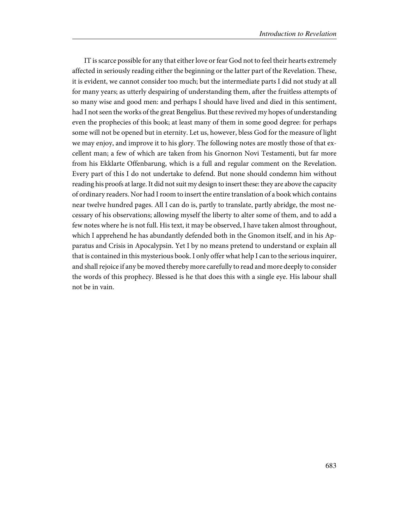IT is scarce possible for any that either love or fear God not to feel their hearts extremely affected in seriously reading either the beginning or the latter part of the Revelation. These, it is evident, we cannot consider too much; but the intermediate parts I did not study at all for many years; as utterly despairing of understanding them, after the fruitless attempts of so many wise and good men: and perhaps I should have lived and died in this sentiment, had I not seen the works of the great Bengelius. But these revived my hopes of understanding even the prophecies of this book; at least many of them in some good degree: for perhaps some will not be opened but in eternity. Let us, however, bless God for the measure of light we may enjoy, and improve it to his glory. The following notes are mostly those of that excellent man; a few of which are taken from his Gnornon Novi Testamenti, but far more from his Ekklarte Offenbarung, which is a full and regular comment on the Revelation. Every part of this I do not undertake to defend. But none should condemn him without reading his proofs at large. It did not suit my design to insert these: they are above the capacity of ordinary readers. Nor had I room to insert the entire translation of a book which contains near twelve hundred pages. All I can do is, partly to translate, partly abridge, the most necessary of his observations; allowing myself the liberty to alter some of them, and to add a few notes where he is not full. His text, it may be observed, I have taken almost throughout, which I apprehend he has abundantly defended both in the Gnomon itself, and in his Apparatus and Crisis in Apocalypsin. Yet I by no means pretend to understand or explain all that is contained in this mysterious book. I only offer what help I can to the serious inquirer, and shall rejoice if any be moved thereby more carefully to read and more deeply to consider the words of this prophecy. Blessed is he that does this with a single eye. His labour shall not be in vain.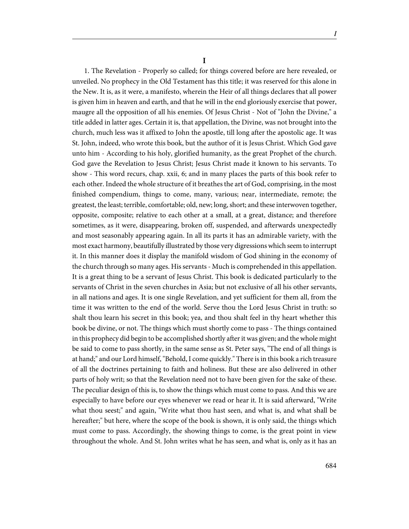**I**

1. The Revelation - Properly so called; for things covered before are here revealed, or unveiled. No prophecy in the Old Testament has this title; it was reserved for this alone in the New. It is, as it were, a manifesto, wherein the Heir of all things declares that all power is given him in heaven and earth, and that he will in the end gloriously exercise that power, maugre all the opposition of all his enemies. Of Jesus Christ - Not of "John the Divine," a title added in latter ages. Certain it is, that appellation, the Divine, was not brought into the church, much less was it affixed to John the apostle, till long after the apostolic age. It was St. John, indeed, who wrote this book, but the author of it is Jesus Christ. Which God gave unto him - According to his holy, glorified humanity, as the great Prophet of the church. God gave the Revelation to Jesus Christ; Jesus Christ made it known to his servants. To show - This word recurs, chap. xxii, 6; and in many places the parts of this book refer to each other. Indeed the whole structure of it breathes the art of God, comprising, in the most finished compendium, things to come, many, various; near, intermediate, remote; the greatest, the least; terrible, comfortable; old, new; long, short; and these interwoven together, opposite, composite; relative to each other at a small, at a great, distance; and therefore sometimes, as it were, disappearing, broken off, suspended, and afterwards unexpectedly and most seasonably appearing again. In all its parts it has an admirable variety, with the most exact harmony, beautifully illustrated by those very digressions which seem to interrupt it. In this manner does it display the manifold wisdom of God shining in the economy of the church through so many ages. His servants - Much is comprehended in this appellation. It is a great thing to be a servant of Jesus Christ. This book is dedicated particularly to the servants of Christ in the seven churches in Asia; but not exclusive of all his other servants, in all nations and ages. It is one single Revelation, and yet sufficient for them all, from the time it was written to the end of the world. Serve thou the Lord Jesus Christ in truth: so shalt thou learn his secret in this book; yea, and thou shalt feel in thy heart whether this book be divine, or not. The things which must shortly come to pass - The things contained in this prophecy did begin to be accomplished shortly after it was given; and the whole might be said to come to pass shortly, in the same sense as St. Peter says, "The end of all things is at hand;" and our Lord himself, "Behold, I come quickly." There is in this book a rich treasure of all the doctrines pertaining to faith and holiness. But these are also delivered in other parts of holy writ; so that the Revelation need not to have been given for the sake of these. The peculiar design of this is, to show the things which must come to pass. And this we are especially to have before our eyes whenever we read or hear it. It is said afterward, "Write what thou seest;" and again, "Write what thou hast seen, and what is, and what shall be hereafter;" but here, where the scope of the book is shown, it is only said, the things which must come to pass. Accordingly, the showing things to come, is the great point in view throughout the whole. And St. John writes what he has seen, and what is, only as it has an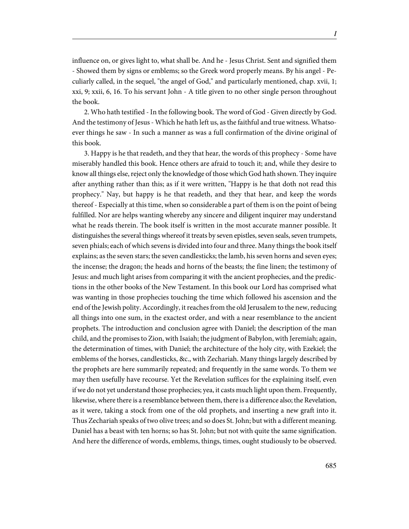xxi, 9; xxii, 6, 16. To his servant John - A title given to no other single person throughout the book.

2. Who hath testified - In the following book. The word of God - Given directly by God. And the testimony of Jesus - Which he hath left us, as the faithful and true witness. Whatsoever things he saw - In such a manner as was a full confirmation of the divine original of this book.

3. Happy is he that readeth, and they that hear, the words of this prophecy - Some have miserably handled this book. Hence others are afraid to touch it; and, while they desire to know all things else, reject only the knowledge of those which God hath shown. They inquire after anything rather than this; as if it were written, "Happy is he that doth not read this prophecy." Nay, but happy is he that readeth, and they that hear, and keep the words thereof - Especially at this time, when so considerable a part of them is on the point of being fulfilled. Nor are helps wanting whereby any sincere and diligent inquirer may understand what he reads therein. The book itself is written in the most accurate manner possible. It distinguishes the several things whereof it treats by seven epistles, seven seals, seven trumpets, seven phials; each of which sevens is divided into four and three. Many things the book itself explains; as the seven stars; the seven candlesticks; the lamb, his seven horns and seven eyes; the incense; the dragon; the heads and horns of the beasts; the fine linen; the testimony of Jesus: and much light arises from comparing it with the ancient prophecies, and the predictions in the other books of the New Testament. In this book our Lord has comprised what was wanting in those prophecies touching the time which followed his ascension and the end of the Jewish polity. Accordingly, it reaches from the old Jerusalem to the new, reducing all things into one sum, in the exactest order, and with a near resemblance to the ancient prophets. The introduction and conclusion agree with Daniel; the description of the man child, and the promises to Zion, with Isaiah; the judgment of Babylon, with Jeremiah; again, the determination of times, with Daniel; the architecture of the holy city, with Ezekiel; the emblems of the horses, candlesticks, &c., with Zechariah. Many things largely described by the prophets are here summarily repeated; and frequently in the same words. To them we may then usefully have recourse. Yet the Revelation suffices for the explaining itself, even if we do not yet understand those prophecies; yea, it casts much light upon them. Frequently, likewise, where there is a resemblance between them, there is a difference also; the Revelation, as it were, taking a stock from one of the old prophets, and inserting a new graft into it. Thus Zechariah speaks of two olive trees; and so does St. John; but with a different meaning. Daniel has a beast with ten horns; so has St. John; but not with quite the same signification. And here the difference of words, emblems, things, times, ought studiously to be observed.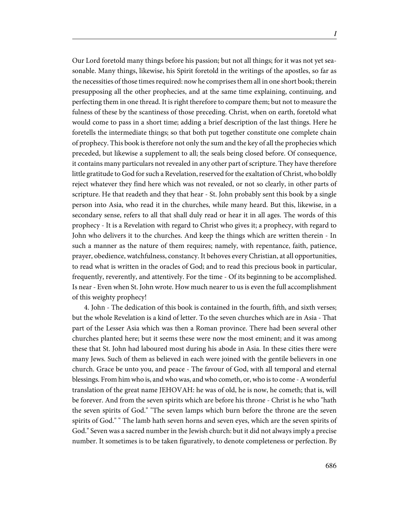Our Lord foretold many things before his passion; but not all things; for it was not yet seasonable. Many things, likewise, his Spirit foretold in the writings of the apostles, so far as the necessities of those times required: now he comprises them all in one short book; therein presupposing all the other prophecies, and at the same time explaining, continuing, and perfecting them in one thread. It is right therefore to compare them; but not to measure the fulness of these by the scantiness of those preceding. Christ, when on earth, foretold what would come to pass in a short time; adding a brief description of the last things. Here he foretells the intermediate things; so that both put together constitute one complete chain of prophecy. This book is therefore not only the sum and the key of all the prophecies which preceded, but likewise a supplement to all; the seals being closed before. Of consequence, it contains many particulars not revealed in any other part of scripture. They have therefore little gratitude to God for such a Revelation, reserved for the exaltation of Christ, who boldly reject whatever they find here which was not revealed, or not so clearly, in other parts of scripture. He that readeth and they that hear - St. John probably sent this book by a single person into Asia, who read it in the churches, while many heard. But this, likewise, in a secondary sense, refers to all that shall duly read or hear it in all ages. The words of this prophecy - It is a Revelation with regard to Christ who gives it; a prophecy, with regard to John who delivers it to the churches. And keep the things which are written therein - In such a manner as the nature of them requires; namely, with repentance, faith, patience, prayer, obedience, watchfulness, constancy. It behoves every Christian, at all opportunities, to read what is written in the oracles of God; and to read this precious book in particular, frequently, reverently, and attentively. For the time - Of its beginning to be accomplished. Is near - Even when St. John wrote. How much nearer to us is even the full accomplishment of this weighty prophecy!

4. John - The dedication of this book is contained in the fourth, fifth, and sixth verses; but the whole Revelation is a kind of letter. To the seven churches which are in Asia - That part of the Lesser Asia which was then a Roman province. There had been several other churches planted here; but it seems these were now the most eminent; and it was among these that St. John had laboured most during his abode in Asia. In these cities there were many Jews. Such of them as believed in each were joined with the gentile believers in one church. Grace be unto you, and peace - The favour of God, with all temporal and eternal blessings. From him who is, and who was, and who cometh, or, who is to come - A wonderful translation of the great name JEHOVAH: he was of old, he is now, he cometh; that is, will be forever. And from the seven spirits which are before his throne - Christ is he who "hath the seven spirits of God." "The seven lamps which burn before the throne are the seven spirits of God." " The lamb hath seven horns and seven eyes, which are the seven spirits of God." Seven was a sacred number in the Jewish church: but it did not always imply a precise number. It sometimes is to be taken figuratively, to denote completeness or perfection. By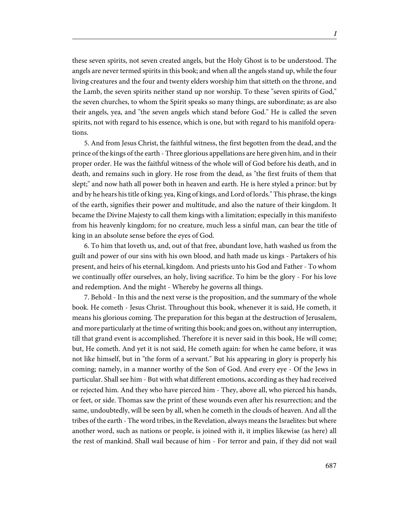these seven spirits, not seven created angels, but the Holy Ghost is to be understood. The angels are never termed spirits in this book; and when all the angels stand up, while the four living creatures and the four and twenty elders worship him that sitteth on the throne, and the Lamb, the seven spirits neither stand up nor worship. To these "seven spirits of God," the seven churches, to whom the Spirit speaks so many things, are subordinate; as are also their angels, yea, and "the seven angels which stand before God." He is called the seven spirits, not with regard to his essence, which is one, but with regard to his manifold operations.

5. And from Jesus Christ, the faithful witness, the first begotten from the dead, and the prince of the kings of the earth - Three glorious appellations are here given him, and in their proper order. He was the faithful witness of the whole will of God before his death, and in death, and remains such in glory. He rose from the dead, as "the first fruits of them that slept;" and now hath all power both in heaven and earth. He is here styled a prince: but by and by he hears his title of king; yea, King of kings, and Lord of lords." This phrase, the kings of the earth, signifies their power and multitude, and also the nature of their kingdom. It became the Divine Majesty to call them kings with a limitation; especially in this manifesto from his heavenly kingdom; for no creature, much less a sinful man, can bear the title of king in an absolute sense before the eyes of God.

6. To him that loveth us, and, out of that free, abundant love, hath washed us from the guilt and power of our sins with his own blood, and hath made us kings - Partakers of his present, and heirs of his eternal, kingdom. And priests unto his God and Father - To whom we continually offer ourselves, an holy, living sacrifice. To him be the glory - For his love and redemption. And the might - Whereby he governs all things.

7. Behold - In this and the next verse is the proposition, and the summary of the whole book. He cometh - Jesus Christ. Throughout this book, whenever it is said, He cometh, it means his glorious coming. The preparation for this began at the destruction of Jerusalem, and more particularly at the time of writing this book; and goes on, without any interruption, till that grand event is accomplished. Therefore it is never said in this book, He will come; but, He cometh. And yet it is not said, He cometh again: for when he came before, it was not like himself, but in "the form of a servant." But his appearing in glory is properly his coming; namely, in a manner worthy of the Son of God. And every eye - Of the Jews in particular. Shall see him - But with what different emotions, according as they had received or rejected him. And they who have pierced him - They, above all, who pierced his hands, or feet, or side. Thomas saw the print of these wounds even after his resurrection; and the same, undoubtedly, will be seen by all, when he cometh in the clouds of heaven. And all the tribes of the earth - The word tribes, in the Revelation, always means the Israelites: but where another word, such as nations or people, is joined with it, it implies likewise (as here) all the rest of mankind. Shall wail because of him - For terror and pain, if they did not wail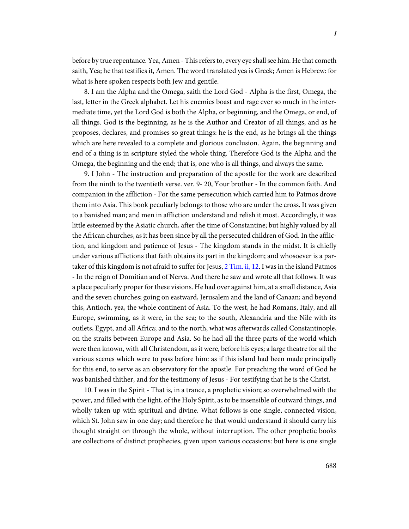before by true repentance. Yea, Amen - This refers to, every eye shall see him. He that cometh saith, Yea; he that testifies it, Amen. The word translated yea is Greek; Amen is Hebrew: for what is here spoken respects both Jew and gentile.

8. I am the Alpha and the Omega, saith the Lord God - Alpha is the first, Omega, the last, letter in the Greek alphabet. Let his enemies boast and rage ever so much in the intermediate time, yet the Lord God is both the Alpha, or beginning, and the Omega, or end, of all things. God is the beginning, as he is the Author and Creator of all things, and as he proposes, declares, and promises so great things: he is the end, as he brings all the things which are here revealed to a complete and glorious conclusion. Again, the beginning and end of a thing is in scripture styled the whole thing. Therefore God is the Alpha and the Omega, the beginning and the end; that is, one who is all things, and always the same.

9. I John - The instruction and preparation of the apostle for the work are described from the ninth to the twentieth verse. ver. 9- 20, Your brother - In the common faith. And companion in the affliction - For the same persecution which carried him to Patmos drove them into Asia. This book peculiarly belongs to those who are under the cross. It was given to a banished man; and men in affliction understand and relish it most. Accordingly, it was little esteemed by the Asiatic church, after the time of Constantine; but highly valued by all the African churches, as it has been since by all the persecuted children of God. In the affliction, and kingdom and patience of Jesus - The kingdom stands in the midst. It is chiefly under various afflictions that faith obtains its part in the kingdom; and whosoever is a partaker of this kingdom is not afraid to suffer for Jesus, [2 Tim. ii, 12.](http://www.ccel.org/study/Bible:2Tim.2.12) I was in the island Patmos - In the reign of Domitian and of Nerva. And there he saw and wrote all that follows. It was a place peculiarly proper for these visions. He had over against him, at a small distance, Asia and the seven churches; going on eastward, Jerusalem and the land of Canaan; and beyond this, Antioch, yea, the whole continent of Asia. To the west, he had Romans, Italy, and all Europe, swimming, as it were, in the sea; to the south, Alexandria and the Nile with its outlets, Egypt, and all Africa; and to the north, what was afterwards called Constantinople, on the straits between Europe and Asia. So he had all the three parts of the world which were then known, with all Christendom, as it were, before his eyes; a large theatre for all the various scenes which were to pass before him: as if this island had been made principally for this end, to serve as an observatory for the apostle. For preaching the word of God he was banished thither, and for the testimony of Jesus - For testifying that he is the Christ.

10. I was in the Spirit - That is, in a trance, a prophetic vision; so overwhelmed with the power, and filled with the light, of the Holy Spirit, as to be insensible of outward things, and wholly taken up with spiritual and divine. What follows is one single, connected vision, which St. John saw in one day; and therefore he that would understand it should carry his thought straight on through the whole, without interruption. The other prophetic books are collections of distinct prophecies, given upon various occasions: but here is one single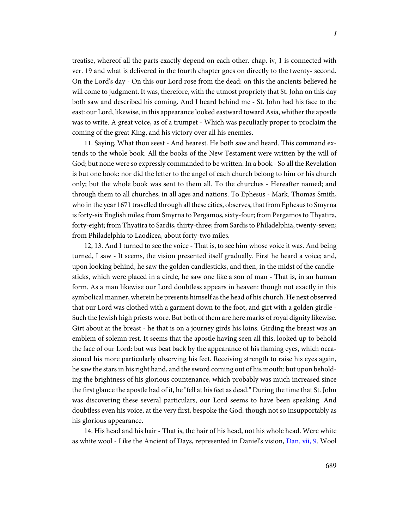treatise, whereof all the parts exactly depend on each other. chap. iv, 1 is connected with ver. 19 and what is delivered in the fourth chapter goes on directly to the twenty- second. On the Lord's day - On this our Lord rose from the dead: on this the ancients believed he will come to judgment. It was, therefore, with the utmost propriety that St. John on this day both saw and described his coming. And I heard behind me - St. John had his face to the east: our Lord, likewise, in this appearance looked eastward toward Asia, whither the apostle was to write. A great voice, as of a trumpet - Which was peculiarly proper to proclaim the coming of the great King, and his victory over all his enemies.

11. Saying, What thou seest - And hearest. He both saw and heard. This command extends to the whole book. All the books of the New Testament were written by the will of God; but none were so expressly commanded to be written. In a book - So all the Revelation is but one book: nor did the letter to the angel of each church belong to him or his church only; but the whole book was sent to them all. To the churches - Hereafter named; and through them to all churches, in all ages and nations. To Ephesus - Mark. Thomas Smith, who in the year 1671 travelled through all these cities, observes, that from Ephesus to Smyrna is forty-six English miles; from Smyrna to Pergamos, sixty-four; from Pergamos to Thyatira, forty-eight; from Thyatira to Sardis, thirty-three; from Sardis to Philadelphia, twenty-seven; from Philadelphia to Laodicea, about forty-two miles.

12, 13. And I turned to see the voice - That is, to see him whose voice it was. And being turned, I saw - It seems, the vision presented itself gradually. First he heard a voice; and, upon looking behind, he saw the golden candlesticks, and then, in the midst of the candlesticks, which were placed in a circle, he saw one like a son of man - That is, in an human form. As a man likewise our Lord doubtless appears in heaven: though not exactly in this symbolical manner, wherein he presents himself as the head of his church. He next observed that our Lord was clothed with a garment down to the foot, and girt with a golden girdle - Such the Jewish high priests wore. But both of them are here marks of royal dignity likewise. Girt about at the breast - he that is on a journey girds his loins. Girding the breast was an emblem of solemn rest. It seems that the apostle having seen all this, looked up to behold the face of our Lord: but was beat back by the appearance of his flaming eyes, which occasioned his more particularly observing his feet. Receiving strength to raise his eyes again, he saw the stars in his right hand, and the sword coming out of his mouth: but upon beholding the brightness of his glorious countenance, which probably was much increased since the first glance the apostle had of it, he "fell at his feet as dead." During the time that St. John was discovering these several particulars, our Lord seems to have been speaking. And doubtless even his voice, at the very first, bespoke the God: though not so insupportably as his glorious appearance.

14. His head and his hair - That is, the hair of his head, not his whole head. Were white as white wool - Like the Ancient of Days, represented in Daniel's vision, [Dan. vii, 9](http://www.ccel.org/study/Bible:Dan.7.9). Wool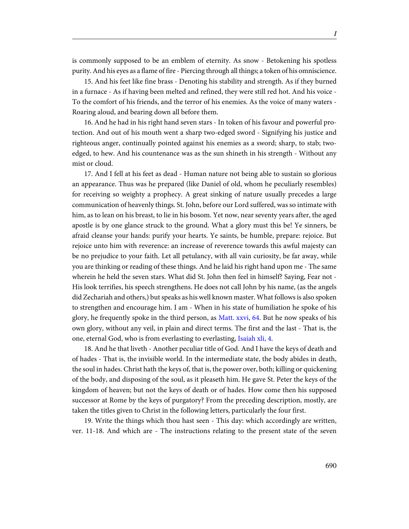is commonly supposed to be an emblem of eternity. As snow - Betokening his spotless purity. And his eyes as a flame of fire - Piercing through all things; a token of his omniscience.

15. And his feet like fine brass - Denoting his stability and strength. As if they burned in a furnace - As if having been melted and refined, they were still red hot. And his voice - To the comfort of his friends, and the terror of his enemies. As the voice of many waters - Roaring aloud, and bearing down all before them.

16. And he had in his right hand seven stars - In token of his favour and powerful protection. And out of his mouth went a sharp two-edged sword - Signifying his justice and righteous anger, continually pointed against his enemies as a sword; sharp, to stab; twoedged, to hew. And his countenance was as the sun shineth in his strength - Without any mist or cloud.

17. And I fell at his feet as dead - Human nature not being able to sustain so glorious an appearance. Thus was he prepared (like Daniel of old, whom he peculiarly resembles) for receiving so weighty a prophecy. A great sinking of nature usually precedes a large communication of heavenly things. St. John, before our Lord suffered, was so intimate with him, as to lean on his breast, to lie in his bosom. Yet now, near seventy years after, the aged apostle is by one glance struck to the ground. What a glory must this be! Ye sinners, be afraid cleanse your hands: purify your hearts. Ye saints, be humble, prepare: rejoice. But rejoice unto him with reverence: an increase of reverence towards this awful majesty can be no prejudice to your faith. Let all petulancy, with all vain curiosity, be far away, while you are thinking or reading of these things. And he laid his right hand upon me - The same wherein he held the seven stars. What did St. John then feel in himself? Saying, Fear not - His look terrifies, his speech strengthens. He does not call John by his name, (as the angels did Zechariah and others,) but speaks as his well known master. What follows is also spoken to strengthen and encourage him. I am - When in his state of humiliation he spoke of his glory, he frequently spoke in the third person, as [Matt. xxvi, 64](http://www.ccel.org/study/Bible:Matt.26.64). But he now speaks of his own glory, without any veil, in plain and direct terms. The first and the last - That is, the one, eternal God, who is from everlasting to everlasting, [Isaiah xli, 4](http://www.ccel.org/study/Bible:Isa.41.4).

18. And he that liveth - Another peculiar title of God. And I have the keys of death and of hades - That is, the invisible world. In the intermediate state, the body abides in death, the soul in hades. Christ hath the keys of, that is, the power over, both; killing or quickening of the body, and disposing of the soul, as it pleaseth him. He gave St. Peter the keys of the kingdom of heaven; but not the keys of death or of hades. How come then his supposed successor at Rome by the keys of purgatory? From the preceding description, mostly, are taken the titles given to Christ in the following letters, particularly the four first.

19. Write the things which thou hast seen - This day: which accordingly are written, ver. 11-18. And which are - The instructions relating to the present state of the seven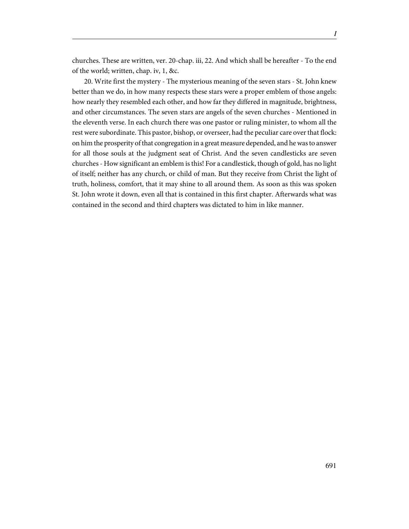churches. These are written, ver. 20-chap. iii, 22. And which shall be hereafter - To the end of the world; written, chap. iv, 1, &c.

20. Write first the mystery - The mysterious meaning of the seven stars - St. John knew better than we do, in how many respects these stars were a proper emblem of those angels: how nearly they resembled each other, and how far they differed in magnitude, brightness, and other circumstances. The seven stars are angels of the seven churches - Mentioned in the eleventh verse. In each church there was one pastor or ruling minister, to whom all the rest were subordinate. This pastor, bishop, or overseer, had the peculiar care over that flock: on him the prosperity of that congregation in a great measure depended, and he was to answer for all those souls at the judgment seat of Christ. And the seven candlesticks are seven churches - How significant an emblem is this! For a candlestick, though of gold, has no light of itself; neither has any church, or child of man. But they receive from Christ the light of truth, holiness, comfort, that it may shine to all around them. As soon as this was spoken St. John wrote it down, even all that is contained in this first chapter. Afterwards what was contained in the second and third chapters was dictated to him in like manner.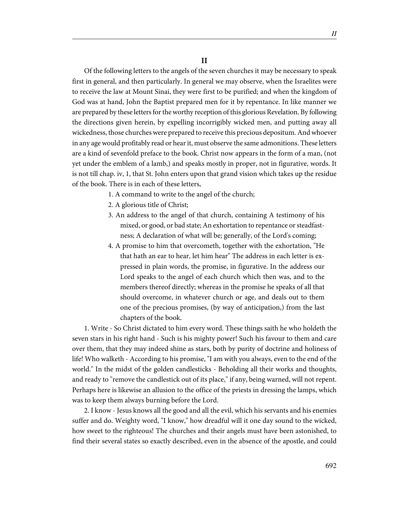Of the following letters to the angels of the seven churches it may be necessary to speak first in general, and then particularly. In general we may observe, when the Israelites were to receive the law at Mount Sinai, they were first to be purified; and when the kingdom of God was at hand, John the Baptist prepared men for it by repentance. In like manner we are prepared by these letters for the worthy reception of this glorious Revelation. By following the directions given herein, by expelling incorrigibly wicked men, and putting away all wickedness, those churches were prepared to receive this precious depositum. And whoever in any age would profitably read or hear it, must observe the same admonitions. These letters are a kind of sevenfold preface to the book. Christ now appears in the form of a man, (not yet under the emblem of a lamb,) and speaks mostly in proper, not in figurative, words. It is not till chap. iv, 1, that St. John enters upon that grand vision which takes up the residue of the book. There is in each of these letters,

- 1. A command to write to the angel of the church;
- 2. A glorious title of Christ;
- 3. An address to the angel of that church, containing A testimony of his mixed, or good, or bad state; An exhortation to repentance or steadfastness; A declaration of what will be; generally, of the Lord's coming;
- 4. A promise to him that overcometh, together with the exhortation, "He that hath an ear to hear, let him hear" The address in each letter is expressed in plain words, the promise, in figurative. In the address our Lord speaks to the angel of each church which then was, and to the members thereof directly; whereas in the promise he speaks of all that should overcome, in whatever church or age, and deals out to them one of the precious promises, (by way of anticipation,) from the last chapters of the book.

1. Write - So Christ dictated to him every word. These things saith he who holdeth the seven stars in his right hand - Such is his mighty power! Such his favour to them and care over them, that they may indeed shine as stars, both by purity of doctrine and holiness of life! Who walketh - According to his promise, "I am with you always, even to the end of the world." In the midst of the golden candlesticks - Beholding all their works and thoughts, and ready to "remove the candlestick out of its place," if any, being warned, will not repent. Perhaps here is likewise an allusion to the office of the priests in dressing the lamps, which was to keep them always burning before the Lord.

2. I know - Jesus knows all the good and all the evil, which his servants and his enemies suffer and do. Weighty word, "I know," how dreadful will it one day sound to the wicked, how sweet to the righteous! The churches and their angels must have been astonished, to find their several states so exactly described, even in the absence of the apostle, and could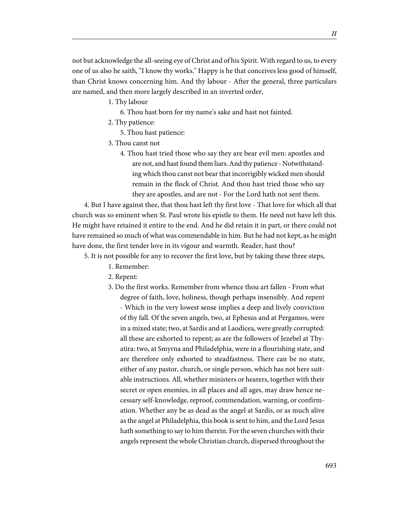not but acknowledge the all-seeing eye of Christ and of his Spirit. With regard to us, to every one of us also he saith, "I know thy works." Happy is he that conceives less good of himself, than Christ knows concerning him. And thy labour - After the general, three particulars are named, and then more largely described in an inverted order,

- 1. Thy labour
	- 6. Thou hast born for my name's sake and hast not fainted.
- 2. Thy patience:
	- 5. Thou hast patience:
- 3. Thou canst not
	- 4. Thou hast tried those who say they are bear evil men: apostles and are not, and hast found them liars. And thy patience - Notwithstanding which thou canst not bear that incorrigibly wicked men should remain in the flock of Christ. And thou hast tried those who say they are apostles, and are not - For the Lord hath not sent them.

4. But I have against thee, that thou hast left thy first love - That love for which all that church was so eminent when St. Paul wrote his epistle to them. He need not have left this. He might have retained it entire to the end. And he did retain it in part, or there could not have remained so much of what was commendable in him. But he had not kept, as he might have done, the first tender love in its vigour and warmth. Reader, hast thou?

5. It is not possible for any to recover the first love, but by taking these three steps,

- 1. Remember:
- 2. Repent:
- 3. Do the first works. Remember from whence thou art fallen From what degree of faith, love, holiness, though perhaps insensibly. And repent - Which in the very lowest sense implies a deep and lively conviction of thy fall. Of the seven angels, two, at Ephesus and at Pergamos, were in a mixed state; two, at Sardis and at Laodicea, were greatly corrupted: all these are exhorted to repent; as are the followers of Jezebel at Thyatira: two, at Smyrna and Philadelphia, were in a flourishing state, and are therefore only exhorted to steadfastness. There can be no state, either of any pastor, church, or single person, which has not here suitable instructions. All, whether ministers or hearers, together with their secret or open enemies, in all places and all ages, may draw hence necessary self-knowledge, reproof, commendation, warning, or confirmation. Whether any be as dead as the angel at Sardis, or as much alive as the angel at Philadelphia, this book is sent to him, and the Lord Jesus hath something to say to him therein. For the seven churches with their angels represent the whole Christian church, dispersed throughout the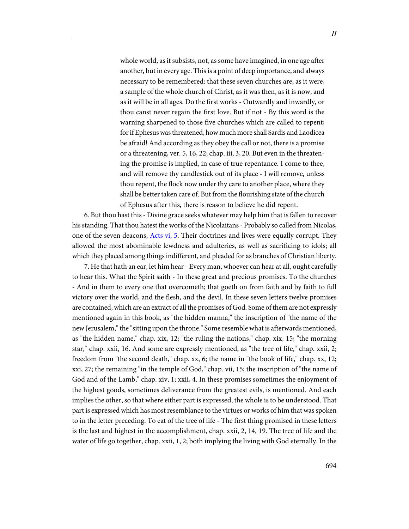whole world, as it subsists, not, as some have imagined, in one age after another, but in every age. This is a point of deep importance, and always necessary to be remembered: that these seven churches are, as it were, a sample of the whole church of Christ, as it was then, as it is now, and as it will be in all ages. Do the first works - Outwardly and inwardly, or thou canst never regain the first love. But if not - By this word is the warning sharpened to those five churches which are called to repent; for if Ephesus was threatened, how much more shall Sardis and Laodicea be afraid! And according as they obey the call or not, there is a promise or a threatening, ver. 5, 16, 22; chap. iii, 3, 20. But even in the threatening the promise is implied, in case of true repentance. I come to thee, and will remove thy candlestick out of its place - I will remove, unless thou repent, the flock now under thy care to another place, where they shall be better taken care of. But from the flourishing state of the church of Ephesus after this, there is reason to believe he did repent.

6. But thou hast this - Divine grace seeks whatever may help him that is fallen to recover his standing. That thou hatest the works of the Nicolaitans - Probably so called from Nicolas, one of the seven deacons, [Acts vi, 5.](http://www.ccel.org/study/Bible:Acts.6.5) Their doctrines and lives were equally corrupt. They allowed the most abominable lewdness and adulteries, as well as sacrificing to idols; all which they placed among things indifferent, and pleaded for as branches of Christian liberty.

7. He that hath an ear, let him hear - Every man, whoever can hear at all, ought carefully to hear this. What the Spirit saith - In these great and precious promises. To the churches - And in them to every one that overcometh; that goeth on from faith and by faith to full victory over the world, and the flesh, and the devil. In these seven letters twelve promises are contained, which are an extract of all the promises of God. Some of them are not expressly mentioned again in this book, as "the hidden manna," the inscription of "the name of the new Jerusalem," the "sitting upon the throne." Some resemble what is afterwards mentioned, as "the hidden name," chap. xix, 12; "the ruling the nations," chap. xix, 15; "the morning star," chap. xxii, 16. And some are expressly mentioned, as "the tree of life," chap. xxii, 2; freedom from "the second death," chap. xx, 6; the name in "the book of life," chap. xx, 12; xxi, 27; the remaining "in the temple of God," chap. vii, 15; the inscription of "the name of God and of the Lamb," chap. xiv, 1; xxii, 4. In these promises sometimes the enjoyment of the highest goods, sometimes deliverance from the greatest evils, is mentioned. And each implies the other, so that where either part is expressed, the whole is to be understood. That part is expressed which has most resemblance to the virtues or works of him that was spoken to in the letter preceding. To eat of the tree of life - The first thing promised in these letters is the last and highest in the accomplishment, chap. xxii, 2, 14, 19. The tree of life and the water of life go together, chap. xxii, 1, 2; both implying the living with God eternally. In the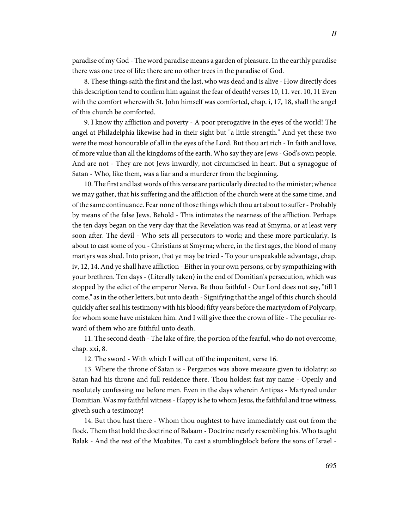paradise of my God - The word paradise means a garden of pleasure. In the earthly paradise there was one tree of life: there are no other trees in the paradise of God.

8. These things saith the first and the last, who was dead and is alive - How directly does this description tend to confirm him against the fear of death! verses 10, 11. ver. 10, 11 Even with the comfort wherewith St. John himself was comforted, chap. i, 17, 18, shall the angel of this church be comforted.

9. I know thy affliction and poverty - A poor prerogative in the eyes of the world! The angel at Philadelphia likewise had in their sight but "a little strength." And yet these two were the most honourable of all in the eyes of the Lord. But thou art rich - In faith and love, of more value than all the kingdoms of the earth. Who say they are Jews - God's own people. And are not - They are not Jews inwardly, not circumcised in heart. But a synagogue of Satan - Who, like them, was a liar and a murderer from the beginning.

10. The first and last words of this verse are particularly directed to the minister; whence we may gather, that his suffering and the affliction of the church were at the same time, and of the same continuance. Fear none of those things which thou art about to suffer - Probably by means of the false Jews. Behold - This intimates the nearness of the affliction. Perhaps the ten days began on the very day that the Revelation was read at Smyrna, or at least very soon after. The devil - Who sets all persecutors to work; and these more particularly. Is about to cast some of you - Christians at Smyrna; where, in the first ages, the blood of many martyrs was shed. Into prison, that ye may be tried - To your unspeakable advantage, chap. iv, 12, 14. And ye shall have affliction - Either in your own persons, or by sympathizing with your brethren. Ten days - (Literally taken) in the end of Domitian's persecution, which was stopped by the edict of the emperor Nerva. Be thou faithful - Our Lord does not say, "till I come," as in the other letters, but unto death - Signifying that the angel of this church should quickly after seal his testimony with his blood; fifty years before the martyrdom of Polycarp, for whom some have mistaken him. And I will give thee the crown of life - The peculiar reward of them who are faithful unto death.

11. The second death - The lake of fire, the portion of the fearful, who do not overcome, chap. xxi, 8.

12. The sword - With which I will cut off the impenitent, verse 16.

13. Where the throne of Satan is - Pergamos was above measure given to idolatry: so Satan had his throne and full residence there. Thou holdest fast my name - Openly and resolutely confessing me before men. Even in the days wherein Antipas - Martyred under Domitian. Was my faithful witness - Happy is he to whom Jesus, the faithful and true witness, giveth such a testimony!

14. But thou hast there - Whom thou oughtest to have immediately cast out from the flock. Them that hold the doctrine of Balaam - Doctrine nearly resembling his. Who taught Balak - And the rest of the Moabites. To cast a stumblingblock before the sons of Israel -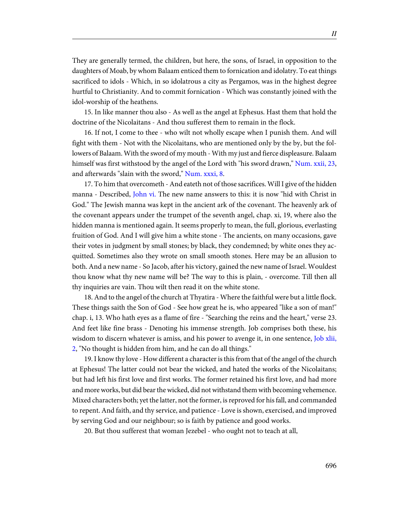They are generally termed, the children, but here, the sons, of Israel, in opposition to the daughters of Moab, by whom Balaam enticed them to fornication and idolatry. To eat things sacrificed to idols - Which, in so idolatrous a city as Pergamos, was in the highest degree hurtful to Christianity. And to commit fornication - Which was constantly joined with the idol-worship of the heathens.

15. In like manner thou also - As well as the angel at Ephesus. Hast them that hold the doctrine of the Nicolaitans - And thou sufferest them to remain in the flock.

16. If not, I come to thee - who wilt not wholly escape when I punish them. And will fight with them - Not with the Nicolaitans, who are mentioned only by the by, but the followers of Balaam. With the sword of my mouth - With my just and fierce displeasure. Balaam himself was first withstood by the angel of the Lord with "his sword drawn," [Num. xxii, 23,](http://www.ccel.org/study/Bible:Num.22.23) and afterwards "slain with the sword," [Num. xxxi, 8.](http://www.ccel.org/study/Bible:Num.31.8)

17. To him that overcometh - And eateth not of those sacrifices. Will I give of the hidden manna - Described, [John vi.](http://www.ccel.org/study/Bible:John.6) The new name answers to this: it is now "hid with Christ in God." The Jewish manna was kept in the ancient ark of the covenant. The heavenly ark of the covenant appears under the trumpet of the seventh angel, chap. xi, 19, where also the hidden manna is mentioned again. It seems properly to mean, the full, glorious, everlasting fruition of God. And I will give him a white stone - The ancients, on many occasions, gave their votes in judgment by small stones; by black, they condemned; by white ones they acquitted. Sometimes also they wrote on small smooth stones. Here may be an allusion to both. And a new name - So Jacob, after his victory, gained the new name of Israel. Wouldest thou know what thy new name will be? The way to this is plain, - overcome. Till then all thy inquiries are vain. Thou wilt then read it on the white stone.

18. And to the angel of the church at Thyatira - Where the faithful were but a little flock. These things saith the Son of God - See how great he is, who appeared "like a son of man!" chap. i, 13. Who hath eyes as a flame of fire - "Searching the reins and the heart," verse 23. And feet like fine brass - Denoting his immense strength. Job comprises both these, his wisdom to discern whatever is amiss, and his power to avenge it, in one sentence, [Job xlii,](http://www.ccel.org/study/Bible:Job.42.2) [2](http://www.ccel.org/study/Bible:Job.42.2), "No thought is hidden from him, and he can do all things."

19. I know thy love - How different a character is this from that of the angel of the church at Ephesus! The latter could not bear the wicked, and hated the works of the Nicolaitans; but had left his first love and first works. The former retained his first love, and had more and more works, but did bear the wicked, did not withstand them with becoming vehemence. Mixed characters both; yet the latter, not the former, is reproved for his fall, and commanded to repent. And faith, and thy service, and patience - Love is shown, exercised, and improved by serving God and our neighbour; so is faith by patience and good works.

20. But thou sufferest that woman Jezebel - who ought not to teach at all,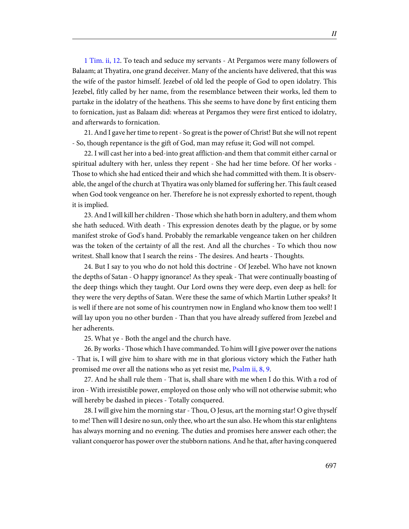[1 Tim. ii, 12.](http://www.ccel.org/study/Bible:1Tim.2.12) To teach and seduce my servants - At Pergamos were many followers of Balaam; at Thyatira, one grand deceiver. Many of the ancients have delivered, that this was the wife of the pastor himself. Jezebel of old led the people of God to open idolatry. This Jezebel, fitly called by her name, from the resemblance between their works, led them to partake in the idolatry of the heathens. This she seems to have done by first enticing them to fornication, just as Balaam did: whereas at Pergamos they were first enticed to idolatry, and afterwards to fornication.

21. And I gave her time to repent - So great is the power of Christ! But she will not repent - So, though repentance is the gift of God, man may refuse it; God will not compel.

22. I will cast her into a bed-into great affliction-and them that commit either carnal or spiritual adultery with her, unless they repent - She had her time before. Of her works - Those to which she had enticed their and which she had committed with them. It is observable, the angel of the church at Thyatira was only blamed for suffering her. This fault ceased when God took vengeance on her. Therefore he is not expressly exhorted to repent, though it is implied.

23. And I will kill her children - Those which she hath born in adultery, and them whom she hath seduced. With death - This expression denotes death by the plague, or by some manifest stroke of God's hand. Probably the remarkable vengeance taken on her children was the token of the certainty of all the rest. And all the churches - To which thou now writest. Shall know that I search the reins - The desires. And hearts - Thoughts.

24. But I say to you who do not hold this doctrine - Of Jezebel. Who have not known the depths of Satan - O happy ignorance! As they speak - That were continually boasting of the deep things which they taught. Our Lord owns they were deep, even deep as hell: for they were the very depths of Satan. Were these the same of which Martin Luther speaks? It is well if there are not some of his countrymen now in England who know them too well! I will lay upon you no other burden - Than that you have already suffered from Jezebel and her adherents.

25. What ye - Both the angel and the church have.

26. By works - Those which I have commanded. To him will I give power over the nations - That is, I will give him to share with me in that glorious victory which the Father hath promised me over all the nations who as yet resist me, [Psalm ii, 8, 9.](http://www.ccel.org/study/Bible:Ps.2.8-Ps.2.9)

27. And he shall rule them - That is, shall share with me when I do this. With a rod of iron - With irresistible power, employed on those only who will not otherwise submit; who will hereby be dashed in pieces - Totally conquered.

28. I will give him the morning star - Thou, O Jesus, art the morning star! O give thyself to me! Then will I desire no sun, only thee, who art the sun also. He whom this star enlightens has always morning and no evening. The duties and promises here answer each other; the valiant conqueror has power over the stubborn nations. And he that, after having conquered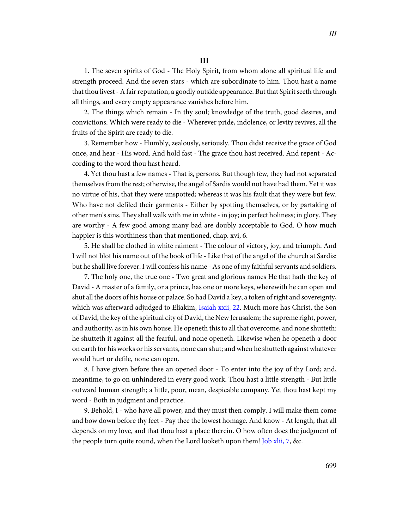**III**

1. The seven spirits of God - The Holy Spirit, from whom alone all spiritual life and strength proceed. And the seven stars - which are subordinate to him. Thou hast a name that thou livest - A fair reputation, a goodly outside appearance. But that Spirit seeth through all things, and every empty appearance vanishes before him.

2. The things which remain - In thy soul; knowledge of the truth, good desires, and convictions. Which were ready to die - Wherever pride, indolence, or levity revives, all the fruits of the Spirit are ready to die.

3. Remember how - Humbly, zealously, seriously. Thou didst receive the grace of God once, and hear - His word. And hold fast - The grace thou hast received. And repent - According to the word thou hast heard.

4. Yet thou hast a few names - That is, persons. But though few, they had not separated themselves from the rest; otherwise, the angel of Sardis would not have had them. Yet it was no virtue of his, that they were unspotted; whereas it was his fault that they were but few. Who have not defiled their garments - Either by spotting themselves, or by partaking of other men's sins. They shall walk with me in white - in joy; in perfect holiness; in glory. They are worthy - A few good among many bad are doubly acceptable to God. O how much happier is this worthiness than that mentioned, chap. xvi, 6.

5. He shall be clothed in white raiment - The colour of victory, joy, and triumph. And I will not blot his name out of the book of life - Like that of the angel of the church at Sardis: but he shall live forever. I will confess his name - As one of my faithful servants and soldiers.

7. The holy one, the true one - Two great and glorious names He that hath the key of David - A master of a family, or a prince, has one or more keys, wherewith he can open and shut all the doors of his house or palace. So had David a key, a token of right and sovereignty, which was afterward adjudged to Eliakim, [Isaiah xxii, 22.](http://www.ccel.org/study/Bible:Isa.22.22) Much more has Christ, the Son of David, the key of the spiritual city of David, the New Jerusalem; the supreme right, power, and authority, as in his own house. He openeth this to all that overcome, and none shutteth: he shutteth it against all the fearful, and none openeth. Likewise when he openeth a door on earth for his works or his servants, none can shut; and when he shutteth against whatever would hurt or defile, none can open.

8. I have given before thee an opened door - To enter into the joy of thy Lord; and, meantime, to go on unhindered in every good work. Thou hast a little strength - But little outward human strength; a little, poor, mean, despicable company. Yet thou hast kept my word - Both in judgment and practice.

9. Behold, I - who have all power; and they must then comply. I will make them come and bow down before thy feet - Pay thee the lowest homage. And know - At length, that all depends on my love, and that thou hast a place therein. O how often does the judgment of the people turn quite round, when the Lord looketh upon them! [Job xlii, 7,](http://www.ccel.org/study/Bible:Job.42.7) &c.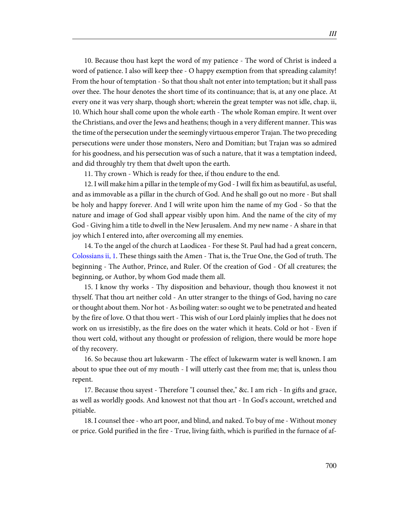10. Because thou hast kept the word of my patience - The word of Christ is indeed a word of patience. I also will keep thee - O happy exemption from that spreading calamity! From the hour of temptation - So that thou shalt not enter into temptation; but it shall pass over thee. The hour denotes the short time of its continuance; that is, at any one place. At every one it was very sharp, though short; wherein the great tempter was not idle, chap. ii, 10. Which hour shall come upon the whole earth - The whole Roman empire. It went over the Christians, and over the Jews and heathens; though in a very different manner. This was the time of the persecution under the seemingly virtuous emperor Trajan. The two preceding persecutions were under those monsters, Nero and Domitian; but Trajan was so admired for his goodness, and his persecution was of such a nature, that it was a temptation indeed, and did throughly try them that dwelt upon the earth.

11. Thy crown - Which is ready for thee, if thou endure to the end.

12. I will make him a pillar in the temple of my God - I will fix him as beautiful, as useful, and as immovable as a pillar in the church of God. And he shall go out no more - But shall be holy and happy forever. And I will write upon him the name of my God - So that the nature and image of God shall appear visibly upon him. And the name of the city of my God - Giving him a title to dwell in the New Jerusalem. And my new name - A share in that joy which I entered into, after overcoming all my enemies.

14. To the angel of the church at Laodicea - For these St. Paul had had a great concern, [Colossians ii, 1.](http://www.ccel.org/study/Bible:Col.2.1) These things saith the Amen - That is, the True One, the God of truth. The beginning - The Author, Prince, and Ruler. Of the creation of God - Of all creatures; the beginning, or Author, by whom God made them all.

15. I know thy works - Thy disposition and behaviour, though thou knowest it not thyself. That thou art neither cold - An utter stranger to the things of God, having no care or thought about them. Nor hot - As boiling water: so ought we to be penetrated and heated by the fire of love. O that thou wert - This wish of our Lord plainly implies that he does not work on us irresistibly, as the fire does on the water which it heats. Cold or hot - Even if thou wert cold, without any thought or profession of religion, there would be more hope of thy recovery.

16. So because thou art lukewarm - The effect of lukewarm water is well known. I am about to spue thee out of my mouth - I will utterly cast thee from me; that is, unless thou repent.

17. Because thou sayest - Therefore "I counsel thee," &c. I am rich - In gifts and grace, as well as worldly goods. And knowest not that thou art - In God's account, wretched and pitiable.

18. I counsel thee - who art poor, and blind, and naked. To buy of me - Without money or price. Gold purified in the fire - True, living faith, which is purified in the furnace of af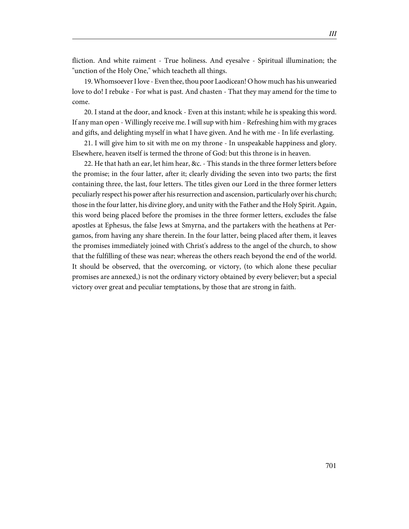fliction. And white raiment - True holiness. And eyesalve - Spiritual illumination; the "unction of the Holy One," which teacheth all things.

19. Whomsoever I love - Even thee, thou poor Laodicean! O how much has his unwearied love to do! I rebuke - For what is past. And chasten - That they may amend for the time to come.

20. I stand at the door, and knock - Even at this instant; while he is speaking this word. If any man open - Willingly receive me. I will sup with him - Refreshing him with my graces and gifts, and delighting myself in what I have given. And he with me - In life everlasting.

21. I will give him to sit with me on my throne - In unspeakable happiness and glory. Elsewhere, heaven itself is termed the throne of God: but this throne is in heaven.

22. He that hath an ear, let him hear, &c. - This stands in the three former letters before the promise; in the four latter, after it; clearly dividing the seven into two parts; the first containing three, the last, four letters. The titles given our Lord in the three former letters peculiarly respect his power after his resurrection and ascension, particularly over his church; those in the four latter, his divine glory, and unity with the Father and the Holy Spirit. Again, this word being placed before the promises in the three former letters, excludes the false apostles at Ephesus, the false Jews at Smyrna, and the partakers with the heathens at Pergamos, from having any share therein. In the four latter, being placed after them, it leaves the promises immediately joined with Christ's address to the angel of the church, to show that the fulfilling of these was near; whereas the others reach beyond the end of the world. It should be observed, that the overcoming, or victory, (to which alone these peculiar promises are annexed,) is not the ordinary victory obtained by every believer; but a special victory over great and peculiar temptations, by those that are strong in faith.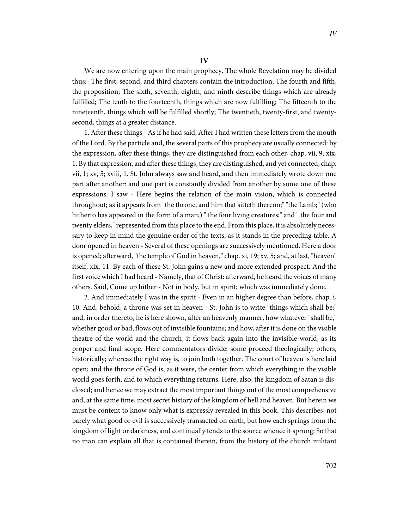We are now entering upon the main prophecy. The whole Revelation may be divided thus:- The first, second, and third chapters contain the introduction; The fourth and fifth, the proposition; The sixth, seventh, eighth, and ninth describe things which are already fulfilled; The tenth to the fourteenth, things which are now fulfilling; The fifteenth to the nineteenth, things which will be fulfilled shortly; The twentieth, twenty-first, and twentysecond, things at a greater distance.

1. After these things - As if he had said, After I had written these letters from the mouth of the Lord. By the particle and, the several parts of this prophecy are usually connected: by the expression, after these things, they are distinguished from each other, chap. vii, 9; xix, 1. By that expression, and after these things, they are distinguished, and yet connected, chap. vii, 1; xv, 5; xviii, 1. St. John always saw and heard, and then immediately wrote down one part after another: and one part is constantly divided from another by some one of these expressions. I saw - Here begins the relation of the main vision, which is connected throughout; as it appears from "the throne, and him that sitteth thereon;" "the Lamb;" (who hitherto has appeared in the form of a man;) " the four living creatures;" and " the four and twenty elders," represented from this place to the end. From this place, it is absolutely necessary to keep in mind the genuine order of the texts, as it stands in the preceding table. A door opened in heaven - Several of these openings are successively mentioned. Here a door is opened; afterward, "the temple of God in heaven," chap. xi, 19; xv, 5; and, at last, "heaven" itself, xix, 11. By each of these St. John gains a new and more extended prospect. And the first voice which I had heard - Namely, that of Christ: afterward, he heard the voices of many others. Said, Come up hither - Not in body, but in spirit; which was immediately done.

2. And immediately I was in the spirit - Even in an higher degree than before, chap. i, 10. And, behold, a throne was set in heaven - St. John is to write "things which shall be;" and, in order thereto, he is here shown, after an heavenly manner, how whatever "shall be," whether good or bad, flows out of invisible fountains; and how, after it is done on the visible theatre of the world and the church, it flows back again into the invisible world, as its proper and final scope. Here commentators divide: some proceed theologically; others, historically; whereas the right way is, to join both together. The court of heaven is here laid open; and the throne of God is, as it were, the center from which everything in the visible world goes forth, and to which everything returns. Here, also, the kingdom of Satan is disclosed; and hence we may extract the most important things out of the most comprehensive and, at the same time, most secret history of the kingdom of hell and heaven. But herein we must be content to know only what is expressly revealed in this book. This describes, not barely what good or evil is successively transacted on earth, but how each springs from the kingdom of light or darkness, and continually tends to the source whence it sprung: So that no man can explain all that is contained therein, from the history of the church militant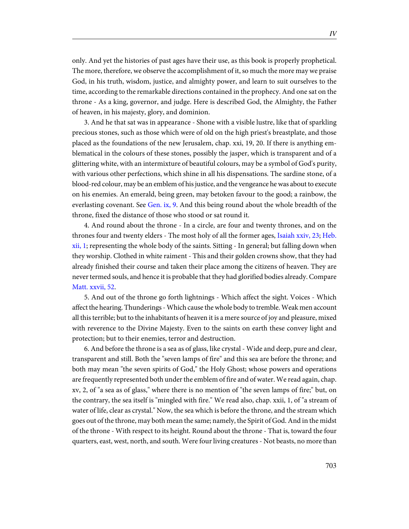only. And yet the histories of past ages have their use, as this book is properly prophetical. The more, therefore, we observe the accomplishment of it, so much the more may we praise God, in his truth, wisdom, justice, and almighty power, and learn to suit ourselves to the time, according to the remarkable directions contained in the prophecy. And one sat on the throne - As a king, governor, and judge. Here is described God, the Almighty, the Father of heaven, in his majesty, glory, and dominion.

3. And he that sat was in appearance - Shone with a visible lustre, like that of sparkling precious stones, such as those which were of old on the high priest's breastplate, and those placed as the foundations of the new Jerusalem, chap. xxi, 19, 20. If there is anything emblematical in the colours of these stones, possibly the jasper, which is transparent and of a glittering white, with an intermixture of beautiful colours, may be a symbol of God's purity, with various other perfections, which shine in all his dispensations. The sardine stone, of a blood-red colour, may be an emblem of his justice, and the vengeance he was about to execute on his enemies. An emerald, being green, may betoken favour to the good; a rainbow, the everlasting covenant. See [Gen. ix, 9.](http://www.ccel.org/study/Bible:Gen.9.9) And this being round about the whole breadth of the throne, fixed the distance of those who stood or sat round it.

4. And round about the throne - In a circle, are four and twenty thrones, and on the thrones four and twenty elders - The most holy of all the former ages, [Isaiah xxiv, 23;](http://www.ccel.org/study/Bible:Isa.24.23) [Heb.](http://www.ccel.org/study/Bible:Heb.12.1) [xii, 1](http://www.ccel.org/study/Bible:Heb.12.1); representing the whole body of the saints. Sitting - In general; but falling down when they worship. Clothed in white raiment - This and their golden crowns show, that they had already finished their course and taken their place among the citizens of heaven. They are never termed souls, and hence it is probable that they had glorified bodies already. Compare [Matt. xxvii, 52](http://www.ccel.org/study/Bible:Matt.27.52).

5. And out of the throne go forth lightnings - Which affect the sight. Voices - Which affect the hearing. Thunderings - Which cause the whole body to tremble. Weak men account all this terrible; but to the inhabitants of heaven it is a mere source of joy and pleasure, mixed with reverence to the Divine Majesty. Even to the saints on earth these convey light and protection; but to their enemies, terror and destruction.

6. And before the throne is a sea as of glass, like crystal - Wide and deep, pure and clear, transparent and still. Both the "seven lamps of fire" and this sea are before the throne; and both may mean "the seven spirits of God," the Holy Ghost; whose powers and operations are frequently represented both under the emblem of fire and of water. We read again, chap. xv, 2, of "a sea as of glass," where there is no mention of "the seven lamps of fire;" but, on the contrary, the sea itself is "mingled with fire." We read also, chap. xxii, 1, of "a stream of water of life, clear as crystal." Now, the sea which is before the throne, and the stream which goes out of the throne, may both mean the same; namely, the Spirit of God. And in the midst of the throne - With respect to its height. Round about the throne - That is, toward the four quarters, east, west, north, and south. Were four living creatures - Not beasts, no more than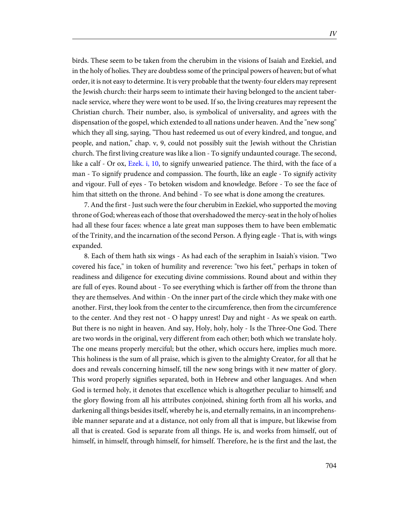birds. These seem to be taken from the cherubim in the visions of Isaiah and Ezekiel, and in the holy of holies. They are doubtless some of the principal powers of heaven; but of what order, it is not easy to determine. It is very probable that the twenty-four elders may represent the Jewish church: their harps seem to intimate their having belonged to the ancient tabernacle service, where they were wont to be used. If so, the living creatures may represent the Christian church. Their number, also, is symbolical of universality, and agrees with the dispensation of the gospel, which extended to all nations under heaven. And the "new song" which they all sing, saying, "Thou hast redeemed us out of every kindred, and tongue, and people, and nation," chap. v, 9, could not possibly suit the Jewish without the Christian church. The first living creature was like a lion - To signify undaunted courage. The second, like a calf - Or ox, [Ezek. i, 10](http://www.ccel.org/study/Bible:Ezek.1.10), to signify unwearied patience. The third, with the face of a man - To signify prudence and compassion. The fourth, like an eagle - To signify activity and vigour. Full of eyes - To betoken wisdom and knowledge. Before - To see the face of him that sitteth on the throne. And behind - To see what is done among the creatures.

7. And the first - Just such were the four cherubim in Ezekiel, who supported the moving throne of God; whereas each of those that overshadowed the mercy-seat in the holy of holies had all these four faces: whence a late great man supposes them to have been emblematic of the Trinity, and the incarnation of the second Person. A flying eagle - That is, with wings expanded.

8. Each of them hath six wings - As had each of the seraphim in Isaiah's vision. "Two covered his face," in token of humility and reverence: "two his feet," perhaps in token of readiness and diligence for executing divine commissions. Round about and within they are full of eyes. Round about - To see everything which is farther off from the throne than they are themselves. And within - On the inner part of the circle which they make with one another. First, they look from the center to the circumference, then from the circumference to the center. And they rest not - O happy unrest! Day and night - As we speak on earth. But there is no night in heaven. And say, Holy, holy, holy - Is the Three-One God. There are two words in the original, very different from each other; both which we translate holy. The one means properly merciful; but the other, which occurs here, implies much more. This holiness is the sum of all praise, which is given to the almighty Creator, for all that he does and reveals concerning himself, till the new song brings with it new matter of glory. This word properly signifies separated, both in Hebrew and other languages. And when God is termed holy, it denotes that excellence which is altogether peculiar to himself; and the glory flowing from all his attributes conjoined, shining forth from all his works, and darkening all things besides itself, whereby he is, and eternally remains, in an incomprehensible manner separate and at a distance, not only from all that is impure, but likewise from all that is created. God is separate from all things. He is, and works from himself, out of himself, in himself, through himself, for himself. Therefore, he is the first and the last, the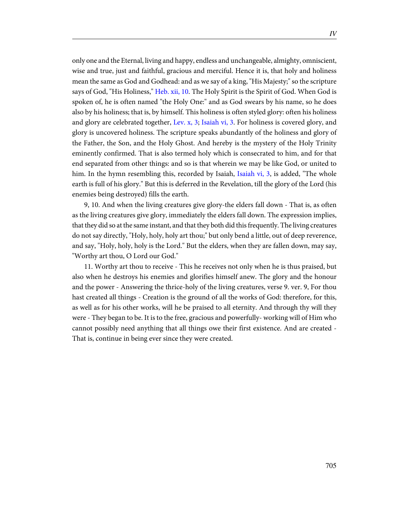only one and the Eternal, living and happy, endless and unchangeable, almighty, omniscient, wise and true, just and faithful, gracious and merciful. Hence it is, that holy and holiness mean the same as God and Godhead: and as we say of a king, "His Majesty;" so the scripture says of God, "His Holiness," [Heb. xii, 10](http://www.ccel.org/study/Bible:Heb.12.10). The Holy Spirit is the Spirit of God. When God is spoken of, he is often named "the Holy One:" and as God swears by his name, so he does also by his holiness; that is, by himself. This holiness is often styled glory: often his holiness and glory are celebrated together, [Lev. x, 3](http://www.ccel.org/study/Bible:Lev.10.3); [Isaiah vi, 3.](http://www.ccel.org/study/Bible:Isa.6.3) For holiness is covered glory, and glory is uncovered holiness. The scripture speaks abundantly of the holiness and glory of the Father, the Son, and the Holy Ghost. And hereby is the mystery of the Holy Trinity eminently confirmed. That is also termed holy which is consecrated to him, and for that end separated from other things: and so is that wherein we may be like God, or united to him. In the hymn resembling this, recorded by Isaiah, [Isaiah vi, 3](http://www.ccel.org/study/Bible:Isa.6.3), is added, "The whole earth is full of his glory." But this is deferred in the Revelation, till the glory of the Lord (his enemies being destroyed) fills the earth.

9, 10. And when the living creatures give glory-the elders fall down - That is, as often as the living creatures give glory, immediately the elders fall down. The expression implies, that they did so at the same instant, and that they both did this frequently. The living creatures do not say directly, "Holy, holy, holy art thou;" but only bend a little, out of deep reverence, and say, "Holy, holy, holy is the Lord." But the elders, when they are fallen down, may say, "Worthy art thou, O Lord our God."

11. Worthy art thou to receive - This he receives not only when he is thus praised, but also when he destroys his enemies and glorifies himself anew. The glory and the honour and the power - Answering the thrice-holy of the living creatures, verse 9. ver. 9, For thou hast created all things - Creation is the ground of all the works of God: therefore, for this, as well as for his other works, will he be praised to all eternity. And through thy will they were - They began to be. It is to the free, gracious and powerfully- working will of Him who cannot possibly need anything that all things owe their first existence. And are created - That is, continue in being ever since they were created.

705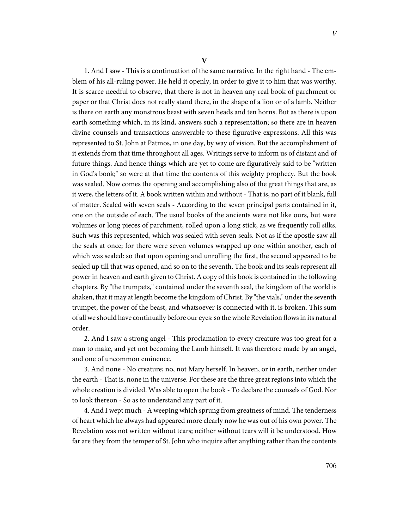1. And I saw - This is a continuation of the same narrative. In the right hand - The emblem of his all-ruling power. He held it openly, in order to give it to him that was worthy. It is scarce needful to observe, that there is not in heaven any real book of parchment or paper or that Christ does not really stand there, in the shape of a lion or of a lamb. Neither is there on earth any monstrous beast with seven heads and ten horns. But as there is upon earth something which, in its kind, answers such a representation; so there are in heaven divine counsels and transactions answerable to these figurative expressions. All this was represented to St. John at Patmos, in one day, by way of vision. But the accomplishment of it extends from that time throughout all ages. Writings serve to inform us of distant and of future things. And hence things which are yet to come are figuratively said to be "written in God's book;" so were at that time the contents of this weighty prophecy. But the book was sealed. Now comes the opening and accomplishing also of the great things that are, as it were, the letters of it. A book written within and without - That is, no part of it blank, full of matter. Sealed with seven seals - According to the seven principal parts contained in it, one on the outside of each. The usual books of the ancients were not like ours, but were volumes or long pieces of parchment, rolled upon a long stick, as we frequently roll silks. Such was this represented, which was sealed with seven seals. Not as if the apostle saw all the seals at once; for there were seven volumes wrapped up one within another, each of which was sealed: so that upon opening and unrolling the first, the second appeared to be sealed up till that was opened, and so on to the seventh. The book and its seals represent all power in heaven and earth given to Christ. A copy of this book is contained in the following chapters. By "the trumpets," contained under the seventh seal, the kingdom of the world is shaken, that it may at length become the kingdom of Christ. By "the vials," under the seventh trumpet, the power of the beast, and whatsoever is connected with it, is broken. This sum of all we should have continually before our eyes: so the whole Revelation flows in its natural order.

2. And I saw a strong angel - This proclamation to every creature was too great for a man to make, and yet not becoming the Lamb himself. It was therefore made by an angel, and one of uncommon eminence.

3. And none - No creature; no, not Mary herself. In heaven, or in earth, neither under the earth - That is, none in the universe. For these are the three great regions into which the whole creation is divided. Was able to open the book - To declare the counsels of God. Nor to look thereon - So as to understand any part of it.

4. And I wept much - A weeping which sprung from greatness of mind. The tenderness of heart which he always had appeared more clearly now he was out of his own power. The Revelation was not written without tears; neither without tears will it be understood. How far are they from the temper of St. John who inquire after anything rather than the contents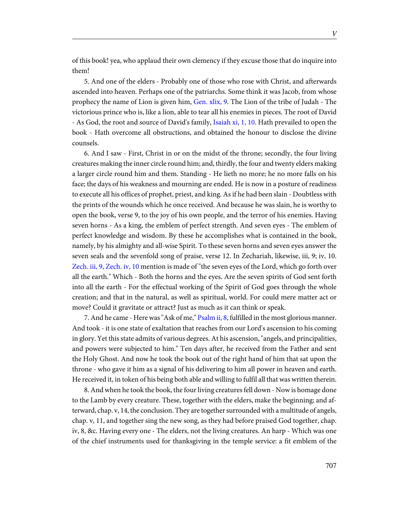of this book! yea, who applaud their own clemency if they excuse those that do inquire into them!

5. And one of the elders - Probably one of those who rose with Christ, and afterwards ascended into heaven. Perhaps one of the patriarchs. Some think it was Jacob, from whose prophecy the name of Lion is given him, [Gen. xlix, 9](http://www.ccel.org/study/Bible:Gen.49.9). The Lion of the tribe of Judah - The victorious prince who is, like a lion, able to tear all his enemies in pieces. The root of David - As God, the root and source of David's family, [Isaiah xi, 1, 10.](http://www.ccel.org/study/Bible:Isa.11.1 Bible:Isa.11.10) Hath prevailed to open the book - Hath overcome all obstructions, and obtained the honour to disclose the divine counsels.

6. And I saw - First, Christ in or on the midst of the throne; secondly, the four living creatures making the inner circle round him; and, thirdly, the four and twenty elders making a larger circle round him and them. Standing - He lieth no more; he no more falls on his face; the days of his weakness and mourning are ended. He is now in a posture of readiness to execute all his offices of prophet, priest, and king. As if he had been slain - Doubtless with the prints of the wounds which he once received. And because he was slain, he is worthy to open the book, verse 9, to the joy of his own people, and the terror of his enemies. Having seven horns - As a king, the emblem of perfect strength. And seven eyes - The emblem of perfect knowledge and wisdom. By these he accomplishes what is contained in the book, namely, by his almighty and all-wise Spirit. To these seven horns and seven eyes answer the seven seals and the sevenfold song of praise, verse 12. In Zechariah, likewise, iii, 9; iv, 10. [Zech. iii, 9,](http://www.ccel.org/study/Bible:Zech.3.9) [Zech. iv, 10](http://www.ccel.org/study/Bible:Zech.4.10) mention is made of "the seven eyes of the Lord, which go forth over all the earth." Which - Both the horns and the eyes. Are the seven spirits of God sent forth into all the earth - For the effectual working of the Spirit of God goes through the whole creation; and that in the natural, as well as spiritual, world. For could mere matter act or move? Could it gravitate or attract? Just as much as it can think or speak.

7. And he came - Here was "Ask of me," [Psalm ii, 8,](http://www.ccel.org/study/Bible:Ps.2.8) fulfilled in the most glorious manner. And took - it is one state of exaltation that reaches from our Lord's ascension to his coming in glory. Yet this state admits of various degrees. At his ascension, "angels, and principalities, and powers were subjected to him." Ten days after, he received from the Father and sent the Holy Ghost. And now he took the book out of the right hand of him that sat upon the throne - who gave it him as a signal of his delivering to him all power in heaven and earth. He received it, in token of his being both able and willing to fulfil all that was written therein.

8. And when he took the book, the four living creatures fell down - Now is homage done to the Lamb by every creature. These, together with the elders, make the beginning; and afterward, chap. v, 14, the conclusion. They are together surrounded with a multitude of angels, chap. v, 11, and together sing the new song, as they had before praised God together, chap. iv, 8, &c. Having every one - The elders, not the living creatures. An harp - Which was one of the chief instruments used for thanksgiving in the temple service: a fit emblem of the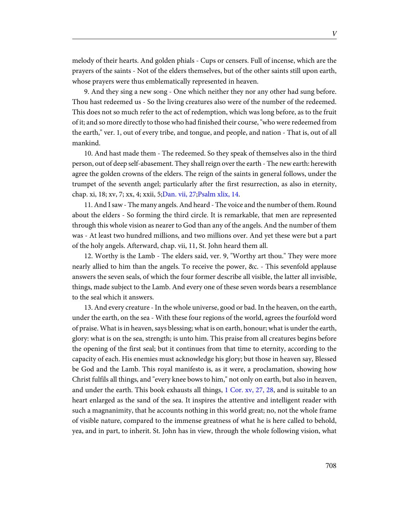9. And they sing a new song - One which neither they nor any other had sung before. Thou hast redeemed us - So the living creatures also were of the number of the redeemed. This does not so much refer to the act of redemption, which was long before, as to the fruit of it; and so more directly to those who had finished their course, "who were redeemed from the earth," ver. 1, out of every tribe, and tongue, and people, and nation - That is, out of all mankind.

10. And hast made them - The redeemed. So they speak of themselves also in the third person, out of deep self-abasement. They shall reign over the earth - The new earth: herewith agree the golden crowns of the elders. The reign of the saints in general follows, under the trumpet of the seventh angel; particularly after the first resurrection, as also in eternity, chap. xi, 18; xv, 7; xx, 4; xxii, 5[;Dan. vii, 27;](http://www.ccel.org/study/Bible:Dan.7.27)[Psalm xlix, 14](http://www.ccel.org/study/Bible:Ps.49.14).

11. And I saw - The many angels. And heard - The voice and the number of them. Round about the elders - So forming the third circle. It is remarkable, that men are represented through this whole vision as nearer to God than any of the angels. And the number of them was - At least two hundred millions, and two millions over. And yet these were but a part of the holy angels. Afterward, chap. vii, 11, St. John heard them all.

12. Worthy is the Lamb - The elders said, ver. 9, "Worthy art thou." They were more nearly allied to him than the angels. To receive the power, &c. - This sevenfold applause answers the seven seals, of which the four former describe all visible, the latter all invisible, things, made subject to the Lamb. And every one of these seven words bears a resemblance to the seal which it answers.

13. And every creature - In the whole universe, good or bad. In the heaven, on the earth, under the earth, on the sea - With these four regions of the world, agrees the fourfold word of praise. What is in heaven, says blessing; what is on earth, honour; what is under the earth, glory: what is on the sea, strength; is unto him. This praise from all creatures begins before the opening of the first seal; but it continues from that time to eternity, according to the capacity of each. His enemies must acknowledge his glory; but those in heaven say, Blessed be God and the Lamb. This royal manifesto is, as it were, a proclamation, showing how Christ fulfils all things, and "every knee bows to him," not only on earth, but also in heaven, and under the earth. This book exhausts all things, [1 Cor. xv, 27, 28](http://www.ccel.org/study/Bible:1Cor.15.27-1Cor.15.28), and is suitable to an heart enlarged as the sand of the sea. It inspires the attentive and intelligent reader with such a magnanimity, that he accounts nothing in this world great; no, not the whole frame of visible nature, compared to the immense greatness of what he is here called to behold, yea, and in part, to inherit. St. John has in view, through the whole following vision, what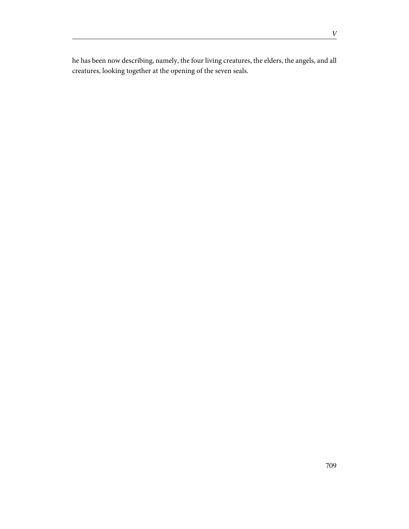he has been now describing, namely, the four living creatures, the elders, the angels, and all creatures, looking together at the opening of the seven seals.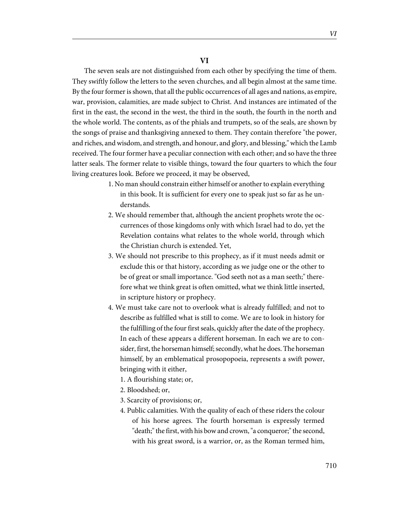**VI**

The seven seals are not distinguished from each other by specifying the time of them. They swiftly follow the letters to the seven churches, and all begin almost at the same time. By the four former is shown, that all the public occurrences of all ages and nations, as empire, war, provision, calamities, are made subject to Christ. And instances are intimated of the first in the east, the second in the west, the third in the south, the fourth in the north and the whole world. The contents, as of the phials and trumpets, so of the seals, are shown by the songs of praise and thanksgiving annexed to them. They contain therefore "the power, and riches, and wisdom, and strength, and honour, and glory, and blessing," which the Lamb received. The four former have a peculiar connection with each other; and so have the three latter seals. The former relate to visible things, toward the four quarters to which the four living creatures look. Before we proceed, it may be observed,

- 1. No man should constrain either himself or another to explain everything in this book. It is sufficient for every one to speak just so far as he understands.
- 2. We should remember that, although the ancient prophets wrote the occurrences of those kingdoms only with which Israel had to do, yet the Revelation contains what relates to the whole world, through which the Christian church is extended. Yet,
- 3. We should not prescribe to this prophecy, as if it must needs admit or exclude this or that history, according as we judge one or the other to be of great or small importance. "God seeth not as a man seeth;" therefore what we think great is often omitted, what we think little inserted, in scripture history or prophecy.
- 4. We must take care not to overlook what is already fulfilled; and not to describe as fulfilled what is still to come. We are to look in history for the fulfilling of the four first seals, quickly after the date of the prophecy. In each of these appears a different horseman. In each we are to consider, first, the horseman himself; secondly, what he does. The horseman himself, by an emblematical prosopopoeia, represents a swift power, bringing with it either,
	- 1. A flourishing state; or,
	- 2. Bloodshed; or,
	- 3. Scarcity of provisions; or,
	- 4. Public calamities. With the quality of each of these riders the colour of his horse agrees. The fourth horseman is expressly termed "death;" the first, with his bow and crown, "a conqueror;" the second, with his great sword, is a warrior, or, as the Roman termed him,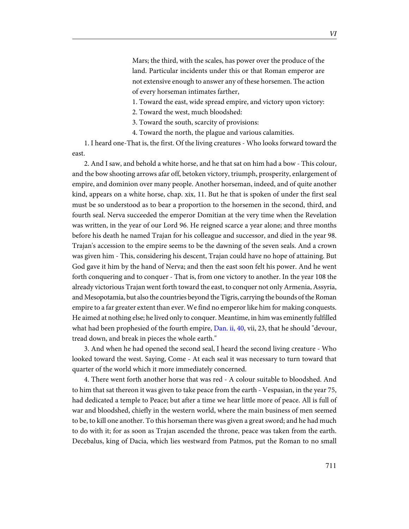Mars; the third, with the scales, has power over the produce of the land. Particular incidents under this or that Roman emperor are not extensive enough to answer any of these horsemen. The action of every horseman intimates farther,

1. Toward the east, wide spread empire, and victory upon victory:

2. Toward the west, much bloodshed:

3. Toward the south, scarcity of provisions:

4. Toward the north, the plague and various calamities.

1. I heard one-That is, the first. Of the living creatures - Who looks forward toward the east.

2. And I saw, and behold a white horse, and he that sat on him had a bow - This colour, and the bow shooting arrows afar off, betoken victory, triumph, prosperity, enlargement of empire, and dominion over many people. Another horseman, indeed, and of quite another kind, appears on a white horse, chap. xix, 11. But he that is spoken of under the first seal must be so understood as to bear a proportion to the horsemen in the second, third, and fourth seal. Nerva succeeded the emperor Domitian at the very time when the Revelation was written, in the year of our Lord 96. He reigned scarce a year alone; and three months before his death he named Trajan for his colleague and successor, and died in the year 98. Trajan's accession to the empire seems to be the dawning of the seven seals. And a crown was given him - This, considering his descent, Trajan could have no hope of attaining. But God gave it him by the hand of Nerva; and then the east soon felt his power. And he went forth conquering and to conquer - That is, from one victory to another. In the year 108 the already victorious Trajan went forth toward the east, to conquer not only Armenia, Assyria, and Mesopotamia, but also the countries beyond the Tigris, carrying the bounds of the Roman empire to a far greater extent than ever. We find no emperor like him for making conquests. He aimed at nothing else; he lived only to conquer. Meantime, in him was eminently fulfilled what had been prophesied of the fourth empire, [Dan. ii, 40](http://www.ccel.org/study/Bible:Dan.2.40), vii, 23, that he should "devour, tread down, and break in pieces the whole earth."

3. And when he had opened the second seal, I heard the second living creature - Who looked toward the west. Saying, Come - At each seal it was necessary to turn toward that quarter of the world which it more immediately concerned.

4. There went forth another horse that was red - A colour suitable to bloodshed. And to him that sat thereon it was given to take peace from the earth - Vespasian, in the year 75, had dedicated a temple to Peace; but after a time we hear little more of peace. All is full of war and bloodshed, chiefly in the western world, where the main business of men seemed to be, to kill one another. To this horseman there was given a great sword; and he had much to do with it; for as soon as Trajan ascended the throne, peace was taken from the earth. Decebalus, king of Dacia, which lies westward from Patmos, put the Roman to no small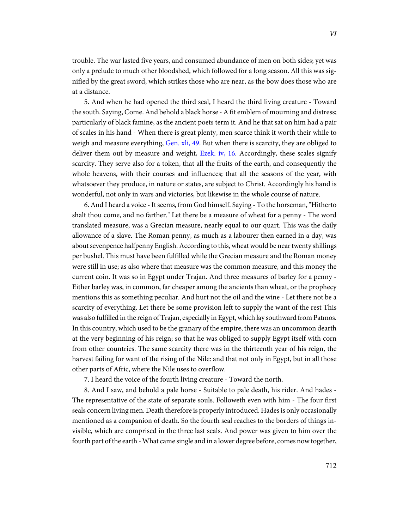5. And when he had opened the third seal, I heard the third living creature - Toward the south. Saying, Come. And behold a black horse - A fit emblem of mourning and distress; particularly of black famine, as the ancient poets term it. And he that sat on him had a pair of scales in his hand - When there is great plenty, men scarce think it worth their while to weigh and measure everything, [Gen. xli, 49](http://www.ccel.org/study/Bible:Gen.41.49). But when there is scarcity, they are obliged to deliver them out by measure and weight, [Ezek. iv, 16.](http://www.ccel.org/study/Bible:Ezek.4.16) Accordingly, these scales signify scarcity. They serve also for a token, that all the fruits of the earth, and consequently the whole heavens, with their courses and influences; that all the seasons of the year, with whatsoever they produce, in nature or states, are subject to Christ. Accordingly his hand is wonderful, not only in wars and victories, but likewise in the whole course of nature.

6. And I heard a voice - It seems, from God himself. Saying - To the horseman, "Hitherto shalt thou come, and no farther." Let there be a measure of wheat for a penny - The word translated measure, was a Grecian measure, nearly equal to our quart. This was the daily allowance of a slave. The Roman penny, as much as a labourer then earned in a day, was about sevenpence halfpenny English. According to this, wheat would be near twenty shillings per bushel. This must have been fulfilled while the Grecian measure and the Roman money were still in use; as also where that measure was the common measure, and this money the current coin. It was so in Egypt under Trajan. And three measures of barley for a penny - Either barley was, in common, far cheaper among the ancients than wheat, or the prophecy mentions this as something peculiar. And hurt not the oil and the wine - Let there not be a scarcity of everything. Let there be some provision left to supply the want of the rest This was also fulfilled in the reign of Trajan, especially in Egypt, which lay southward from Patmos. In this country, which used to be the granary of the empire, there was an uncommon dearth at the very beginning of his reign; so that he was obliged to supply Egypt itself with corn from other countries. The same scarcity there was in the thirteenth year of his reign, the harvest failing for want of the rising of the Nile: and that not only in Egypt, but in all those other parts of Afric, where the Nile uses to overflow.

7. I heard the voice of the fourth living creature - Toward the north.

8. And I saw, and behold a pale horse - Suitable to pale death, his rider. And hades - The representative of the state of separate souls. Followeth even with him - The four first seals concern living men. Death therefore is properly introduced. Hades is only occasionally mentioned as a companion of death. So the fourth seal reaches to the borders of things invisible, which are comprised in the three last seals. And power was given to him over the fourth part of the earth - What came single and in a lower degree before, comes now together,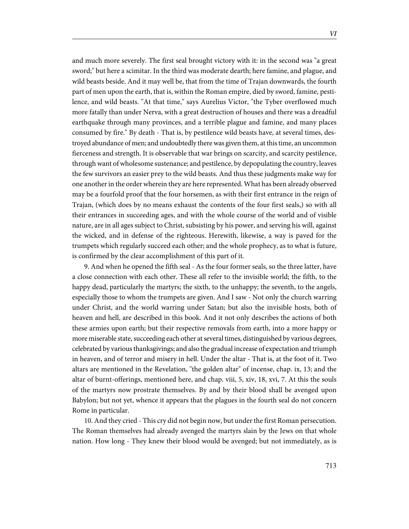and much more severely. The first seal brought victory with it: in the second was "a great sword;" but here a scimitar. In the third was moderate dearth; here famine, and plague, and wild beasts beside. And it may well be, that from the time of Trajan downwards, the fourth part of men upon the earth, that is, within the Roman empire, died by sword, famine, pestilence, and wild beasts. "At that time," says Aurelius Victor, "the Tyber overflowed much more fatally than under Nerva, with a great destruction of houses and there was a dreadful earthquake through many provinces, and a terrible plague and famine, and many places consumed by fire." By death - That is, by pestilence wild beasts have, at several times, destroyed abundance of men; and undoubtedly there was given them, at this time, an uncommon fierceness and strength. It is observable that war brings on scarcity, and scarcity pestilence, through want of wholesome sustenance; and pestilence, by depopulating the country, leaves the few survivors an easier prey to the wild beasts. And thus these judgments make way for one another in the order wherein they are here represented. What has been already observed may be a fourfold proof that the four horsemen, as with their first entrance in the reign of Trajan, (which does by no means exhaust the contents of the four first seals,) so with all their entrances in succeeding ages, and with the whole course of the world and of visible nature, are in all ages subject to Christ, subsisting by his power, and serving his will, against the wicked, and in defense of the righteous. Herewith, likewise, a way is paved for the trumpets which regularly succeed each other; and the whole prophecy, as to what is future, is confirmed by the clear accomplishment of this part of it.

9. And when he opened the fifth seal - As the four former seals, so the three latter, have a close connection with each other. These all refer to the invisible world; the fifth, to the happy dead, particularly the martyrs; the sixth, to the unhappy; the seventh, to the angels, especially those to whom the trumpets are given. And I saw - Not only the church warring under Christ, and the world warring under Satan; but also the invisible hosts, both of heaven and hell, are described in this book. And it not only describes the actions of both these armies upon earth; but their respective removals from earth, into a more happy or more miserable state, succeeding each other at several times, distinguished by various degrees, celebrated by various thanksgivings; and also the gradual increase of expectation and triumph in heaven, and of terror and misery in hell. Under the altar - That is, at the foot of it. Two altars are mentioned in the Revelation, "the golden altar" of incense, chap. ix, 13; and the altar of burnt-offerings, mentioned here, and chap. viii, 5, xiv, 18, xvi, 7. At this the souls of the martyrs now prostrate themselves. By and by their blood shall be avenged upon Babylon; but not yet, whence it appears that the plagues in the fourth seal do not concern Rome in particular.

10. And they cried - This cry did not begin now, but under the first Roman persecution. The Roman themselves had already avenged the martyrs slain by the Jews on that whole nation. How long - They knew their blood would be avenged; but not immediately, as is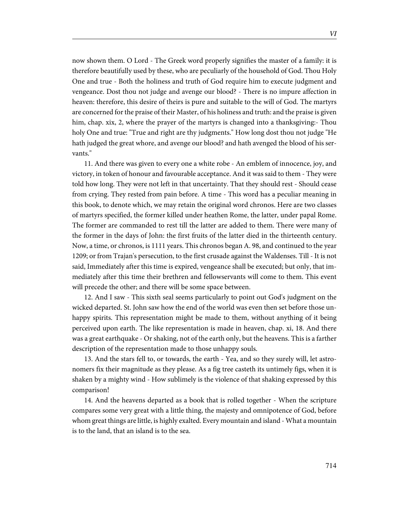now shown them. O Lord - The Greek word properly signifies the master of a family: it is therefore beautifully used by these, who are peculiarly of the household of God. Thou Holy One and true - Both the holiness and truth of God require him to execute judgment and vengeance. Dost thou not judge and avenge our blood? - There is no impure affection in heaven: therefore, this desire of theirs is pure and suitable to the will of God. The martyrs are concerned for the praise of their Master, of his holiness and truth: and the praise is given him, chap. xix, 2, where the prayer of the martyrs is changed into a thanksgiving:- Thou holy One and true: "True and right are thy judgments." How long dost thou not judge "He hath judged the great whore, and avenge our blood? and hath avenged the blood of his servants."

11. And there was given to every one a white robe - An emblem of innocence, joy, and victory, in token of honour and favourable acceptance. And it was said to them - They were told how long. They were not left in that uncertainty. That they should rest - Should cease from crying. They rested from pain before. A time - This word has a peculiar meaning in this book, to denote which, we may retain the original word chronos. Here are two classes of martyrs specified, the former killed under heathen Rome, the latter, under papal Rome. The former are commanded to rest till the latter are added to them. There were many of the former in the days of John: the first fruits of the latter died in the thirteenth century. Now, a time, or chronos, is 1111 years. This chronos began A. 98, and continued to the year 1209; or from Trajan's persecution, to the first crusade against the Waldenses. Till - It is not said, Immediately after this time is expired, vengeance shall be executed; but only, that immediately after this time their brethren and fellowservants will come to them. This event will precede the other; and there will be some space between.

12. And I saw - This sixth seal seems particularly to point out God's judgment on the wicked departed. St. John saw how the end of the world was even then set before those unhappy spirits. This representation might be made to them, without anything of it being perceived upon earth. The like representation is made in heaven, chap. xi, 18. And there was a great earthquake - Or shaking, not of the earth only, but the heavens. This is a farther description of the representation made to those unhappy souls.

13. And the stars fell to, or towards, the earth - Yea, and so they surely will, let astronomers fix their magnitude as they please. As a fig tree casteth its untimely figs, when it is shaken by a mighty wind - How sublimely is the violence of that shaking expressed by this comparison!

14. And the heavens departed as a book that is rolled together - When the scripture compares some very great with a little thing, the majesty and omnipotence of God, before whom great things are little, is highly exalted. Every mountain and island - What a mountain is to the land, that an island is to the sea.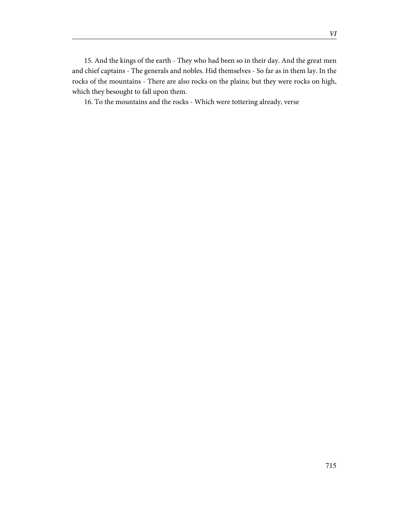which they besought to fall upon them.

16. To the mountains and the rocks - Which were tottering already, verse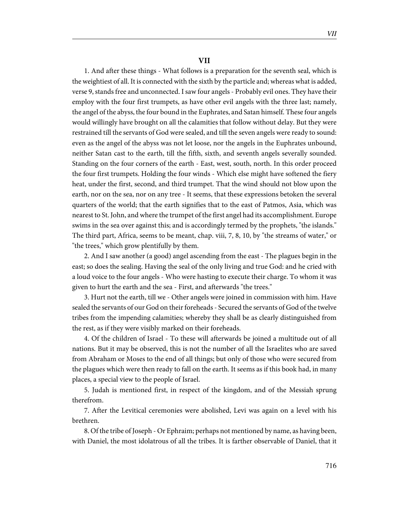## **VII**

1. And after these things - What follows is a preparation for the seventh seal, which is the weightiest of all. It is connected with the sixth by the particle and; whereas what is added, verse 9, stands free and unconnected. I saw four angels - Probably evil ones. They have their employ with the four first trumpets, as have other evil angels with the three last; namely, the angel of the abyss, the four bound in the Euphrates, and Satan himself. These four angels would willingly have brought on all the calamities that follow without delay. But they were restrained till the servants of God were sealed, and till the seven angels were ready to sound: even as the angel of the abyss was not let loose, nor the angels in the Euphrates unbound, neither Satan cast to the earth, till the fifth, sixth, and seventh angels severally sounded. Standing on the four corners of the earth - East, west, south, north. In this order proceed the four first trumpets. Holding the four winds - Which else might have softened the fiery heat, under the first, second, and third trumpet. That the wind should not blow upon the earth, nor on the sea, nor on any tree - It seems, that these expressions betoken the several quarters of the world; that the earth signifies that to the east of Patmos, Asia, which was nearest to St. John, and where the trumpet of the first angel had its accomplishment. Europe swims in the sea over against this; and is accordingly termed by the prophets, "the islands." The third part, Africa, seems to be meant, chap. viii, 7, 8, 10, by "the streams of water," or "the trees," which grow plentifully by them.

2. And I saw another (a good) angel ascending from the east - The plagues begin in the east; so does the sealing. Having the seal of the only living and true God: and he cried with a loud voice to the four angels - Who were hasting to execute their charge. To whom it was given to hurt the earth and the sea - First, and afterwards "the trees."

3. Hurt not the earth, till we - Other angels were joined in commission with him. Have sealed the servants of our God on their foreheads - Secured the servants of God of the twelve tribes from the impending calamities; whereby they shall be as clearly distinguished from the rest, as if they were visibly marked on their foreheads.

4. Of the children of Israel - To these will afterwards be joined a multitude out of all nations. But it may be observed, this is not the number of all the Israelites who are saved from Abraham or Moses to the end of all things; but only of those who were secured from the plagues which were then ready to fall on the earth. It seems as if this book had, in many places, a special view to the people of Israel.

5. Judah is mentioned first, in respect of the kingdom, and of the Messiah sprung therefrom.

7. After the Levitical ceremonies were abolished, Levi was again on a level with his brethren.

8. Of the tribe of Joseph - Or Ephraim; perhaps not mentioned by name, as having been, with Daniel, the most idolatrous of all the tribes. It is farther observable of Daniel, that it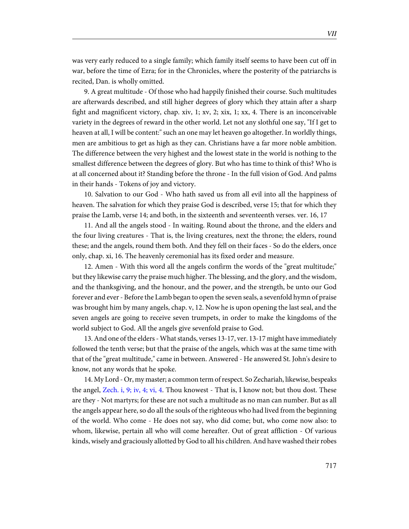was very early reduced to a single family; which family itself seems to have been cut off in war, before the time of Ezra; for in the Chronicles, where the posterity of the patriarchs is recited, Dan. is wholly omitted.

9. A great multitude - Of those who had happily finished their course. Such multitudes are afterwards described, and still higher degrees of glory which they attain after a sharp fight and magnificent victory, chap. xiv, 1; xv, 2; xix, 1; xx, 4. There is an inconceivable variety in the degrees of reward in the other world. Let not any slothful one say, "If I get to heaven at all, I will be content:" such an one may let heaven go altogether. In worldly things, men are ambitious to get as high as they can. Christians have a far more noble ambition. The difference between the very highest and the lowest state in the world is nothing to the smallest difference between the degrees of glory. But who has time to think of this? Who is at all concerned about it? Standing before the throne - In the full vision of God. And palms in their hands - Tokens of joy and victory.

10. Salvation to our God - Who hath saved us from all evil into all the happiness of heaven. The salvation for which they praise God is described, verse 15; that for which they praise the Lamb, verse 14; and both, in the sixteenth and seventeenth verses. ver. 16, 17

11. And all the angels stood - In waiting. Round about the throne, and the elders and the four living creatures - That is, the living creatures, next the throne; the elders, round these; and the angels, round them both. And they fell on their faces - So do the elders, once only, chap. xi, 16. The heavenly ceremonial has its fixed order and measure.

12. Amen - With this word all the angels confirm the words of the "great multitude;" but they likewise carry the praise much higher. The blessing, and the glory, and the wisdom, and the thanksgiving, and the honour, and the power, and the strength, be unto our God forever and ever - Before the Lamb began to open the seven seals, a sevenfold hymn of praise was brought him by many angels, chap. v, 12. Now he is upon opening the last seal, and the seven angels are going to receive seven trumpets, in order to make the kingdoms of the world subject to God. All the angels give sevenfold praise to God.

13. And one of the elders - What stands, verses 13-17, ver. 13-17 might have immediately followed the tenth verse; but that the praise of the angels, which was at the same time with that of the "great multitude," came in between. Answered - He answered St. John's desire to know, not any words that he spoke.

14. My Lord - Or, my master; a common term of respect. So Zechariah, likewise, bespeaks the angel, [Zech. i, 9; iv, 4; vi, 4.](http://www.ccel.org/study/Bible:Zech.1.9 Bible:Zech.4.4 Bible:Zech.6.4) Thou knowest - That is, I know not; but thou dost. These are they - Not martyrs; for these are not such a multitude as no man can number. But as all the angels appear here, so do all the souls of the righteous who had lived from the beginning of the world. Who come - He does not say, who did come; but, who come now also: to whom, likewise, pertain all who will come hereafter. Out of great affliction - Of various kinds, wisely and graciously allotted by God to all his children. And have washed their robes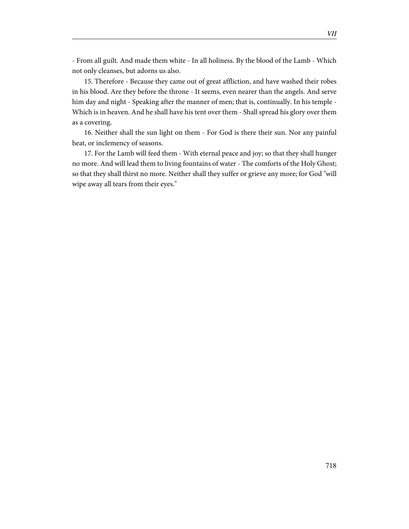- From all guilt. And made them white - In all holiness. By the blood of the Lamb - Which not only cleanses, but adorns us also.

15. Therefore - Because they came out of great affliction, and have washed their robes in his blood. Are they before the throne - It seems, even nearer than the angels. And serve him day and night - Speaking after the manner of men; that is, continually. In his temple - Which is in heaven. And he shall have his tent over them - Shall spread his glory over them as a covering.

16. Neither shall the sun light on them - For God is there their sun. Nor any painful heat, or inclemency of seasons.

17. For the Lamb will feed them - With eternal peace and joy; so that they shall hunger no more. And will lead them to living fountains of water - The comforts of the Holy Ghost; so that they shall thirst no more. Neither shall they suffer or grieve any more; for God "will wipe away all tears from their eyes."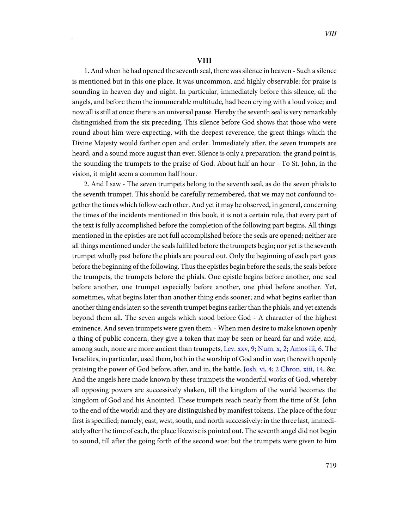## **VIII**

1. And when he had opened the seventh seal, there was silence in heaven - Such a silence is mentioned but in this one place. It was uncommon, and highly observable: for praise is sounding in heaven day and night. In particular, immediately before this silence, all the angels, and before them the innumerable multitude, had been crying with a loud voice; and now all is still at once: there is an universal pause. Hereby the seventh seal is very remarkably distinguished from the six preceding. This silence before God shows that those who were round about him were expecting, with the deepest reverence, the great things which the Divine Majesty would farther open and order. Immediately after, the seven trumpets are heard, and a sound more august than ever. Silence is only a preparation: the grand point is, the sounding the trumpets to the praise of God. About half an hour - To St. John, in the vision, it might seem a common half hour.

2. And I saw - The seven trumpets belong to the seventh seal, as do the seven phials to the seventh trumpet. This should be carefully remembered, that we may not confound together the times which follow each other. And yet it may be observed, in general, concerning the times of the incidents mentioned in this book, it is not a certain rule, that every part of the text is fully accomplished before the completion of the following part begins. All things mentioned in the epistles are not full accomplished before the seals are opened; neither are all things mentioned under the seals fulfilled before the trumpets begin; nor yet is the seventh trumpet wholly past before the phials are poured out. Only the beginning of each part goes before the beginning of the following. Thus the epistles begin before the seals, the seals before the trumpets, the trumpets before the phials. One epistle begins before another, one seal before another, one trumpet especially before another, one phial before another. Yet, sometimes, what begins later than another thing ends sooner; and what begins earlier than another thing ends later: so the seventh trumpet begins earlier than the phials, and yet extends beyond them all. The seven angels which stood before God - A character of the highest eminence. And seven trumpets were given them. - When men desire to make known openly a thing of public concern, they give a token that may be seen or heard far and wide; and, among such, none are more ancient than trumpets, [Lev. xxv, 9](http://www.ccel.org/study/Bible:Lev.25.9); [Num. x, 2](http://www.ccel.org/study/Bible:Num.10.2); [Amos iii, 6.](http://www.ccel.org/study/Bible:Amos.3.6) The Israelites, in particular, used them, both in the worship of God and in war; therewith openly praising the power of God before, after, and in, the battle, [Josh. vi, 4](http://www.ccel.org/study/Bible:Josh.6.4); [2 Chron. xiii, 14,](http://www.ccel.org/study/Bible:2Chr.13.14) &c. And the angels here made known by these trumpets the wonderful works of God, whereby all opposing powers are successively shaken, till the kingdom of the world becomes the kingdom of God and his Anointed. These trumpets reach nearly from the time of St. John to the end of the world; and they are distinguished by manifest tokens. The place of the four first is specified; namely, east, west, south, and north successively: in the three last, immediately after the time of each, the place likewise is pointed out. The seventh angel did not begin to sound, till after the going forth of the second woe: but the trumpets were given to him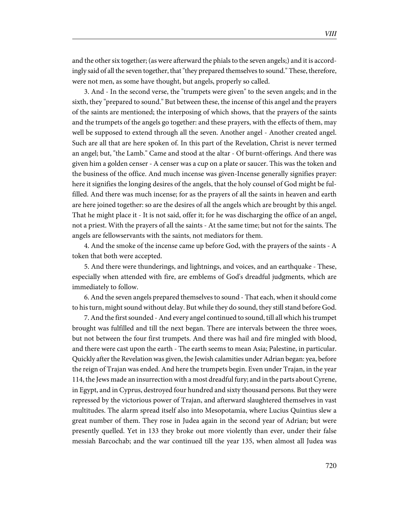and the other six together; (as were afterward the phials to the seven angels;) and it is accordingly said of all the seven together, that "they prepared themselves to sound." These, therefore, were not men, as some have thought, but angels, properly so called.

3. And - In the second verse, the "trumpets were given" to the seven angels; and in the sixth, they "prepared to sound." But between these, the incense of this angel and the prayers of the saints are mentioned; the interposing of which shows, that the prayers of the saints and the trumpets of the angels go together: and these prayers, with the effects of them, may well be supposed to extend through all the seven. Another angel - Another created angel. Such are all that are here spoken of. In this part of the Revelation, Christ is never termed an angel; but, "the Lamb." Came and stood at the altar - Of burnt-offerings. And there was given him a golden censer - A censer was a cup on a plate or saucer. This was the token and the business of the office. And much incense was given-Incense generally signifies prayer: here it signifies the longing desires of the angels, that the holy counsel of God might be fulfilled. And there was much incense; for as the prayers of all the saints in heaven and earth are here joined together: so are the desires of all the angels which are brought by this angel. That he might place it - It is not said, offer it; for he was discharging the office of an angel, not a priest. With the prayers of all the saints - At the same time; but not for the saints. The angels are fellowservants with the saints, not mediators for them.

4. And the smoke of the incense came up before God, with the prayers of the saints - A token that both were accepted.

5. And there were thunderings, and lightnings, and voices, and an earthquake - These, especially when attended with fire, are emblems of God's dreadful judgments, which are immediately to follow.

6. And the seven angels prepared themselves to sound - That each, when it should come to his turn, might sound without delay. But while they do sound, they still stand before God.

7. And the first sounded - And every angel continued to sound, till all which his trumpet brought was fulfilled and till the next began. There are intervals between the three woes, but not between the four first trumpets. And there was hail and fire mingled with blood, and there were cast upon the earth - The earth seems to mean Asia; Palestine, in particular. Quickly after the Revelation was given, the Jewish calamities under Adrian began: yea, before the reign of Trajan was ended. And here the trumpets begin. Even under Trajan, in the year 114, the Jews made an insurrection with a most dreadful fury; and in the parts about Cyrene, in Egypt, and in Cyprus, destroyed four hundred and sixty thousand persons. But they were repressed by the victorious power of Trajan, and afterward slaughtered themselves in vast multitudes. The alarm spread itself also into Mesopotamia, where Lucius Quintius slew a great number of them. They rose in Judea again in the second year of Adrian; but were presently quelled. Yet in 133 they broke out more violently than ever, under their false messiah Barcochab; and the war continued till the year 135, when almost all Judea was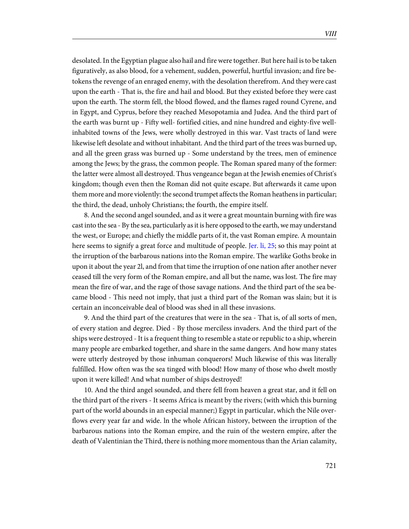desolated. In the Egyptian plague also hail and fire were together. But here hail is to be taken figuratively, as also blood, for a vehement, sudden, powerful, hurtful invasion; and fire betokens the revenge of an enraged enemy, with the desolation therefrom. And they were cast upon the earth - That is, the fire and hail and blood. But they existed before they were cast upon the earth. The storm fell, the blood flowed, and the flames raged round Cyrene, and in Egypt, and Cyprus, before they reached Mesopotamia and Judea. And the third part of the earth was burnt up - Fifty well- fortified cities, and nine hundred and eighty-five wellinhabited towns of the Jews, were wholly destroyed in this war. Vast tracts of land were likewise left desolate and without inhabitant. And the third part of the trees was burned up, and all the green grass was burned up - Some understand by the trees, men of eminence among the Jews; by the grass, the common people. The Roman spared many of the former: the latter were almost all destroyed. Thus vengeance began at the Jewish enemies of Christ's kingdom; though even then the Roman did not quite escape. But afterwards it came upon them more and more violently: the second trumpet affects the Roman heathens in particular; the third, the dead, unholy Christians; the fourth, the empire itself.

8. And the second angel sounded, and as it were a great mountain burning with fire was cast into the sea - By the sea, particularly as it is here opposed to the earth, we may understand the west, or Europe; and chiefly the middle parts of it, the vast Roman empire. A mountain here seems to signify a great force and multitude of people. [Jer. li, 25](http://www.ccel.org/study/Bible:Jer.51.25); so this may point at the irruption of the barbarous nations into the Roman empire. The warlike Goths broke in upon it about the year 2l, and from that time the irruption of one nation after another never ceased till the very form of the Roman empire, and all but the name, was lost. The fire may mean the fire of war, and the rage of those savage nations. And the third part of the sea became blood - This need not imply, that just a third part of the Roman was slain; but it is certain an inconceivable deal of blood was shed in all these invasions.

9. And the third part of the creatures that were in the sea - That is, of all sorts of men, of every station and degree. Died - By those merciless invaders. And the third part of the ships were destroyed - It is a frequent thing to resemble a state or republic to a ship, wherein many people are embarked together, and share in the same dangers. And how many states were utterly destroyed by those inhuman conquerors! Much likewise of this was literally fulfilled. How often was the sea tinged with blood! How many of those who dwelt mostly upon it were killed! And what number of ships destroyed!

10. And the third angel sounded, and there fell from heaven a great star, and it fell on the third part of the rivers - It seems Africa is meant by the rivers; (with which this burning part of the world abounds in an especial manner;) Egypt in particular, which the Nile overflows every year far and wide. ln the whole African history, between the irruption of the barbarous nations into the Roman empire, and the ruin of the western empire, after the death of Valentinian the Third, there is nothing more momentous than the Arian calamity,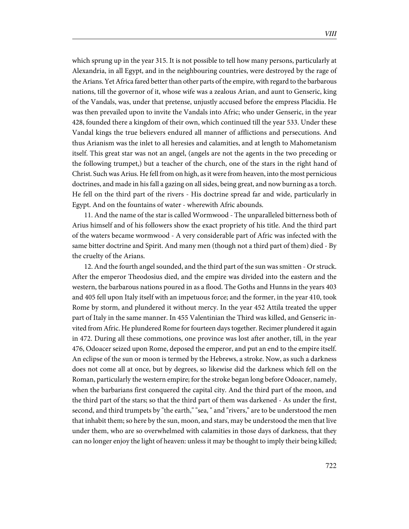which sprung up in the year 315. It is not possible to tell how many persons, particularly at Alexandria, in all Egypt, and in the neighbouring countries, were destroyed by the rage of the Arians. Yet Africa fared better than other parts of the empire, with regard to the barbarous nations, till the governor of it, whose wife was a zealous Arian, and aunt to Genseric, king of the Vandals, was, under that pretense, unjustly accused before the empress Placidia. He was then prevailed upon to invite the Vandals into Afric; who under Genseric, in the year 428, founded there a kingdom of their own, which continued till the year 533. Under these Vandal kings the true believers endured all manner of afflictions and persecutions. And thus Arianism was the inlet to all heresies and calamities, and at length to Mahometanism itself. This great star was not an angel, (angels are not the agents in the two preceding or the following trumpet,) but a teacher of the church, one of the stars in the right hand of Christ. Such was Arius. He fell from on high, as it were from heaven, into the most pernicious doctrines, and made in his fall a gazing on all sides, being great, and now burning as a torch. He fell on the third part of the rivers - His doctrine spread far and wide, particularly in Egypt. And on the fountains of water - wherewith Afric abounds.

11. And the name of the star is called Wormwood - The unparalleled bitterness both of Arius himself and of his followers show the exact propriety of his title. And the third part of the waters became wormwood - A very considerable part of Afric was infected with the same bitter doctrine and Spirit. And many men (though not a third part of them) died - By the cruelty of the Arians.

12. And the fourth angel sounded, and the third part of the sun was smitten - Or struck. After the emperor Theodosius died, and the empire was divided into the eastern and the western, the barbarous nations poured in as a flood. The Goths and Hunns in the years 403 and 405 fell upon Italy itself with an impetuous force; and the former, in the year 410, took Rome by storm, and plundered it without mercy. In the year 452 Attila treated the upper part of Italy in the same manner. In 455 Valentinian the Third was killed, and Genseric invited from Afric. He plundered Rome for fourteen days together. Recimer plundered it again in 472. During all these commotions, one province was lost after another, till, in the year 476, Odoacer seized upon Rome, deposed the emperor, and put an end to the empire itself. An eclipse of the sun or moon is termed by the Hebrews, a stroke. Now, as such a darkness does not come all at once, but by degrees, so likewise did the darkness which fell on the Roman, particularly the western empire; for the stroke began long before Odoacer, namely, when the barbarians first conquered the capital city. And the third part of the moon, and the third part of the stars; so that the third part of them was darkened - As under the first, second, and third trumpets by "the earth," "sea, " and "rivers," are to be understood the men that inhabit them; so here by the sun, moon, and stars, may be understood the men that live under them, who are so overwhelmed with calamities in those days of darkness, that they can no longer enjoy the light of heaven: unless it may be thought to imply their being killed;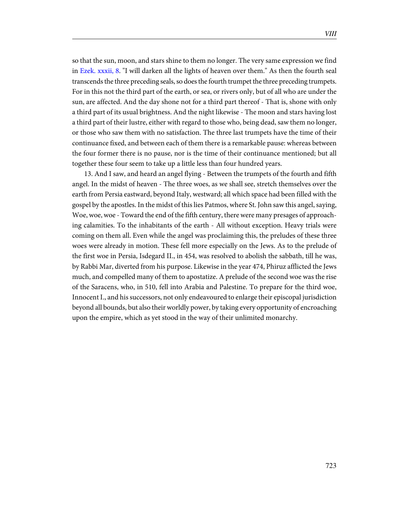so that the sun, moon, and stars shine to them no longer. The very same expression we find in [Ezek. xxxii, 8](http://www.ccel.org/study/Bible:Ezek.32.8). "I will darken all the lights of heaven over them." As then the fourth seal transcends the three preceding seals, so does the fourth trumpet the three preceding trumpets. For in this not the third part of the earth, or sea, or rivers only, but of all who are under the sun, are affected. And the day shone not for a third part thereof - That is, shone with only a third part of its usual brightness. And the night likewise - The moon and stars having lost a third part of their lustre, either with regard to those who, being dead, saw them no longer, or those who saw them with no satisfaction. The three last trumpets have the time of their continuance fixed, and between each of them there is a remarkable pause: whereas between the four former there is no pause, nor is the time of their continuance mentioned; but all together these four seem to take up a little less than four hundred years.

13. And I saw, and heard an angel flying - Between the trumpets of the fourth and fifth angel. In the midst of heaven - The three woes, as we shall see, stretch themselves over the earth from Persia eastward, beyond Italy, westward; all which space had been filled with the gospel by the apostles. In the midst of this lies Patmos, where St. John saw this angel, saying, Woe, woe, woe - Toward the end of the fifth century, there were many presages of approaching calamities. To the inhabitants of the earth - All without exception. Heavy trials were coming on them all. Even while the angel was proclaiming this, the preludes of these three woes were already in motion. These fell more especially on the Jews. As to the prelude of the first woe in Persia, Isdegard II., in 454, was resolved to abolish the sabbath, till he was, by Rabbi Mar, diverted from his purpose. Likewise in the year 474, Phiruz afflicted the Jews much, and compelled many of them to apostatize. A prelude of the second woe was the rise of the Saracens, who, in 510, fell into Arabia and Palestine. To prepare for the third woe, Innocent I., and his successors, not only endeavoured to enlarge their episcopal jurisdiction beyond all bounds, but also their worldly power, by taking every opportunity of encroaching upon the empire, which as yet stood in the way of their unlimited monarchy.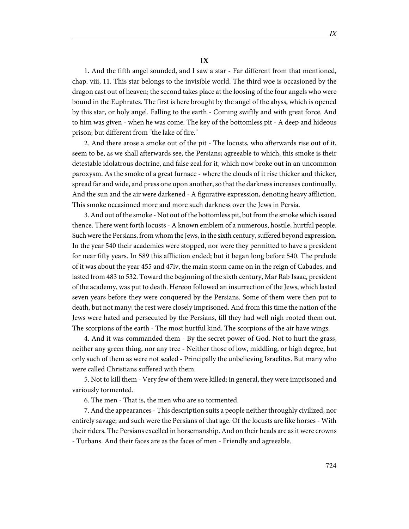1. And the fifth angel sounded, and I saw a star - Far different from that mentioned, chap. viii, 11. This star belongs to the invisible world. The third woe is occasioned by the dragon cast out of heaven; the second takes place at the loosing of the four angels who were bound in the Euphrates. The first is here brought by the angel of the abyss, which is opened by this star, or holy angel. Falling to the earth - Coming swiftly and with great force. And to him was given - when he was come. The key of the bottomless pit - A deep and hideous prison; but different from "the lake of fire."

2. And there arose a smoke out of the pit - The locusts, who afterwards rise out of it, seem to be, as we shall afterwards see, the Persians; agreeable to which, this smoke is their detestable idolatrous doctrine, and false zeal for it, which now broke out in an uncommon paroxysm. As the smoke of a great furnace - where the clouds of it rise thicker and thicker, spread far and wide, and press one upon another, so that the darkness increases continually. And the sun and the air were darkened - A figurative expression, denoting heavy affliction. This smoke occasioned more and more such darkness over the Jews in Persia.

3. And out of the smoke - Not out of the bottomless pit, but from the smoke which issued thence. There went forth locusts - A known emblem of a numerous, hostile, hurtful people. Such were the Persians, from whom the Jews, in the sixth century, suffered beyond expression. In the year 540 their academies were stopped, nor were they permitted to have a president for near fifty years. In 589 this affliction ended; but it began long before 540. The prelude of it was about the year 455 and 47iv, the main storm came on in the reign of Cabades, and lasted from 483 to 532. Toward the beginning of the sixth century, Mar Rab Isaac, president of the academy, was put to death. Hereon followed an insurrection of the Jews, which lasted seven years before they were conquered by the Persians. Some of them were then put to death, but not many; the rest were closely imprisoned. And from this time the nation of the Jews were hated and persecuted by the Persians, till they had well nigh rooted them out. The scorpions of the earth - The most hurtful kind. The scorpions of the air have wings.

4. And it was commanded them - By the secret power of God. Not to hurt the grass, neither any green thing, nor any tree - Neither those of low, middling, or high degree, but only such of them as were not sealed - Principally the unbelieving Israelites. But many who were called Christians suffered with them.

5. Not to kill them - Very few of them were killed: in general, they were imprisoned and variously tormented.

6. The men - That is, the men who are so tormented.

7. And the appearances - This description suits a people neither throughly civilized, nor entirely savage; and such were the Persians of that age. Of the locusts are like horses - With their riders. The Persians excelled in horsemanship. And on their heads are as it were crowns - Turbans. And their faces are as the faces of men - Friendly and agreeable.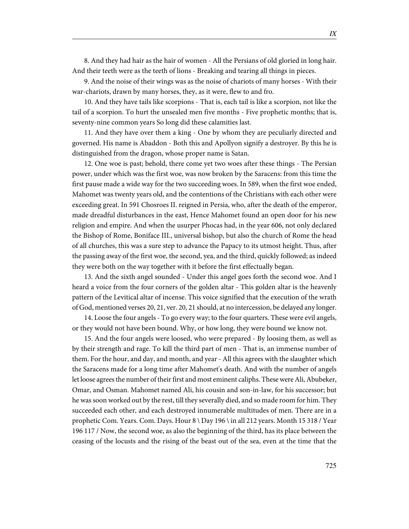8. And they had hair as the hair of women - All the Persians of old gloried in long hair. And their teeth were as the teeth of lions - Breaking and tearing all things in pieces.

9. And the noise of their wings was as the noise of chariots of many horses - With their war-chariots, drawn by many horses, they, as it were, flew to and fro.

10. And they have tails like scorpions - That is, each tail is like a scorpion, not like the tail of a scorpion. To hurt the unsealed men five months - Five prophetic months; that is, seventy-nine common years So long did these calamities last.

11. And they have over them a king - One by whom they are peculiarly directed and governed. His name is Abaddon - Both this and Apollyon signify a destroyer. By this he is distinguished from the dragon, whose proper name is Satan.

12. One woe is past; behold, there come yet two woes after these things - The Persian power, under which was the first woe, was now broken by the Saracens: from this time the first pause made a wide way for the two succeeding woes. In 589, when the first woe ended, Mahomet was twenty years old, and the contentions of the Christians with each other were exceeding great. In 591 Chosroes II. reigned in Persia, who, after the death of the emperor, made dreadful disturbances in the east, Hence Mahomet found an open door for his new religion and empire. And when the usurper Phocas had, in the year 606, not only declared the Bishop of Rome, Boniface III., universal bishop, but also the church of Rome the head of all churches, this was a sure step to advance the Papacy to its utmost height. Thus, after the passing away of the first woe, the second, yea, and the third, quickly followed; as indeed they were both on the way together with it before the first effectually began.

13. And the sixth angel sounded - Under this angel goes forth the second woe. And I heard a voice from the four corners of the golden altar - This golden altar is the heavenly pattern of the Levitical altar of incense. This voice signified that the execution of the wrath of God, mentioned verses 20, 21, ver. 20, 21 should, at no intercession, be delayed any longer.

14. Loose the four angels - To go every way; to the four quarters. These were evil angels, or they would not have been bound. Why, or how long, they were bound we know not.

15. And the four angels were loosed, who were prepared - By loosing them, as well as by their strength and rage. To kill the third part of men - That is, an immense number of them. For the hour, and day, and month, and year - All this agrees with the slaughter which the Saracens made for a long time after Mahomet's death. And with the number of angels let loose agrees the number of their first and most eminent caliphs. These were Ali, Abubeker, Omar, and Osman. Mahomet named Ali, his cousin and son-in-law, for his successor; but he was soon worked out by the rest, till they severally died, and so made room for him. They succeeded each other, and each destroyed innumerable multitudes of men. There are in a prophetic Com. Years. Com. Days. Hour 8 \ Day 196 \ in all 212 years. Month 15 318 / Year 196 117 / Now, the second woe, as also the beginning of the third, has its place between the ceasing of the locusts and the rising of the beast out of the sea, even at the time that the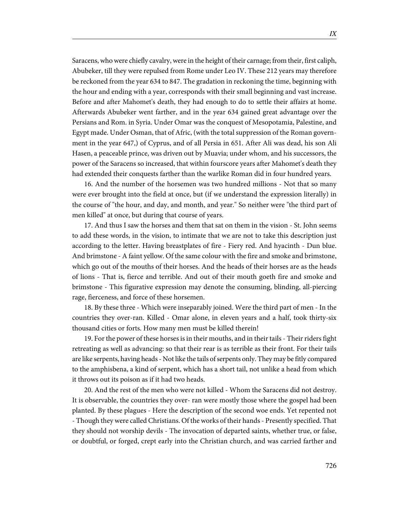Saracens, who were chiefly cavalry, were in the height of their carnage; from their, first caliph, Abubeker, till they were repulsed from Rome under Leo IV. These 212 years may therefore be reckoned from the year 634 to 847. The gradation in reckoning the time, beginning with the hour and ending with a year, corresponds with their small beginning and vast increase. Before and after Mahomet's death, they had enough to do to settle their affairs at home. Afterwards Abubeker went farther, and in the year 634 gained great advantage over the Persians and Rom. in Syria. Under Omar was the conquest of Mesopotamia, Palestine, and Egypt made. Under Osman, that of Afric, (with the total suppression of the Roman government in the year 647,) of Cyprus, and of all Persia in 651. After Ali was dead, his son Ali Hasen, a peaceable prince, was driven out by Muavia; under whom, and his successors, the power of the Saracens so increased, that within fourscore years after Mahomet's death they had extended their conquests farther than the warlike Roman did in four hundred years.

16. And the number of the horsemen was two hundred millions - Not that so many were ever brought into the field at once, but (if we understand the expression literally) in the course of "the hour, and day, and month, and year." So neither were "the third part of men killed" at once, but during that course of years.

17. And thus I saw the horses and them that sat on them in the vision - St. John seems to add these words, in the vision, to intimate that we are not to take this description just according to the letter. Having breastplates of fire - Fiery red. And hyacinth - Dun blue. And brimstone - A faint yellow. Of the same colour with the fire and smoke and brimstone, which go out of the mouths of their horses. And the heads of their horses are as the heads of lions - That is, fierce and terrible. And out of their mouth goeth fire and smoke and brimstone - This figurative expression may denote the consuming, blinding, all-piercing rage, fierceness, and force of these horsemen.

18. By these three - Which were inseparably joined. Were the third part of men - In the countries they over-ran. Killed - Omar alone, in eleven years and a half, took thirty-six thousand cities or forts. How many men must be killed therein!

19. For the power of these horses is in their mouths, and in their tails - Their riders fight retreating as well as advancing: so that their rear is as terrible as their front. For their tails are like serpents, having heads - Not like the tails of serpents only. They may be fitly compared to the amphisbena, a kind of serpent, which has a short tail, not unlike a head from which it throws out its poison as if it had two heads.

20. And the rest of the men who were not killed - Whom the Saracens did not destroy. It is observable, the countries they over- ran were mostly those where the gospel had been planted. By these plagues - Here the description of the second woe ends. Yet repented not - Though they were called Christians. Of the works of their hands - Presently specified. That they should not worship devils - The invocation of departed saints, whether true, or false, or doubtful, or forged, crept early into the Christian church, and was carried farther and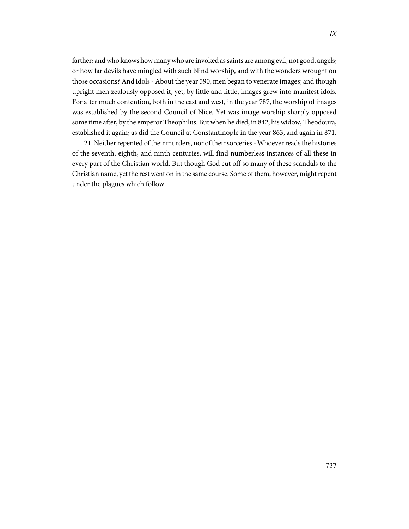farther; and who knows how many who are invoked as saints are among evil, not good, angels; or how far devils have mingled with such blind worship, and with the wonders wrought on those occasions? And idols - About the year 590, men began to venerate images; and though upright men zealously opposed it, yet, by little and little, images grew into manifest idols. For after much contention, both in the east and west, in the year 787, the worship of images was established by the second Council of Nice. Yet was image worship sharply opposed some time after, by the emperor Theophilus. But when he died, in 842, his widow, Theodoura, established it again; as did the Council at Constantinople in the year 863, and again in 871.

21. Neither repented of their murders, nor of their sorceries - Whoever reads the histories of the seventh, eighth, and ninth centuries, will find numberless instances of all these in every part of the Christian world. But though God cut off so many of these scandals to the Christian name, yet the rest went on in the same course. Some of them, however, might repent under the plagues which follow.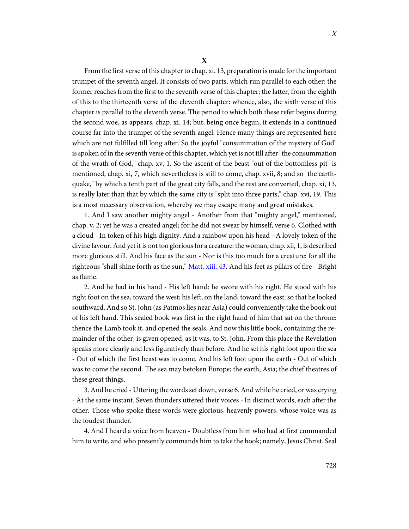From the first verse of this chapter to chap. xi. 13, preparation is made for the important trumpet of the seventh angel. It consists of two parts, which run parallel to each other: the former reaches from the first to the seventh verse of this chapter; the latter, from the eighth of this to the thirteenth verse of the eleventh chapter: whence, also, the sixth verse of this chapter is parallel to the eleventh verse. The period to which both these refer begins during the second woe, as appears, chap. xi. 14; but, being once begun, it extends in a continued course far into the trumpet of the seventh angel. Hence many things are represented here which are not fulfilled till long after. So the joyful "consummation of the mystery of God" is spoken of in the seventh verse of this chapter, which yet is not till after "the consummation of the wrath of God," chap. xv, 1. So the ascent of the beast "out of the bottomless pit" is mentioned, chap. xi, 7, which nevertheless is still to come, chap. xvii, 8; and so "the earthquake," by which a tenth part of the great city falls, and the rest are converted, chap. xi, 13, is really later than that by which the same city is "split into three parts," chap. xvi, 19. This is a most necessary observation, whereby we may escape many and great mistakes.

1. And I saw another mighty angel - Another from that "mighty angel," mentioned, chap. v, 2; yet he was a created angel; for he did not swear by himself, verse 6. Clothed with a cloud - In token of his high dignity. And a rainbow upon his head - A lovely token of the divine favour. And yet it is not too glorious for a creature: the woman, chap. xii, 1, is described more glorious still. And his face as the sun - Nor is this too much for a creature: for all the righteous "shall shine forth as the sun," [Matt. xiii, 43](http://www.ccel.org/study/Bible:Matt.13.43). And his feet as pillars of fire - Bright as flame.

2. And he had in his hand - His left hand: he swore with his right. He stood with his right foot on the sea, toward the west; his left, on the land, toward the east: so that he looked southward. And so St. John (as Patmos lies near Asia) could conveniently take the book out of his left hand. This sealed book was first in the right hand of him that sat on the throne: thence the Lamb took it, and opened the seals. And now this little book, containing the remainder of the other, is given opened, as it was, to St. John. From this place the Revelation speaks more clearly and less figuratively than before. And he set his right foot upon the sea - Out of which the first beast was to come. And his left foot upon the earth - Out of which was to come the second. The sea may betoken Europe; the earth, Asia; the chief theatres of these great things.

3. And he cried - Uttering the words set down, verse 6. And while he cried, or was crying - At the same instant. Seven thunders uttered their voices - In distinct words, each after the other. Those who spoke these words were glorious, heavenly powers, whose voice was as the loudest thunder.

4. And I heard a voice from heaven - Doubtless from him who had at first commanded him to write, and who presently commands him to take the book; namely, Jesus Christ. Seal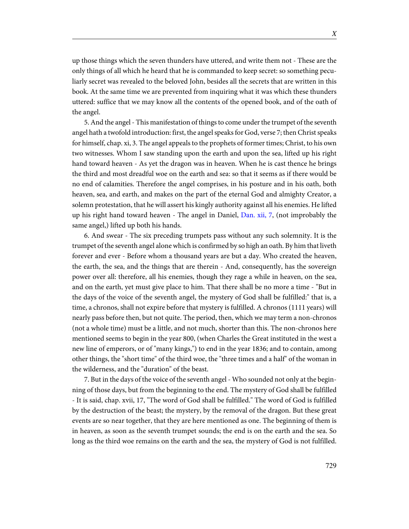up those things which the seven thunders have uttered, and write them not - These are the only things of all which he heard that he is commanded to keep secret: so something peculiarly secret was revealed to the beloved John, besides all the secrets that are written in this book. At the same time we are prevented from inquiring what it was which these thunders uttered: suffice that we may know all the contents of the opened book, and of the oath of the angel.

5. And the angel - This manifestation of things to come under the trumpet of the seventh angel hath a twofold introduction: first, the angel speaks for God, verse 7; then Christ speaks for himself, chap. xi, 3. The angel appeals to the prophets of former times; Christ, to his own two witnesses. Whom I saw standing upon the earth and upon the sea, lifted up his right hand toward heaven - As yet the dragon was in heaven. When he is cast thence he brings the third and most dreadful woe on the earth and sea: so that it seems as if there would be no end of calamities. Therefore the angel comprises, in his posture and in his oath, both heaven, sea, and earth, and makes on the part of the eternal God and almighty Creator, a solemn protestation, that he will assert his kingly authority against all his enemies. He lifted up his right hand toward heaven - The angel in Daniel, [Dan. xii, 7,](http://www.ccel.org/study/Bible:Dan.12.7) (not improbably the same angel,) lifted up both his hands.

6. And swear - The six preceding trumpets pass without any such solemnity. It is the trumpet of the seventh angel alone which is confirmed by so high an oath. By him that liveth forever and ever - Before whom a thousand years are but a day. Who created the heaven, the earth, the sea, and the things that are therein - And, consequently, has the sovereign power over all: therefore, all his enemies, though they rage a while in heaven, on the sea, and on the earth, yet must give place to him. That there shall be no more a time - "But in the days of the voice of the seventh angel, the mystery of God shall be fulfilled:" that is, a time, a chronos, shall not expire before that mystery is fulfilled. A chronos (1111 years) will nearly pass before then, but not quite. The period, then, which we may term a non-chronos (not a whole time) must be a little, and not much, shorter than this. The non-chronos here mentioned seems to begin in the year 800, (when Charles the Great instituted in the west a new line of emperors, or of "many kings,") to end in the year 1836; and to contain, among other things, the "short time" of the third woe, the "three times and a half" of the woman in the wilderness, and the "duration" of the beast.

7. But in the days of the voice of the seventh angel - Who sounded not only at the beginning of those days, but from the beginning to the end. The mystery of God shall be fulfilled - It is said, chap. xvii, 17, "The word of God shall be fulfilled." The word of God is fulfilled by the destruction of the beast; the mystery, by the removal of the dragon. But these great events are so near together, that they are here mentioned as one. The beginning of them is in heaven, as soon as the seventh trumpet sounds; the end is on the earth and the sea. So long as the third woe remains on the earth and the sea, the mystery of God is not fulfilled.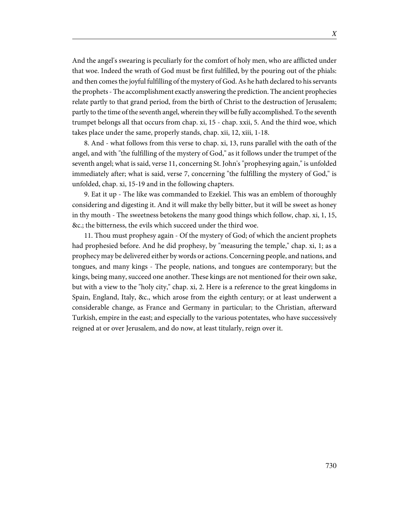And the angel's swearing is peculiarly for the comfort of holy men, who are afflicted under that woe. Indeed the wrath of God must be first fulfilled, by the pouring out of the phials: and then comes the joyful fulfilling of the mystery of God. As he hath declared to his servants the prophets - The accomplishment exactly answering the prediction. The ancient prophecies relate partly to that grand period, from the birth of Christ to the destruction of Jerusalem; partly to the time of the seventh angel, wherein they will be fully accomplished. To the seventh trumpet belongs all that occurs from chap. xi, 15 - chap. xxii, 5. And the third woe, which takes place under the same, properly stands, chap. xii, 12, xiii, 1-18.

8. And - what follows from this verse to chap. xi, 13, runs parallel with the oath of the angel, and with "the fulfilling of the mystery of God," as it follows under the trumpet of the seventh angel; what is said, verse 11, concerning St. John's "prophesying again," is unfolded immediately after; what is said, verse 7, concerning "the fulfilling the mystery of God," is unfolded, chap. xi, 15-19 and in the following chapters.

9. Eat it up - The like was commanded to Ezekiel. This was an emblem of thoroughly considering and digesting it. And it will make thy belly bitter, but it will be sweet as honey in thy mouth - The sweetness betokens the many good things which follow, chap. xi, 1, 15, &c.; the bitterness, the evils which succeed under the third woe.

11. Thou must prophesy again - Of the mystery of God; of which the ancient prophets had prophesied before. And he did prophesy, by "measuring the temple," chap. xi, 1; as a prophecy may be delivered either by words or actions. Concerning people, and nations, and tongues, and many kings - The people, nations, and tongues are contemporary; but the kings, being many, succeed one another. These kings are not mentioned for their own sake, but with a view to the "holy city," chap. xi, 2. Here is a reference to the great kingdoms in Spain, England, Italy, &c., which arose from the eighth century; or at least underwent a considerable change, as France and Germany in particular; to the Christian, afterward Turkish, empire in the east; and especially to the various potentates, who have successively reigned at or over Jerusalem, and do now, at least titularly, reign over it.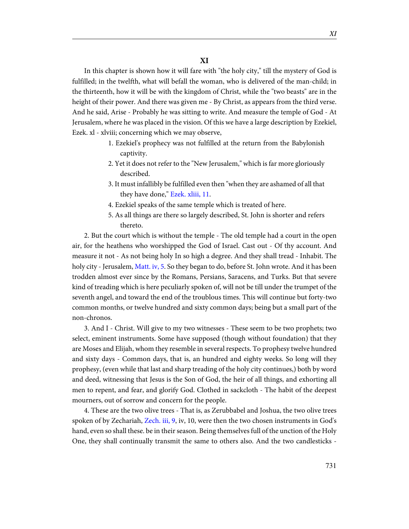In this chapter is shown how it will fare with "the holy city," till the mystery of God is fulfilled; in the twelfth, what will befall the woman, who is delivered of the man-child; in the thirteenth, how it will be with the kingdom of Christ, while the "two beasts" are in the height of their power. And there was given me - By Christ, as appears from the third verse. And he said, Arise - Probably he was sitting to write. And measure the temple of God - At Jerusalem, where he was placed in the vision. Of this we have a large description by Ezekiel, Ezek. xl - xlviii; concerning which we may observe,

- 1. Ezekiel's prophecy was not fulfilled at the return from the Babylonish captivity.
- 2. Yet it does not refer to the "New Jerusalem," which is far more gloriously described.
- 3. It must infallibly be fulfilled even then "when they are ashamed of all that they have done," [Ezek. xliii, 11](http://www.ccel.org/study/Bible:Ezek.43.11).
- 4. Ezekiel speaks of the same temple which is treated of here.
- 5. As all things are there so largely described, St. John is shorter and refers thereto.

2. But the court which is without the temple - The old temple had a court in the open air, for the heathens who worshipped the God of Israel. Cast out - Of thy account. And measure it not - As not being holy In so high a degree. And they shall tread - Inhabit. The holy city - Jerusalem, [Matt. iv, 5.](http://www.ccel.org/study/Bible:Matt.4.5) So they began to do, before St. John wrote. And it has been trodden almost ever since by the Romans, Persians, Saracens, and Turks. But that severe kind of treading which is here peculiarly spoken of, will not be till under the trumpet of the seventh angel, and toward the end of the troublous times. This will continue but forty-two common months, or twelve hundred and sixty common days; being but a small part of the non-chronos.

3. And I - Christ. Will give to my two witnesses - These seem to be two prophets; two select, eminent instruments. Some have supposed (though without foundation) that they are Moses and Elijah, whom they resemble in several respects. To prophesy twelve hundred and sixty days - Common days, that is, an hundred and eighty weeks. So long will they prophesy, (even while that last and sharp treading of the holy city continues,) both by word and deed, witnessing that Jesus is the Son of God, the heir of all things, and exhorting all men to repent, and fear, and glorify God. Clothed in sackcloth - The habit of the deepest mourners, out of sorrow and concern for the people.

4. These are the two olive trees - That is, as Zerubbabel and Joshua, the two olive trees spoken of by Zechariah, [Zech. iii, 9](http://www.ccel.org/study/Bible:Zech.3.9), iv, 10, were then the two chosen instruments in God's hand, even so shall these. be in their season. Being themselves full of the unction of the Holy One, they shall continually transmit the same to others also. And the two candlesticks -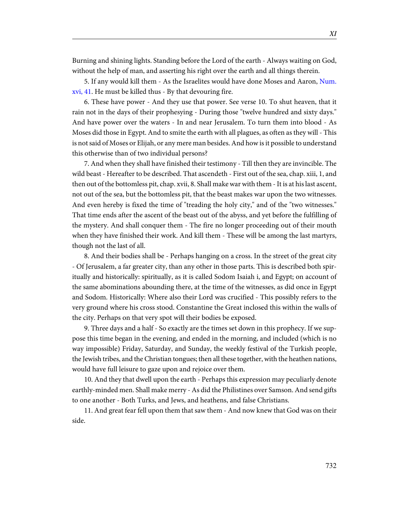Burning and shining lights. Standing before the Lord of the earth - Always waiting on God, without the help of man, and asserting his right over the earth and all things therein.

5. If any would kill them - As the Israelites would have done Moses and Aaron, [Num.](http://www.ccel.org/study/Bible:Num.16.41) [xvi, 41.](http://www.ccel.org/study/Bible:Num.16.41) He must be killed thus - By that devouring fire.

6. These have power - And they use that power. See verse 10. To shut heaven, that it rain not in the days of their prophesying - During those "twelve hundred and sixty days." And have power over the waters - In and near Jerusalem. To turn them into blood - As Moses did those in Egypt. And to smite the earth with all plagues, as often as they will - This is not said of Moses or Elijah, or any mere man besides. And how is it possible to understand this otherwise than of two individual persons?

7. And when they shall have finished their testimony - Till then they are invincible. The wild beast - Hereafter to be described. That ascendeth - First out of the sea, chap. xiii, 1, and then out of the bottomless pit, chap. xvii, 8. Shall make war with them - It is at his last ascent, not out of the sea, but the bottomless pit, that the beast makes war upon the two witnesses. And even hereby is fixed the time of "treading the holy city," and of the "two witnesses." That time ends after the ascent of the beast out of the abyss, and yet before the fulfilling of the mystery. And shall conquer them - The fire no longer proceeding out of their mouth when they have finished their work. And kill them - These will be among the last martyrs, though not the last of all.

8. And their bodies shall be - Perhaps hanging on a cross. In the street of the great city - Of Jerusalem, a far greater city, than any other in those parts. This is described both spiritually and historically: spiritually, as it is called Sodom Isaiah i, and Egypt; on account of the same abominations abounding there, at the time of the witnesses, as did once in Egypt and Sodom. Historically: Where also their Lord was crucified - This possibly refers to the very ground where his cross stood. Constantine the Great inclosed this within the walls of the city. Perhaps on that very spot will their bodies be exposed.

9. Three days and a half - So exactly are the times set down in this prophecy. If we suppose this time began in the evening, and ended in the morning, and included (which is no way impossible) Friday, Saturday, and Sunday, the weekly festival of the Turkish people, the Jewish tribes, and the Christian tongues; then all these together, with the heathen nations, would have full leisure to gaze upon and rejoice over them.

10. And they that dwell upon the earth - Perhaps this expression may peculiarly denote earthly-minded men. Shall make merry - As did the Philistines over Samson. And send gifts to one another - Both Turks, and Jews, and heathens, and false Christians.

11. And great fear fell upon them that saw them - And now knew that God was on their side.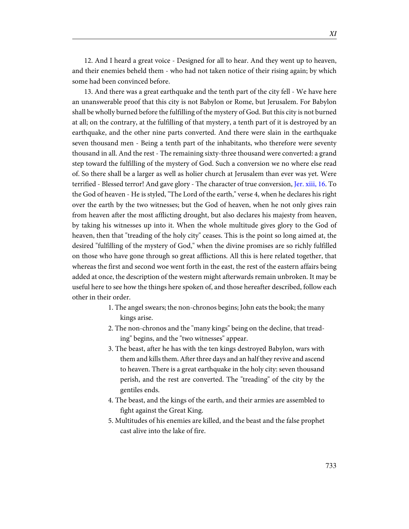12. And I heard a great voice - Designed for all to hear. And they went up to heaven, and their enemies beheld them - who had not taken notice of their rising again; by which some had been convinced before.

13. And there was a great earthquake and the tenth part of the city fell - We have here an unanswerable proof that this city is not Babylon or Rome, but Jerusalem. For Babylon shall be wholly burned before the fulfilling of the mystery of God. But this city is not burned at all; on the contrary, at the fulfilling of that mystery, a tenth part of it is destroyed by an earthquake, and the other nine parts converted. And there were slain in the earthquake seven thousand men - Being a tenth part of the inhabitants, who therefore were seventy thousand in all. And the rest - The remaining sixty-three thousand were converted: a grand step toward the fulfilling of the mystery of God. Such a conversion we no where else read of. So there shall be a larger as well as holier church at Jerusalem than ever was yet. Were terrified - Blessed terror! And gave glory - The character of true conversion, [Jer. xiii, 16.](http://www.ccel.org/study/Bible:Jer.13.16) To the God of heaven - He is styled, "The Lord of the earth," verse 4, when he declares his right over the earth by the two witnesses; but the God of heaven, when he not only gives rain from heaven after the most afflicting drought, but also declares his majesty from heaven, by taking his witnesses up into it. When the whole multitude gives glory to the God of heaven, then that "treading of the holy city" ceases. This is the point so long aimed at, the desired "fulfilling of the mystery of God," when the divine promises are so richly fulfilled on those who have gone through so great afflictions. All this is here related together, that whereas the first and second woe went forth in the east, the rest of the eastern affairs being added at once, the description of the western might afterwards remain unbroken. It may be useful here to see how the things here spoken of, and those hereafter described, follow each other in their order.

- 1. The angel swears; the non-chronos begins; John eats the book; the many kings arise.
- 2. The non-chronos and the "many kings" being on the decline, that treading" begins, and the "two witnesses" appear.
- 3. The beast, after he has with the ten kings destroyed Babylon, wars with them and kills them. After three days and an half they revive and ascend to heaven. There is a great earthquake in the holy city: seven thousand perish, and the rest are converted. The "treading" of the city by the gentiles ends.
- 4. The beast, and the kings of the earth, and their armies are assembled to fight against the Great King.
- 5. Multitudes of his enemies are killed, and the beast and the false prophet cast alive into the lake of fire.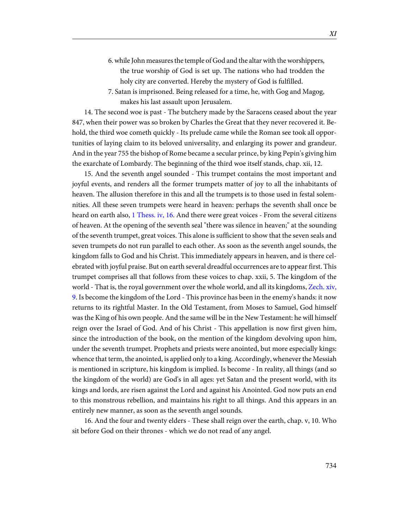- 6. while John measures the temple of God and the altar with the worshippers, the true worship of God is set up. The nations who had trodden the holy city are converted. Hereby the mystery of God is fulfilled.
- 7. Satan is imprisoned. Being released for a time, he, with Gog and Magog, makes his last assault upon Jerusalem.

14. The second woe is past - The butchery made by the Saracens ceased about the year 847, when their power was so broken by Charles the Great that they never recovered it. Behold, the third woe cometh quickly - Its prelude came while the Roman see took all opportunities of laying claim to its beloved universality, and enlarging its power and grandeur. And in the year 755 the bishop of Rome became a secular prince, by king Pepin's giving him the exarchate of Lombardy. The beginning of the third woe itself stands, chap. xii, 12.

15. And the seventh angel sounded - This trumpet contains the most important and joyful events, and renders all the former trumpets matter of joy to all the inhabitants of heaven. The allusion therefore in this and all the trumpets is to those used in festal solemnities. All these seven trumpets were heard in heaven: perhaps the seventh shall once be heard on earth also, [1 Thess. iv, 16.](http://www.ccel.org/study/Bible:1Thess.4.16) And there were great voices - From the several citizens of heaven. At the opening of the seventh seal "there was silence in heaven;" at the sounding of the seventh trumpet, great voices. This alone is sufficient to show that the seven seals and seven trumpets do not run parallel to each other. As soon as the seventh angel sounds, the kingdom falls to God and his Christ. This immediately appears in heaven, and is there celebrated with joyful praise. But on earth several dreadful occurrences are to appear first. This trumpet comprises all that follows from these voices to chap. xxii, 5. The kingdom of the world - That is, the royal government over the whole world, and all its kingdoms, [Zech. xiv,](http://www.ccel.org/study/Bible:Zech.14.9) [9](http://www.ccel.org/study/Bible:Zech.14.9). Is become the kingdom of the Lord - This province has been in the enemy's hands: it now returns to its rightful Master. In the Old Testament, from Moses to Samuel, God himself was the King of his own people. And the same will be in the New Testament: he will himself reign over the Israel of God. And of his Christ - This appellation is now first given him, since the introduction of the book, on the mention of the kingdom devolving upon him, under the seventh trumpet. Prophets and priests were anointed, but more especially kings: whence that term, the anointed, is applied only to a king. Accordingly, whenever the Messiah is mentioned in scripture, his kingdom is implied. Is become - In reality, all things (and so the kingdom of the world) are God's in all ages: yet Satan and the present world, with its kings and lords, are risen against the Lord and against his Anointed. God now puts an end to this monstrous rebellion, and maintains his right to all things. And this appears in an entirely new manner, as soon as the seventh angel sounds.

16. And the four and twenty elders - These shall reign over the earth, chap. v, 10. Who sit before God on their thrones - which we do not read of any angel.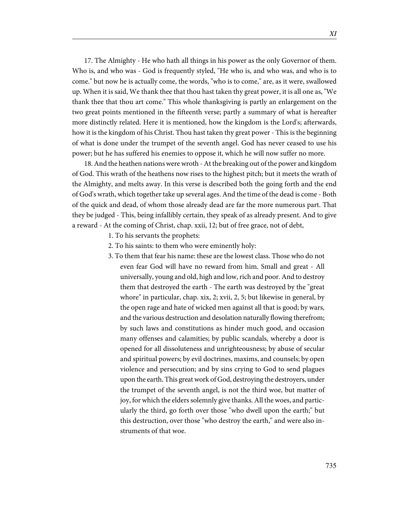17. The Almighty - He who hath all things in his power as the only Governor of them. Who is, and who was - God is frequently styled, "He who is, and who was, and who is to come." but now he is actually come, the words, "who is to come," are, as it were, swallowed up. When it is said, We thank thee that thou hast taken thy great power, it is all one as, "We thank thee that thou art come." This whole thanksgiving is partly an enlargement on the two great points mentioned in the fifteenth verse; partly a summary of what is hereafter more distinctly related. Here it is mentioned, how the kingdom is the Lord's; afterwards, how it is the kingdom of his Christ. Thou hast taken thy great power - This is the beginning of what is done under the trumpet of the seventh angel. God has never ceased to use his power; but he has suffered his enemies to oppose it, which he will now suffer no more.

18. And the heathen nations were wroth - At the breaking out of the power and kingdom of God. This wrath of the heathens now rises to the highest pitch; but it meets the wrath of the Almighty, and melts away. In this verse is described both the going forth and the end of God's wrath, which together take up several ages. And the time of the dead is come - Both of the quick and dead, of whom those already dead are far the more numerous part. That they be judged - This, being infallibly certain, they speak of as already present. And to give a reward - At the coming of Christ, chap. xxii, 12; but of free grace, not of debt,

- 1. To his servants the prophets:
- 2. To his saints: to them who were eminently holy:
- 3. To them that fear his name: these are the lowest class. Those who do not even fear God will have no reward from him. Small and great - All universally, young and old, high and low, rich and poor. And to destroy them that destroyed the earth - The earth was destroyed by the "great whore" in particular, chap. xix, 2; xvii, 2, 5; but likewise in general, by the open rage and hate of wicked men against all that is good; by wars, and the various destruction and desolation naturally flowing therefrom; by such laws and constitutions as hinder much good, and occasion many offenses and calamities; by public scandals, whereby a door is opened for all dissoluteness and unrighteousness; by abuse of secular and spiritual powers; by evil doctrines, maxims, and counsels; by open violence and persecution; and by sins crying to God to send plagues upon the earth. This great work of God, destroying the destroyers, under the trumpet of the seventh angel, is not the third woe, but matter of joy, for which the elders solemnly give thanks. All the woes, and particularly the third, go forth over those "who dwell upon the earth;" but this destruction, over those "who destroy the earth," and were also instruments of that woe.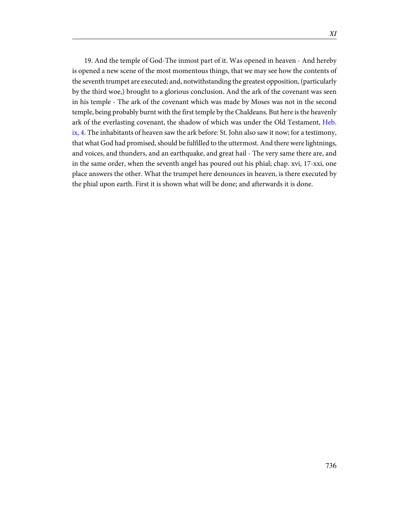19. And the temple of God-The inmost part of it. Was opened in heaven - And hereby is opened a new scene of the most momentous things, that we may see how the contents of the seventh trumpet are executed; and, notwithstanding the greatest opposition, (particularly by the third woe,) brought to a glorious conclusion. And the ark of the covenant was seen in his temple - The ark of the covenant which was made by Moses was not in the second temple, being probably burnt with the first temple by the Chaldeans. But here is the heavenly ark of the everlasting covenant, the shadow of which was under the Old Testament, [Heb.](http://www.ccel.org/study/Bible:Heb.9.4) [ix, 4.](http://www.ccel.org/study/Bible:Heb.9.4) The inhabitants of heaven saw the ark before: St. John also saw it now; for a testimony, that what God had promised, should be fulfilled to the uttermost. And there were lightnings, and voices, and thunders, and an earthquake, and great hail - The very same there are, and in the same order, when the seventh angel has poured out his phial; chap. xvi, 17-xxi, one place answers the other. What the trumpet here denounces in heaven, is there executed by the phial upon earth. First it is shown what will be done; and afterwards it is done.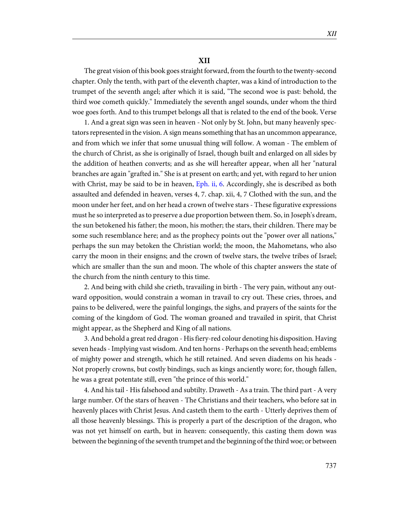## **XII**

The great vision of this book goes straight forward, from the fourth to the twenty-second chapter. Only the tenth, with part of the eleventh chapter, was a kind of introduction to the trumpet of the seventh angel; after which it is said, "The second woe is past: behold, the third woe cometh quickly." Immediately the seventh angel sounds, under whom the third woe goes forth. And to this trumpet belongs all that is related to the end of the book. Verse

1. And a great sign was seen in heaven - Not only by St. John, but many heavenly spectators represented in the vision. A sign means something that has an uncommon appearance, and from which we infer that some unusual thing will follow. A woman - The emblem of the church of Christ, as she is originally of Israel, though built and enlarged on all sides by the addition of heathen converts; and as she will hereafter appear, when all her "natural branches are again "grafted in." She is at present on earth; and yet, with regard to her union with Christ, may be said to be in heaven, [Eph. ii, 6.](http://www.ccel.org/study/Bible:Eph.2.6) Accordingly, she is described as both assaulted and defended in heaven, verses 4, 7. chap. xii, 4, 7 Clothed with the sun, and the moon under her feet, and on her head a crown of twelve stars - These figurative expressions must he so interpreted as to preserve a due proportion between them. So, in Joseph's dream, the sun betokened his father; the moon, his mother; the stars, their children. There may be some such resemblance here; and as the prophecy points out the "power over all nations," perhaps the sun may betoken the Christian world; the moon, the Mahometans, who also carry the moon in their ensigns; and the crown of twelve stars, the twelve tribes of Israel; which are smaller than the sun and moon. The whole of this chapter answers the state of the church from the ninth century to this time.

2. And being with child she crieth, travailing in birth - The very pain, without any outward opposition, would constrain a woman in travail to cry out. These cries, throes, and pains to be delivered, were the painful longings, the sighs, and prayers of the saints for the coming of the kingdom of God. The woman groaned and travailed in spirit, that Christ might appear, as the Shepherd and King of all nations.

3. And behold a great red dragon - His fiery-red colour denoting his disposition. Having seven heads - Implying vast wisdom. And ten horns - Perhaps on the seventh head; emblems of mighty power and strength, which he still retained. And seven diadems on his heads - Not properly crowns, but costly bindings, such as kings anciently wore; for, though fallen, he was a great potentate still, even "the prince of this world."

4. And his tail - His falsehood and subtilty. Draweth - As a train. The third part - A very large number. Of the stars of heaven - The Christians and their teachers, who before sat in heavenly places with Christ Jesus. And casteth them to the earth - Utterly deprives them of all those heavenly blessings. This is properly a part of the description of the dragon, who was not yet himself on earth, but in heaven: consequently, this casting them down was between the beginning of the seventh trumpet and the beginning of the third woe; or between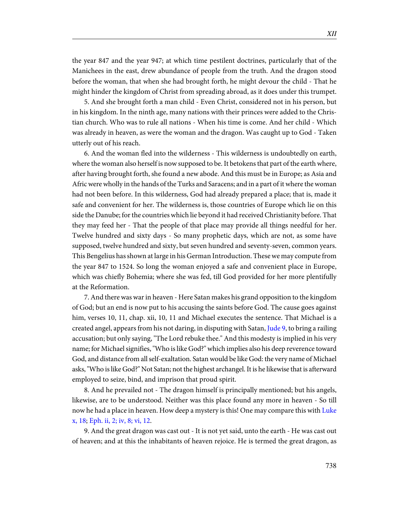the year 847 and the year 947; at which time pestilent doctrines, particularly that of the Manichees in the east, drew abundance of people from the truth. And the dragon stood before the woman, that when she had brought forth, he might devour the child - That he might hinder the kingdom of Christ from spreading abroad, as it does under this trumpet.

5. And she brought forth a man child - Even Christ, considered not in his person, but in his kingdom. In the ninth age, many nations with their princes were added to the Christian church. Who was to rule all nations - When his time is come. And her child - Which was already in heaven, as were the woman and the dragon. Was caught up to God - Taken utterly out of his reach.

6. And the woman fled into the wilderness - This wilderness is undoubtedly on earth, where the woman also herself is now supposed to be. It betokens that part of the earth where, after having brought forth, she found a new abode. And this must be in Europe; as Asia and Afric were wholly in the hands of the Turks and Saracens; and in a part of it where the woman had not been before. In this wilderness, God had already prepared a place; that is, made it safe and convenient for her. The wilderness is, those countries of Europe which lie on this side the Danube; for the countries which lie beyond it had received Christianity before. That they may feed her - That the people of that place may provide all things needful for her. Twelve hundred and sixty days - So many prophetic days, which are not, as some have supposed, twelve hundred and sixty, but seven hundred and seventy-seven, common years. This Bengelius has shown at large in his German Introduction. These we may compute from the year 847 to 1524. So long the woman enjoyed a safe and convenient place in Europe, which was chiefly Bohemia; where she was fed, till God provided for her more plentifully at the Reformation.

7. And there was war in heaven - Here Satan makes his grand opposition to the kingdom of God; but an end is now put to his accusing the saints before God. The cause goes against him, verses 10, 11, chap. xii, 10, 11 and Michael executes the sentence. That Michael is a created angel, appears from his not daring, in disputing with Satan, [Jude 9](http://www.ccel.org/study/Bible:Jude.1.9), to bring a railing accusation; but only saying, "The Lord rebuke thee." And this modesty is implied in his very name; for Michael signifies, "Who is like God?" which implies also his deep reverence toward God, and distance from all self-exaltation. Satan would be like God: the very name of Michael asks, "Who is like God?" Not Satan; not the highest archangel. It is he likewise that is afterward employed to seize, bind, and imprison that proud spirit.

8. And he prevailed not - The dragon himself is principally mentioned; but his angels, likewise, are to be understood. Neither was this place found any more in heaven - So till now he had a place in heaven. How deep a mystery is this! One may compare this with [Luke](http://www.ccel.org/study/Bible:Luke.10.18) [x, 18;](http://www.ccel.org/study/Bible:Luke.10.18) [Eph. ii, 2; iv, 8; vi, 12.](http://www.ccel.org/study/Bible:Eph.2.2 Bible:Eph.4.8 Bible:Eph.6.12)

9. And the great dragon was cast out - It is not yet said, unto the earth - He was cast out of heaven; and at this the inhabitants of heaven rejoice. He is termed the great dragon, as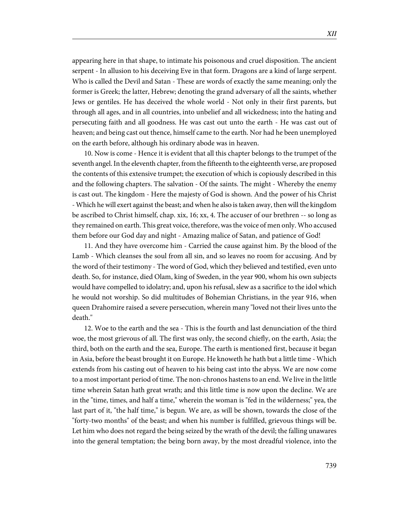appearing here in that shape, to intimate his poisonous and cruel disposition. The ancient serpent - In allusion to his deceiving Eve in that form. Dragons are a kind of large serpent. Who is called the Devil and Satan - These are words of exactly the same meaning; only the former is Greek; the latter, Hebrew; denoting the grand adversary of all the saints, whether Jews or gentiles. He has deceived the whole world - Not only in their first parents, but through all ages, and in all countries, into unbelief and all wickedness; into the hating and persecuting faith and all goodness. He was cast out unto the earth - He was cast out of heaven; and being cast out thence, himself came to the earth. Nor had he been unemployed on the earth before, although his ordinary abode was in heaven.

10. Now is come - Hence it is evident that all this chapter belongs to the trumpet of the seventh angel. In the eleventh chapter, from the fifteenth to the eighteenth verse, are proposed the contents of this extensive trumpet; the execution of which is copiously described in this and the following chapters. The salvation - Of the saints. The might - Whereby the enemy is cast out. The kingdom - Here the majesty of God is shown. And the power of his Christ - Which he will exert against the beast; and when he also is taken away, then will the kingdom be ascribed to Christ himself, chap. xix, 16; xx, 4. The accuser of our brethren -- so long as they remained on earth. This great voice, therefore, was the voice of men only. Who accused them before our God day and night - Amazing malice of Satan, and patience of God!

11. And they have overcome him - Carried the cause against him. By the blood of the Lamb - Which cleanses the soul from all sin, and so leaves no room for accusing. And by the word of their testimony - The word of God, which they believed and testified, even unto death. So, for instance, died Olam, king of Sweden, in the year 900, whom his own subjects would have compelled to idolatry; and, upon his refusal, slew as a sacrifice to the idol which he would not worship. So did multitudes of Bohemian Christians, in the year 916, when queen Drahomire raised a severe persecution, wherein many "loved not their lives unto the death."

12. Woe to the earth and the sea - This is the fourth and last denunciation of the third woe, the most grievous of all. The first was only, the second chiefly, on the earth, Asia; the third, both on the earth and the sea, Europe. The earth is mentioned first, because it began in Asia, before the beast brought it on Europe. He knoweth he hath but a little time - Which extends from his casting out of heaven to his being cast into the abyss. We are now come to a most important period of time. The non-chronos hastens to an end. We live in the little time wherein Satan hath great wrath; and this little time is now upon the decline. We are in the "time, times, and half a time," wherein the woman is "fed in the wilderness;" yea, the last part of it, "the half time," is begun. We are, as will be shown, towards the close of the "forty-two months" of the beast; and when his number is fulfilled, grievous things will be. Let him who does not regard the being seized by the wrath of the devil; the falling unawares into the general temptation; the being born away, by the most dreadful violence, into the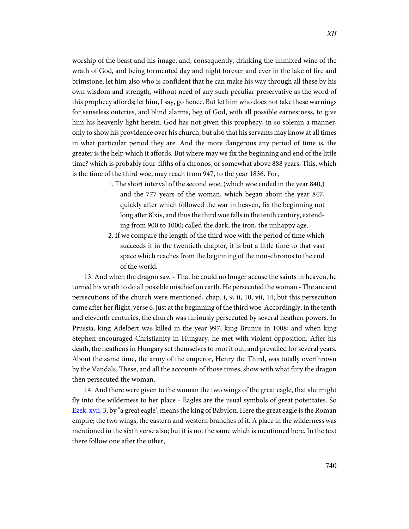worship of the beast and his image, and, consequently, drinking the unmixed wine of the wrath of God, and being tormented day and night forever and ever in the lake of fire and brimstone; let him also who is confident that he can make his way through all these by his own wisdom and strength, without need of any such peculiar preservative as the word of this prophecy affords; let him, I say, go hence. But let him who does not take these warnings for senseless outcries, and blind alarms, beg of God, with all possible earnestness, to give him his heavenly light herein. God has not given this prophecy, in so solemn a manner, only to show his providence over his church, but also that his servants may know at all times in what particular period they are. And the more dangerous any period of time is, the greater is the help which it affords. But where may we fix the beginning and end of the little time? which is probably four-fifths of a chronos, or somewhat above 888 years. This, which is the time of the third woe, may reach from 947, to the year 1836. For,

- 1. The short interval of the second woe, (which woe ended in the year 840,) and the 777 years of the woman, which began about the year 847, quickly after which followed the war in heaven, fix the beginning not long after 8lxiv, and thus the third woe falls in the tenth century, extending from 900 to 1000; called the dark, the iron, the unhappy age.
- 2. If we compare the length of the third woe with the period of time which succeeds it in the twentieth chapter, it is but a little time to that vast space which reaches from the beginning of the non-chronos to the end of the world.

13. And when the dragon saw - That he could no longer accuse the saints in heaven, he turned his wrath to do all possible mischief on earth. He persecuted the woman - The ancient persecutions of the church were mentioned, chap. i, 9, ii, 10, vii, 14; but this persecution came after her flight, verse 6, just at the beginning of the third woe. Accordingly, in the tenth and eleventh centuries, the church was furiously persecuted by several heathen powers. In Prussia, king Adelbert was killed in the year 997, king Brunus in 1008; and when king Stephen encouraged Christianity in Hungary, he met with violent opposition. After his death, the heathens in Hungary set themselves to root it out, and prevailed for several years. About the same time, the army of the emperor, Henry the Third, was totally overthrown by the Vandals. These, and all the accounts of those times, show with what fury the dragon then persecuted the woman.

14. And there were given to the woman the two wings of the great eagle, that she might fly into the wilderness to her place - Eagles are the usual symbols of great potentates. So [Ezek. xvii, 3](http://www.ccel.org/study/Bible:Ezek.17.3), by "a great eagle', means the king of Babylon. Here the great eagle is the Roman empire; the two wings, the eastern and western branches of it. A place in the wilderness was mentioned in the sixth verse also; but it is not the same which is mentioned here. In the text there follow one after the other,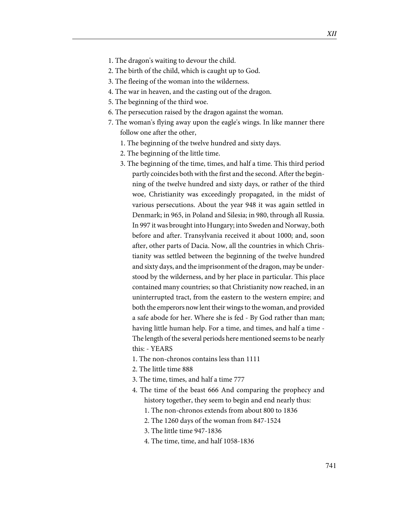- 1. The dragon's waiting to devour the child.
- 2. The birth of the child, which is caught up to God.
- 3. The fleeing of the woman into the wilderness.
- 4. The war in heaven, and the casting out of the dragon.
- 5. The beginning of the third woe.
- 6. The persecution raised by the dragon against the woman.
- 7. The woman's flying away upon the eagle's wings. In like manner there follow one after the other,
	- 1. The beginning of the twelve hundred and sixty days.
	- 2. The beginning of the little time.
	- 3. The beginning of the time, times, and half a time. This third period partly coincides both with the first and the second. After the beginning of the twelve hundred and sixty days, or rather of the third woe, Christianity was exceedingly propagated, in the midst of various persecutions. About the year 948 it was again settled in Denmark; in 965, in Poland and Silesia; in 980, through all Russia. In 997 it was brought into Hungary; into Sweden and Norway, both before and after. Transylvania received it about 1000; and, soon after, other parts of Dacia. Now, all the countries in which Christianity was settled between the beginning of the twelve hundred and sixty days, and the imprisonment of the dragon, may be understood by the wilderness, and by her place in particular. This place contained many countries; so that Christianity now reached, in an uninterrupted tract, from the eastern to the western empire; and both the emperors now lent their wings to the woman, and provided a safe abode for her. Where she is fed - By God rather than man; having little human help. For a time, and times, and half a time - The length of the several periods here mentioned seems to be nearly this: - YEARS
		- 1. The non-chronos contains less than 1111
		- 2. The little time 888
		- 3. The time, times, and half a time 777
		- 4. The time of the beast 666 And comparing the prophecy and history together, they seem to begin and end nearly thus:
			- 1. The non-chronos extends from about 800 to 1836
			- 2. The 1260 days of the woman from 847-1524
			- 3. The little time 947-1836
			- 4. The time, time, and half 1058-1836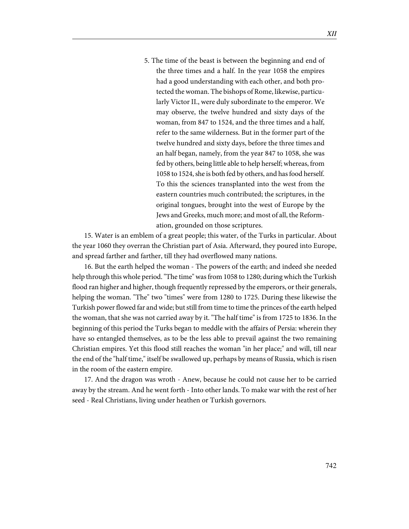5. The time of the beast is between the beginning and end of the three times and a half. In the year 1058 the empires had a good understanding with each other, and both protected the woman. The bishops of Rome, likewise, particularly Victor II., were duly subordinate to the emperor. We may observe, the twelve hundred and sixty days of the woman, from 847 to 1524, and the three times and a half, refer to the same wilderness. But in the former part of the twelve hundred and sixty days, before the three times and an half began, namely, from the year 847 to 1058, she was fed by others, being little able to help herself; whereas, from 1058 to 1524, she is both fed by others, and has food herself. To this the sciences transplanted into the west from the eastern countries much contributed; the scriptures, in the original tongues, brought into the west of Europe by the Jews and Greeks, much more; and most of all, the Reformation, grounded on those scriptures.

15. Water is an emblem of a great people; this water, of the Turks in particular. About the year 1060 they overran the Christian part of Asia. Afterward, they poured into Europe, and spread farther and farther, till they had overflowed many nations.

16. But the earth helped the woman - The powers of the earth; and indeed she needed help through this whole period. "The time" was from 1058 to 1280; during which the Turkish flood ran higher and higher, though frequently repressed by the emperors, or their generals, helping the woman. "The" two "times" were from 1280 to 1725. During these likewise the Turkish power flowed far and wide; but still from time to time the princes of the earth helped the woman, that she was not carried away by it. "The half time" is from 1725 to 1836. In the beginning of this period the Turks began to meddle with the affairs of Persia: wherein they have so entangled themselves, as to be the less able to prevail against the two remaining Christian empires. Yet this flood still reaches the woman "in her place;" and will, till near the end of the "half time," itself be swallowed up, perhaps by means of Russia, which is risen in the room of the eastern empire.

17. And the dragon was wroth - Anew, because he could not cause her to be carried away by the stream. And he went forth - Into other lands. To make war with the rest of her seed - Real Christians, living under heathen or Turkish governors.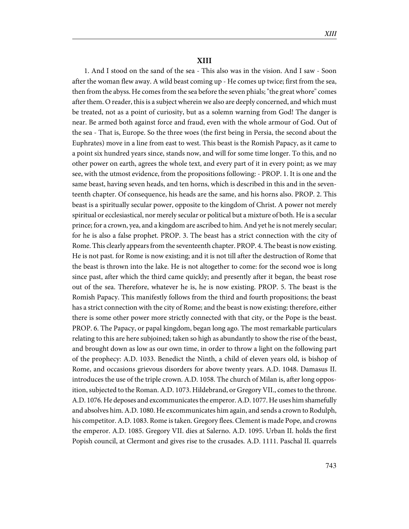## **XIII**

1. And I stood on the sand of the sea - This also was in the vision. And I saw - Soon after the woman flew away. A wild beast coming up - He comes up twice; first from the sea, then from the abyss. He comes from the sea before the seven phials; "the great whore" comes after them. O reader, this is a subject wherein we also are deeply concerned, and which must be treated, not as a point of curiosity, but as a solemn warning from God! The danger is near. Be armed both against force and fraud, even with the whole armour of God. Out of the sea - That is, Europe. So the three woes (the first being in Persia, the second about the Euphrates) move in a line from east to west. This beast is the Romish Papacy, as it came to a point six hundred years since, stands now, and will for some time longer. To this, and no other power on earth, agrees the whole text, and every part of it in every point; as we may see, with the utmost evidence, from the propositions following: - PROP. 1. It is one and the same beast, having seven heads, and ten horns, which is described in this and in the seventeenth chapter. Of consequence, his heads are the same, and his horns also. PROP. 2. This beast is a spiritually secular power, opposite to the kingdom of Christ. A power not merely spiritual or ecclesiastical, nor merely secular or political but a mixture of both. He is a secular prince; for a crown, yea, and a kingdom are ascribed to him. And yet he is not merely secular; for he is also a false prophet. PROP. 3. The beast has a strict connection with the city of Rome. This clearly appears from the seventeenth chapter. PROP. 4. The beast is now existing. He is not past. for Rome is now existing; and it is not till after the destruction of Rome that the beast is thrown into the lake. He is not altogether to come: for the second woe is long since past, after which the third came quickly; and presently after it began, the beast rose out of the sea. Therefore, whatever he is, he is now existing. PROP. 5. The beast is the Romish Papacy. This manifestly follows from the third and fourth propositions; the beast has a strict connection with the city of Rome; and the beast is now existing: therefore, either there is some other power more strictly connected with that city, or the Pope is the beast. PROP. 6. The Papacy, or papal kingdom, began long ago. The most remarkable particulars relating to this are here subjoined; taken so high as abundantly to show the rise of the beast, and brought down as low as our own time, in order to throw a light on the following part of the prophecy: A.D. 1033. Benedict the Ninth, a child of eleven years old, is bishop of Rome, and occasions grievous disorders for above twenty years. A.D. 1048. Damasus II. introduces the use of the triple crown. A.D. 1058. The church of Milan is, after long opposition, subjected to the Roman. A.D. 1073. Hildebrand, or Gregory VII., comes to the throne. A.D. 1076. He deposes and excommunicates the emperor. A.D. 1077. He uses him shamefully and absolves him. A.D. 1080. He excommunicates him again, and sends a crown to Rodulph, his competitor. A.D. 1083. Rome is taken. Gregory flees. Clement is made Pope, and crowns the emperor. A.D. 1085. Gregory VII. dies at Salerno. A.D. 1095. Urban II. holds the first Popish council, at Clermont and gives rise to the crusades. A.D. 1111. Paschal II. quarrels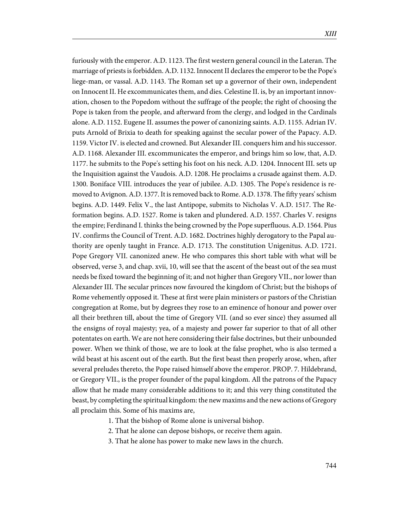furiously with the emperor. A.D. 1123. The first western general council in the Lateran. The marriage of priests is forbidden. A.D. 1132. Innocent II declares the emperor to be the Pope's liege-man, or vassal. A.D. 1143. The Roman set up a governor of their own, independent on Innocent II. He excommunicates them, and dies. Celestine II. is, by an important innovation, chosen to the Popedom without the suffrage of the people; the right of choosing the Pope is taken from the people, and afterward from the clergy, and lodged in the Cardinals alone. A.D. 1152. Eugene II. assumes the power of canonizing saints. A.D. 1155. Adrian IV. puts Arnold of Brixia to death for speaking against the secular power of the Papacy. A.D. 1159. Victor IV. is elected and crowned. But Alexander III. conquers him and his successor. A.D. 1168. Alexander III. excommunicates the emperor, and brings him so low, that, A.D. 1177. he submits to the Pope's setting his foot on his neck. A.D. 1204. Innocent III. sets up the Inquisition against the Vaudois. A.D. 1208. He proclaims a crusade against them. A.D. 1300. Boniface VIII. introduces the year of jubilee. A.D. 1305. The Pope's residence is removed to Avignon. A.D. 1377. It is removed back to Rome. A.D. 1378. The fifty years' schism begins. A.D. 1449. Felix V., the last Antipope, submits to Nicholas V. A.D. 1517. The Reformation begins. A.D. 1527. Rome is taken and plundered. A.D. 1557. Charles V. resigns the empire; Ferdinand I. thinks the being crowned by the Pope superfluous. A.D. 1564. Pius IV. confirms the Council of Trent. A.D. 1682. Doctrines highly derogatory to the Papal authority are openly taught in France. A.D. 1713. The constitution Unigenitus. A.D. 1721. Pope Gregory VII. canonized anew. He who compares this short table with what will be observed, verse 3, and chap. xvii, 10, will see that the ascent of the beast out of the sea must needs be fixed toward the beginning of it; and not higher than Gregory VII., nor lower than Alexander III. The secular princes now favoured the kingdom of Christ; but the bishops of Rome vehemently opposed it. These at first were plain ministers or pastors of the Christian congregation at Rome, but by degrees they rose to an eminence of honour and power over all their brethren till, about the time of Gregory VII. (and so ever since) they assumed all the ensigns of royal majesty; yea, of a majesty and power far superior to that of all other potentates on earth. We are not here considering their false doctrines, but their unbounded power. When we think of those, we are to look at the false prophet, who is also termed a wild beast at his ascent out of the earth. But the first beast then properly arose, when, after several preludes thereto, the Pope raised himself above the emperor. PROP. 7. Hildebrand, or Gregory VII., is the proper founder of the papal kingdom. All the patrons of the Papacy allow that he made many considerable additions to it; and this very thing constituted the beast, by completing the spiritual kingdom: the new maxims and the new actions of Gregory all proclaim this. Some of his maxims are,

1. That the bishop of Rome alone is universal bishop.

2. That he alone can depose bishops, or receive them again.

3. That he alone has power to make new laws in the church.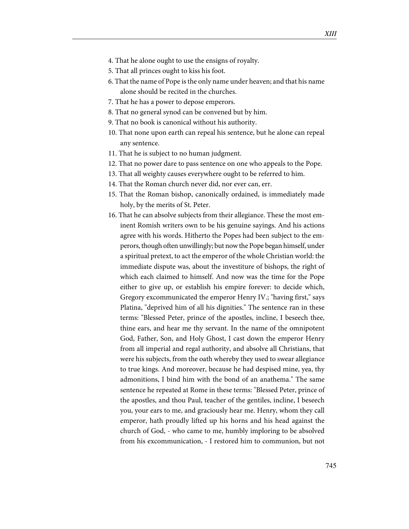- 4. That he alone ought to use the ensigns of royalty.
- 5. That all princes ought to kiss his foot.
- 6. That the name of Pope is the only name under heaven; and that his name alone should be recited in the churches.
- 7. That he has a power to depose emperors.
- 8. That no general synod can be convened but by him.
- 9. That no book is canonical without his authority.
- 10. That none upon earth can repeal his sentence, but he alone can repeal any sentence.
- 11. That he is subject to no human judgment.
- 12. That no power dare to pass sentence on one who appeals to the Pope.
- 13. That all weighty causes everywhere ought to be referred to him.
- 14. That the Roman church never did, nor ever can, err.
- 15. That the Roman bishop, canonically ordained, is immediately made holy, by the merits of St. Peter.
- 16. That he can absolve subjects from their allegiance. These the most eminent Romish writers own to be his genuine sayings. And his actions agree with his words. Hitherto the Popes had been subject to the emperors, though often unwillingly; but now the Pope began himself, under a spiritual pretext, to act the emperor of the whole Christian world: the immediate dispute was, about the investiture of bishops, the right of which each claimed to himself. And now was the time for the Pope either to give up, or establish his empire forever: to decide which, Gregory excommunicated the emperor Henry IV.; "having first," says Platina, "deprived him of all his dignities." The sentence ran in these terms: "Blessed Peter, prince of the apostles, incline, I beseech thee, thine ears, and hear me thy servant. In the name of the omnipotent God, Father, Son, and Holy Ghost, I cast down the emperor Henry from all imperial and regal authority, and absolve all Christians, that were his subjects, from the oath whereby they used to swear allegiance to true kings. And moreover, because he had despised mine, yea, thy admonitions, I bind him with the bond of an anathema." The same sentence he repeated at Rome in these terms: "Blessed Peter, prince of the apostles, and thou Paul, teacher of the gentiles, incline, I beseech you, your ears to me, and graciously hear me. Henry, whom they call emperor, hath proudly lifted up his horns and his head against the church of God, - who came to me, humbly imploring to be absolved from his excommunication, - I restored him to communion, but not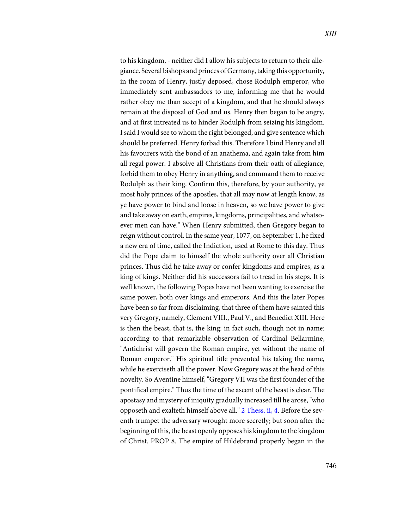to his kingdom, - neither did I allow his subjects to return to their allegiance. Several bishops and princes of Germany, taking this opportunity, in the room of Henry, justly deposed, chose Rodulph emperor, who immediately sent ambassadors to me, informing me that he would rather obey me than accept of a kingdom, and that he should always remain at the disposal of God and us. Henry then began to be angry, and at first intreated us to hinder Rodulph from seizing his kingdom. I said I would see to whom the right belonged, and give sentence which should be preferred. Henry forbad this. Therefore I bind Henry and all his favourers with the bond of an anathema, and again take from him all regal power. I absolve all Christians from their oath of allegiance, forbid them to obey Henry in anything, and command them to receive Rodulph as their king. Confirm this, therefore, by your authority, ye most holy princes of the apostles, that all may now at length know, as ye have power to bind and loose in heaven, so we have power to give and take away on earth, empires, kingdoms, principalities, and whatsoever men can have." When Henry submitted, then Gregory began to reign without control. In the same year, 1077, on September 1, he fixed a new era of time, called the Indiction, used at Rome to this day. Thus did the Pope claim to himself the whole authority over all Christian princes. Thus did he take away or confer kingdoms and empires, as a king of kings. Neither did his successors fail to tread in his steps. It is well known, the following Popes have not been wanting to exercise the same power, both over kings and emperors. And this the later Popes have been so far from disclaiming, that three of them have sainted this very Gregory, namely, Clement VIII., Paul V., and Benedict XIII. Here is then the beast, that is, the king: in fact such, though not in name: according to that remarkable observation of Cardinal Bellarmine, "Antichrist will govern the Roman empire, yet without the name of Roman emperor." His spiritual title prevented his taking the name, while he exerciseth all the power. Now Gregory was at the head of this novelty. So Aventine himself, "Gregory VII was the first founder of the pontifical empire." Thus the time of the ascent of the beast is clear. The apostasy and mystery of iniquity gradually increased till he arose, "who opposeth and exalteth himself above all." [2 Thess. ii, 4.](http://www.ccel.org/study/Bible:2Thess.2.4) Before the seventh trumpet the adversary wrought more secretly; but soon after the beginning of this, the beast openly opposes his kingdom to the kingdom of Christ. PROP 8. The empire of Hildebrand properly began in the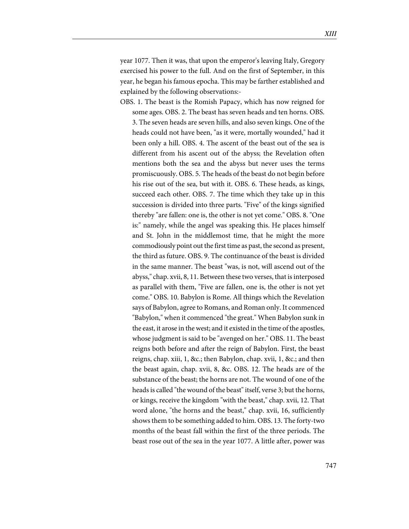year 1077. Then it was, that upon the emperor's leaving Italy, Gregory exercised his power to the full. And on the first of September, in this year, he began his famous epocha. This may be farther established and explained by the following observations:-

OBS. 1. The beast is the Romish Papacy, which has now reigned for some ages. OBS. 2. The beast has seven heads and ten horns. OBS. 3. The seven heads are seven hills, and also seven kings. One of the heads could not have been, "as it were, mortally wounded," had it been only a hill. OBS. 4. The ascent of the beast out of the sea is different from his ascent out of the abyss; the Revelation often mentions both the sea and the abyss but never uses the terms promiscuously. OBS. 5. The heads of the beast do not begin before his rise out of the sea, but with it. OBS. 6. These heads, as kings, succeed each other. OBS. 7. The time which they take up in this succession is divided into three parts. "Five" of the kings signified thereby "are fallen: one is, the other is not yet come." OBS. 8. "One is:" namely, while the angel was speaking this. He places himself and St. John in the middlemost time, that he might the more commodiously point out the first time as past, the second as present, the third as future. OBS. 9. The continuance of the beast is divided in the same manner. The beast "was, is not, will ascend out of the abyss," chap. xvii, 8, 11. Between these two verses, that is interposed as parallel with them, "Five are fallen, one is, the other is not yet come." OBS. 10. Babylon is Rome. All things which the Revelation says of Babylon, agree to Romans, and Roman only. It commenced "Babylon," when it commenced "the great." When Babylon sunk in the east, it arose in the west; and it existed in the time of the apostles, whose judgment is said to be "avenged on her." OBS. 11. The beast reigns both before and after the reign of Babylon. First, the beast reigns, chap. xiii, 1, &c.; then Babylon, chap. xvii, 1, &c.; and then the beast again, chap. xvii, 8, &c. OBS. 12. The heads are of the substance of the beast; the horns are not. The wound of one of the heads is called "the wound of the beast" itself, verse 3; but the horns, or kings, receive the kingdom "with the beast," chap. xvii, 12. That word alone, "the horns and the beast," chap. xvii, 16, sufficiently shows them to be something added to him. OBS. 13. The forty-two months of the beast fall within the first of the three periods. The beast rose out of the sea in the year 1077. A little after, power was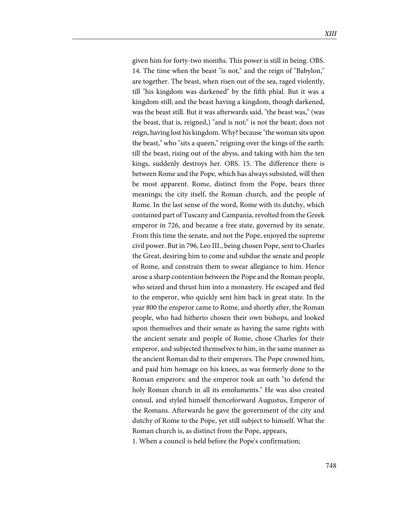given him for forty-two months. This power is still in being. OBS. 14. The time when the beast "is not," and the reign of "Babylon," are together. The beast, when risen out of the sea, raged violently, till "his kingdom was darkened" by the fifth phial. But it was a kingdom still; and the beast having a kingdom, though darkened, was the beast still. But it was afterwards said, "the beast was," (was the beast, that is, reigned,) "and is not;" is not the beast; does not reign, having lost his kingdom. Why? because "the woman sits upon the beast," who "sits a queen," reigning over the kings of the earth: till the beast, rising out of the abyss, and taking with him the ten kings, suddenly destroys her. OBS. 15. The difference there is between Rome and the Pope, which has always subsisted, will then be most apparent. Rome, distinct from the Pope, bears three meanings; the city itself, the Roman church, and the people of Rome. In the last sense of the word, Rome with its dutchy, which contained part of Tuscany and Campania, revolted from the Greek emperor in 726, and became a free state, governed by its senate. From this time the senate, and not the Pope, enjoyed the supreme civil power. But in 796, Leo III., being chosen Pope, sent to Charles the Great, desiring him to come and subdue the senate and people of Rome, and constrain them to swear allegiance to him. Hence arose a sharp contention between the Pope and the Roman people, who seized and thrust him into a monastery. He escaped and fled to the emperor, who quickly sent him back in great state. In the year 800 the emperor came to Rome, and shortly after, the Roman people, who had hitherto chosen their own bishops, and looked upon themselves and their senate as having the same rights with the ancient senate and people of Rome, chose Charles for their emperor, and subjected themselves to him, in the same manner as the ancient Roman did to their emperors. The Pope crowned him, and paid him homage on his knees, as was formerly done to the Roman emperors: and the emperor took an oath "to defend the holy Roman church in all its emoluments." He was also created consul, and styled himself thenceforward Augustus, Emperor of the Romans. Afterwards he gave the government of the city and dutchy of Rome to the Pope, yet still subject to himself. What the Roman church is, as distinct from the Pope, appears,

1. When a council is held before the Pope's confirmation;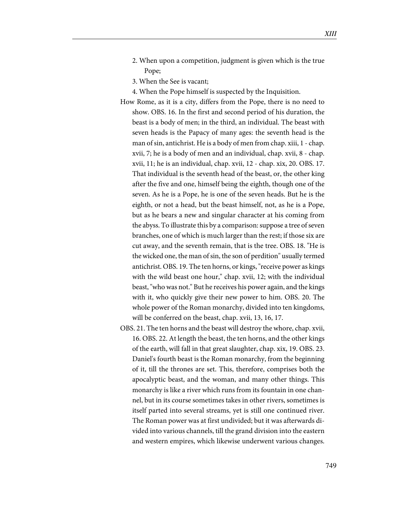- 2. When upon a competition, judgment is given which is the true Pope;
- 3. When the See is vacant;
- 4. When the Pope himself is suspected by the Inquisition.
- How Rome, as it is a city, differs from the Pope, there is no need to show. OBS. 16. In the first and second period of his duration, the beast is a body of men; in the third, an individual. The beast with seven heads is the Papacy of many ages: the seventh head is the man of sin, antichrist. He is a body of men from chap. xiii, 1 - chap. xvii, 7; he is a body of men and an individual, chap. xvii, 8 - chap. xvii, 11; he is an individual, chap. xvii, 12 - chap. xix, 20. OBS. 17. That individual is the seventh head of the beast, or, the other king after the five and one, himself being the eighth, though one of the seven. As he is a Pope, he is one of the seven heads. But he is the eighth, or not a head, but the beast himself, not, as he is a Pope, but as he bears a new and singular character at his coming from the abyss. To illustrate this by a comparison: suppose a tree of seven branches, one of which is much larger than the rest; if those six are cut away, and the seventh remain, that is the tree. OBS. 18. "He is the wicked one, the man of sin, the son of perdition" usually termed antichrist. OBS. 19. The ten horns, or kings, "receive power as kings with the wild beast one hour," chap. xvii, 12; with the individual beast, "who was not." But he receives his power again, and the kings with it, who quickly give their new power to him. OBS. 20. The whole power of the Roman monarchy, divided into ten kingdoms, will be conferred on the beast, chap. xvii, 13, 16, 17.
- OBS. 21. The ten horns and the beast will destroy the whore, chap. xvii, 16. OBS. 22. At length the beast, the ten horns, and the other kings of the earth, will fall in that great slaughter, chap. xix, 19. OBS. 23. Daniel's fourth beast is the Roman monarchy, from the beginning of it, till the thrones are set. This, therefore, comprises both the apocalyptic beast, and the woman, and many other things. This monarchy is like a river which runs from its fountain in one channel, but in its course sometimes takes in other rivers, sometimes is itself parted into several streams, yet is still one continued river. The Roman power was at first undivided; but it was afterwards divided into various channels, till the grand division into the eastern and western empires, which likewise underwent various changes.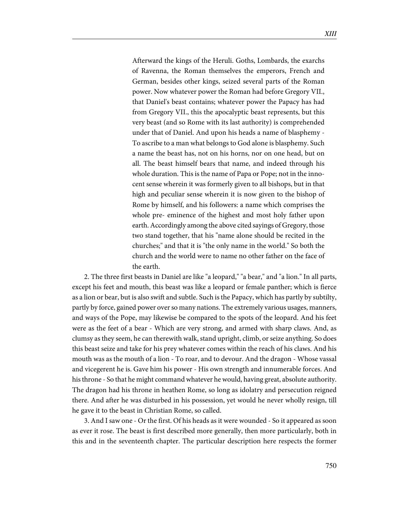Afterward the kings of the Heruli. Goths, Lombards, the exarchs of Ravenna, the Roman themselves the emperors, French and German, besides other kings, seized several parts of the Roman power. Now whatever power the Roman had before Gregory VII., that Daniel's beast contains; whatever power the Papacy has had from Gregory VII., this the apocalyptic beast represents, but this very beast (and so Rome with its last authority) is comprehended under that of Daniel. And upon his heads a name of blasphemy - To ascribe to a man what belongs to God alone is blasphemy. Such a name the beast has, not on his horns, nor on one head, but on all. The beast himself bears that name, and indeed through his whole duration. This is the name of Papa or Pope; not in the innocent sense wherein it was formerly given to all bishops, but in that high and peculiar sense wherein it is now given to the bishop of Rome by himself, and his followers: a name which comprises the whole pre- eminence of the highest and most holy father upon earth. Accordingly among the above cited sayings of Gregory, those two stand together, that his "name alone should be recited in the churches;" and that it is "the only name in the world." So both the church and the world were to name no other father on the face of the earth.

2. The three first beasts in Daniel are like "a leopard," "a bear," and "a lion." In all parts, except his feet and mouth, this beast was like a leopard or female panther; which is fierce as a lion or bear, but is also swift and subtle. Such is the Papacy, which has partly by subtilty, partly by force, gained power over so many nations. The extremely various usages, manners, and ways of the Pope, may likewise be compared to the spots of the leopard. And his feet were as the feet of a bear - Which are very strong, and armed with sharp claws. And, as clumsy as they seem, he can therewith walk, stand upright, climb, or seize anything. So does this beast seize and take for his prey whatever comes within the reach of his claws. And his mouth was as the mouth of a lion - To roar, and to devour. And the dragon - Whose vassal and vicegerent he is. Gave him his power - His own strength and innumerable forces. And his throne - So that he might command whatever he would, having great, absolute authority. The dragon had his throne in heathen Rome, so long as idolatry and persecution reigned there. And after he was disturbed in his possession, yet would he never wholly resign, till he gave it to the beast in Christian Rome, so called.

3. And I saw one - Or the first. Of his heads as it were wounded - So it appeared as soon as ever it rose. The beast is first described more generally, then more particularly, both in this and in the seventeenth chapter. The particular description here respects the former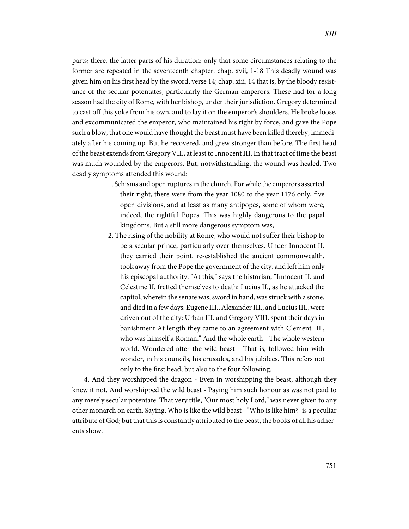parts; there, the latter parts of his duration: only that some circumstances relating to the former are repeated in the seventeenth chapter. chap. xvii, 1-18 This deadly wound was given him on his first head by the sword, verse 14; chap. xiii, 14 that is, by the bloody resistance of the secular potentates, particularly the German emperors. These had for a long season had the city of Rome, with her bishop, under their jurisdiction. Gregory determined to cast off this yoke from his own, and to lay it on the emperor's shoulders. He broke loose, and excommunicated the emperor, who maintained his right by force, and gave the Pope such a blow, that one would have thought the beast must have been killed thereby, immediately after his coming up. But he recovered, and grew stronger than before. The first head of the beast extends from Gregory VII., at least to Innocent III. In that tract of time the beast was much wounded by the emperors. But, notwithstanding, the wound was healed. Two deadly symptoms attended this wound:

- 1. Schisms and open ruptures in the church. For while the emperors asserted their right, there were from the year 1080 to the year 1176 only, five open divisions, and at least as many antipopes, some of whom were, indeed, the rightful Popes. This was highly dangerous to the papal kingdoms. But a still more dangerous symptom was,
- 2. The rising of the nobility at Rome, who would not suffer their bishop to be a secular prince, particularly over themselves. Under Innocent II. they carried their point, re-established the ancient commonwealth, took away from the Pope the government of the city, and left him only his episcopal authority. "At this," says the historian, "Innocent II. and Celestine II. fretted themselves to death: Lucius II., as he attacked the capitol, wherein the senate was, sword in hand, was struck with a stone, and died in a few days: Eugene III., Alexander III., and Lucius III., were driven out of the city: Urban III. and Gregory VIII. spent their days in banishment At length they came to an agreement with Clement III., who was himself a Roman." And the whole earth - The whole western world. Wondered after the wild beast - That is, followed him with wonder, in his councils, his crusades, and his jubilees. This refers not only to the first head, but also to the four following.

4. And they worshipped the dragon - Even in worshipping the beast, although they knew it not. And worshipped the wild beast - Paying him such honour as was not paid to any merely secular potentate. That very title, "Our most holy Lord," was never given to any other monarch on earth. Saying, Who is like the wild beast - "Who is like him?" is a peculiar attribute of God; but that this is constantly attributed to the beast, the books of all his adherents show.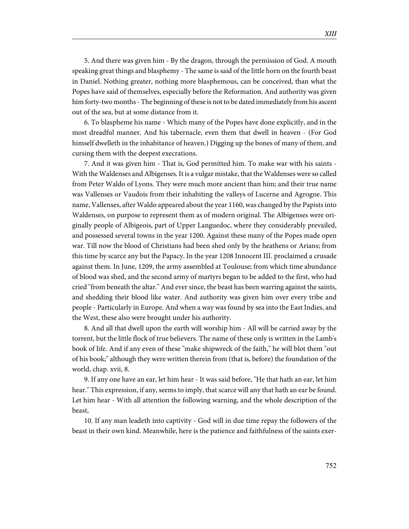5. And there was given him - By the dragon, through the permission of God. A mouth speaking great things and blasphemy - The same is said of the little horn on the fourth beast in Daniel. Nothing greater, nothing more blasphemous, can be conceived, than what the Popes have said of themselves, especially before the Reformation. And authority was given him forty-two months - The beginning of these is not to be dated immediately from his ascent out of the sea, but at some distance from it.

6. To blaspheme his name - Which many of the Popes have done explicitly, and in the most dreadful manner. And his tabernacle, even them that dwell in heaven - (For God himself dwelleth in the inhabitance of heaven.) Digging up the bones of many of them, and cursing them with the deepest execrations.

7. And it was given him - That is, God permitted him. To make war with his saints - With the Waldenses and Albigenses. It is a vulgar mistake, that the Waldenses were so called from Peter Waldo of Lyons. They were much more ancient than him; and their true name was Vallenses or Vaudois from their inhabiting the valleys of Lucerne and Agrogne. This name, Vallenses, after Waldo appeared about the year 1160, was changed by the Papists into Waldenses, on purpose to represent them as of modern original. The Albigenses were originally people of Albigeois, part of Upper Languedoc, where they considerably prevailed, and possessed several towns in the year 1200. Against these many of the Popes made open war. Till now the blood of Christians had been shed only by the heathens or Arians; from this time by scarce any but the Papacy. In the year 1208 Innocent III. proclaimed a crusade against them. In June, 1209, the army assembled at Toulouse; from which time abundance of blood was shed, and the second army of martyrs began to be added to the first, who had cried "from beneath the altar." And ever since, the beast has been warring against the saints, and shedding their blood like water. And authority was given him over every tribe and people - Particularly in Europe. And when a way was found by sea into the East Indies, and the West, these also were brought under his authority.

8. And all that dwell upon the earth will worship him - All will be carried away by the torrent, but the little flock of true believers. The name of these only is written in the Lamb's book of life. And if any even of these "make shipwreck of the faith," he will blot them "out of his book;" although they were written therein from (that is, before) the foundation of the world, chap. xvii, 8.

9. If any one have an ear, let him hear - It was said before, "He that hath an ear, let him hear." This expression, if any, seems to imply, that scarce will any that hath an ear be found. Let him hear - With all attention the following warning, and the whole description of the beast,

10. If any man leadeth into captivity - God will in due time repay the followers of the beast in their own kind. Meanwhile, here is the patience and faithfulness of the saints exer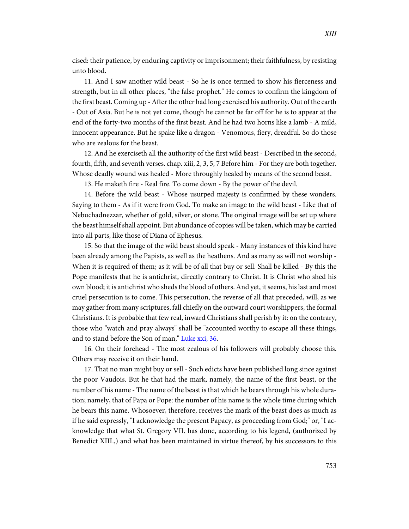cised: their patience, by enduring captivity or imprisonment; their faithfulness, by resisting unto blood.

11. And I saw another wild beast - So he is once termed to show his fierceness and strength, but in all other places, "the false prophet." He comes to confirm the kingdom of the first beast. Coming up - After the other had long exercised his authority. Out of the earth - Out of Asia. But he is not yet come, though he cannot be far off for he is to appear at the end of the forty-two months of the first beast. And he had two horns like a lamb - A mild, innocent appearance. But he spake like a dragon - Venomous, fiery, dreadful. So do those who are zealous for the beast.

12. And he exerciseth all the authority of the first wild beast - Described in the second, fourth, fifth, and seventh verses. chap. xiii, 2, 3, 5, 7 Before him - For they are both together. Whose deadly wound was healed - More throughly healed by means of the second beast.

13. He maketh fire - Real fire. To come down - By the power of the devil.

14. Before the wild beast - Whose usurped majesty is confirmed by these wonders. Saying to them - As if it were from God. To make an image to the wild beast - Like that of Nebuchadnezzar, whether of gold, silver, or stone. The original image will be set up where the beast himself shall appoint. But abundance of copies will be taken, which may be carried into all parts, like those of Diana of Ephesus.

15. So that the image of the wild beast should speak - Many instances of this kind have been already among the Papists, as well as the heathens. And as many as will not worship - When it is required of them; as it will be of all that buy or sell. Shall be killed - By this the Pope manifests that he is antichrist, directly contrary to Christ. It is Christ who shed his own blood; it is antichrist who sheds the blood of others. And yet, it seems, his last and most cruel persecution is to come. This persecution, the reverse of all that preceded, will, as we may gather from many scriptures, fall chiefly on the outward court worshippers, the formal Christians. It is probable that few real, inward Christians shall perish by it: on the contrary, those who "watch and pray always" shall be "accounted worthy to escape all these things, and to stand before the Son of man," [Luke xxi, 36](http://www.ccel.org/study/Bible:Luke.21.36).

16. On their forehead - The most zealous of his followers will probably choose this. Others may receive it on their hand.

17. That no man might buy or sell - Such edicts have been published long since against the poor Vaudois. But he that had the mark, namely, the name of the first beast, or the number of his name - The name of the beast is that which he bears through his whole duration; namely, that of Papa or Pope: the number of his name is the whole time during which he bears this name. Whosoever, therefore, receives the mark of the beast does as much as if he said expressly, "I acknowledge the present Papacy, as proceeding from God;" or, "I acknowledge that what St. Gregory VII. has done, according to his legend, (authorized by Benedict XIII.,) and what has been maintained in virtue thereof, by his successors to this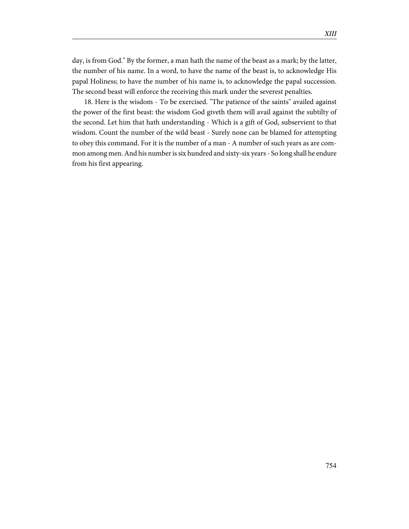day, is from God." By the former, a man hath the name of the beast as a mark; by the latter, the number of his name. In a word, to have the name of the beast is, to acknowledge His papal Holiness; to have the number of his name is, to acknowledge the papal succession. The second beast will enforce the receiving this mark under the severest penalties.

18. Here is the wisdom - To be exercised. "The patience of the saints" availed against the power of the first beast: the wisdom God giveth them will avail against the subtilty of the second. Let him that hath understanding - Which is a gift of God, subservient to that wisdom. Count the number of the wild beast - Surely none can be blamed for attempting to obey this command. For it is the number of a man - A number of such years as are common among men. And his number is six hundred and sixty-six years - So long shall he endure from his first appearing.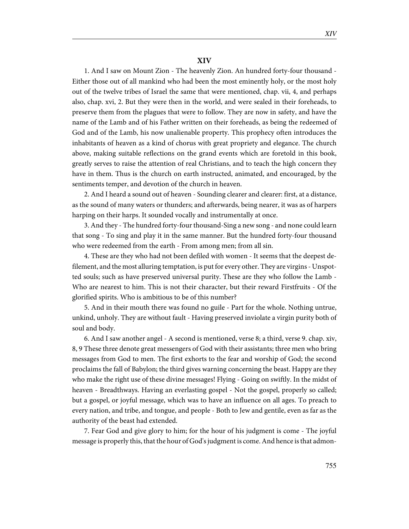### **XIV**

1. And I saw on Mount Zion - The heavenly Zion. An hundred forty-four thousand - Either those out of all mankind who had been the most eminently holy, or the most holy out of the twelve tribes of Israel the same that were mentioned, chap. vii, 4, and perhaps also, chap. xvi, 2. But they were then in the world, and were sealed in their foreheads, to preserve them from the plagues that were to follow. They are now in safety, and have the name of the Lamb and of his Father written on their foreheads, as being the redeemed of God and of the Lamb, his now unalienable property. This prophecy often introduces the inhabitants of heaven as a kind of chorus with great propriety and elegance. The church above, making suitable reflections on the grand events which are foretold in this book, greatly serves to raise the attention of real Christians, and to teach the high concern they have in them. Thus is the church on earth instructed, animated, and encouraged, by the sentiments temper, and devotion of the church in heaven.

2. And I heard a sound out of heaven - Sounding clearer and clearer: first, at a distance, as the sound of many waters or thunders; and afterwards, being nearer, it was as of harpers harping on their harps. It sounded vocally and instrumentally at once.

3. And they - The hundred forty-four thousand-Sing a new song - and none could learn that song - To sing and play it in the same manner. But the hundred forty-four thousand who were redeemed from the earth - From among men; from all sin.

4. These are they who had not been defiled with women - It seems that the deepest defilement, and the most alluring temptation, is put for every other. They are virgins - Unspotted souls; such as have preserved universal purity. These are they who follow the Lamb - Who are nearest to him. This is not their character, but their reward Firstfruits - Of the glorified spirits. Who is ambitious to be of this number?

5. And in their mouth there was found no guile - Part for the whole. Nothing untrue, unkind, unholy. They are without fault - Having preserved inviolate a virgin purity both of soul and body.

6. And I saw another angel - A second is mentioned, verse 8; a third, verse 9. chap. xiv, 8, 9 These three denote great messengers of God with their assistants; three men who bring messages from God to men. The first exhorts to the fear and worship of God; the second proclaims the fall of Babylon; the third gives warning concerning the beast. Happy are they who make the right use of these divine messages! Flying - Going on swiftly. In the midst of heaven - Breadthways. Having an everlasting gospel - Not the gospel, properly so called; but a gospel, or joyful message, which was to have an influence on all ages. To preach to every nation, and tribe, and tongue, and people - Both to Jew and gentile, even as far as the authority of the beast had extended.

7. Fear God and give glory to him; for the hour of his judgment is come - The joyful message is properly this, that the hour of God's judgment is come. And hence is that admon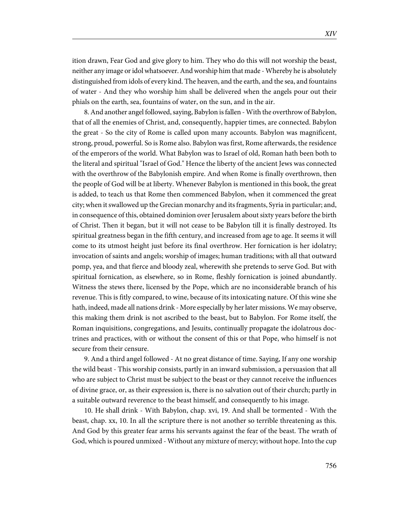phials on the earth, sea, fountains of water, on the sun, and in the air.

8. And another angel followed, saying, Babylon is fallen - With the overthrow of Babylon, that of all the enemies of Christ, and, consequently, happier times, are connected. Babylon the great - So the city of Rome is called upon many accounts. Babylon was magnificent, strong, proud, powerful. So is Rome also. Babylon was first, Rome afterwards, the residence of the emperors of the world. What Babylon was to Israel of old, Roman hath been both to the literal and spiritual "Israel of God." Hence the liberty of the ancient Jews was connected with the overthrow of the Babylonish empire. And when Rome is finally overthrown, then the people of God will be at liberty. Whenever Babylon is mentioned in this book, the great is added, to teach us that Rome then commenced Babylon, when it commenced the great city; when it swallowed up the Grecian monarchy and its fragments, Syria in particular; and, in consequence of this, obtained dominion over Jerusalem about sixty years before the birth of Christ. Then it began, but it will not cease to be Babylon till it is finally destroyed. Its spiritual greatness began in the fifth century, and increased from age to age. It seems it will come to its utmost height just before its final overthrow. Her fornication is her idolatry; invocation of saints and angels; worship of images; human traditions; with all that outward pomp, yea, and that fierce and bloody zeal, wherewith she pretends to serve God. But with spiritual fornication, as elsewhere, so in Rome, fleshly fornication is joined abundantly. Witness the stews there, licensed by the Pope, which are no inconsiderable branch of his revenue. This is fitly compared, to wine, because of its intoxicating nature. Of this wine she hath, indeed, made all nations drink - More especially by her later missions. We may observe, this making them drink is not ascribed to the beast, but to Babylon. For Rome itself, the Roman inquisitions, congregations, and Jesuits, continually propagate the idolatrous doctrines and practices, with or without the consent of this or that Pope, who himself is not secure from their censure.

9. And a third angel followed - At no great distance of time. Saying, If any one worship the wild beast - This worship consists, partly in an inward submission, a persuasion that all who are subject to Christ must be subject to the beast or they cannot receive the influences of divine grace, or, as their expression is, there is no salvation out of their church; partly in a suitable outward reverence to the beast himself, and consequently to his image.

10. He shall drink - With Babylon, chap. xvi, 19. And shall be tormented - With the beast, chap. xx, 10. In all the scripture there is not another so terrible threatening as this. And God by this greater fear arms his servants against the fear of the beast. The wrath of God, which is poured unmixed - Without any mixture of mercy; without hope. Into the cup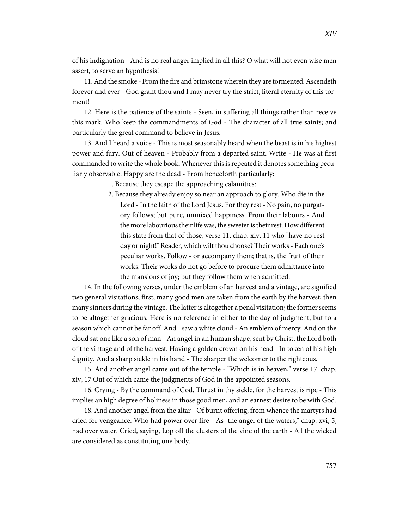of his indignation - And is no real anger implied in all this? O what will not even wise men assert, to serve an hypothesis!

11. And the smoke - From the fire and brimstone wherein they are tormented. Ascendeth forever and ever - God grant thou and I may never try the strict, literal eternity of this torment!

12. Here is the patience of the saints - Seen, in suffering all things rather than receive this mark. Who keep the commandments of God - The character of all true saints; and particularly the great command to believe in Jesus.

13. And I heard a voice - This is most seasonably heard when the beast is in his highest power and fury. Out of heaven - Probably from a departed saint. Write - He was at first commanded to write the whole book. Whenever this is repeated it denotes something peculiarly observable. Happy are the dead - From henceforth particularly:

1. Because they escape the approaching calamities:

2. Because they already enjoy so near an approach to glory. Who die in the Lord - In the faith of the Lord Jesus. For they rest - No pain, no purgatory follows; but pure, unmixed happiness. From their labours - And the more labourious their life was, the sweeter is their rest. How different this state from that of those, verse 11, chap. xiv, 11 who "have no rest day or night!" Reader, which wilt thou choose? Their works - Each one's peculiar works. Follow - or accompany them; that is, the fruit of their works. Their works do not go before to procure them admittance into the mansions of joy; but they follow them when admitted.

14. In the following verses, under the emblem of an harvest and a vintage, are signified two general visitations; first, many good men are taken from the earth by the harvest; then many sinners during the vintage. The latter is altogether a penal visitation; the former seems to be altogether gracious. Here is no reference in either to the day of judgment, but to a season which cannot be far off. And I saw a white cloud - An emblem of mercy. And on the cloud sat one like a son of man - An angel in an human shape, sent by Christ, the Lord both of the vintage and of the harvest. Having a golden crown on his head - In token of his high dignity. And a sharp sickle in his hand - The sharper the welcomer to the righteous.

15. And another angel came out of the temple - "Which is in heaven," verse 17. chap. xiv, 17 Out of which came the judgments of God in the appointed seasons.

16. Crying - By the command of God. Thrust in thy sickle, for the harvest is ripe - This implies an high degree of holiness in those good men, and an earnest desire to be with God.

18. And another angel from the altar - Of burnt offering; from whence the martyrs had cried for vengeance. Who had power over fire - As "the angel of the waters," chap. xvi, 5, had over water. Cried, saying, Lop off the clusters of the vine of the earth - All the wicked are considered as constituting one body.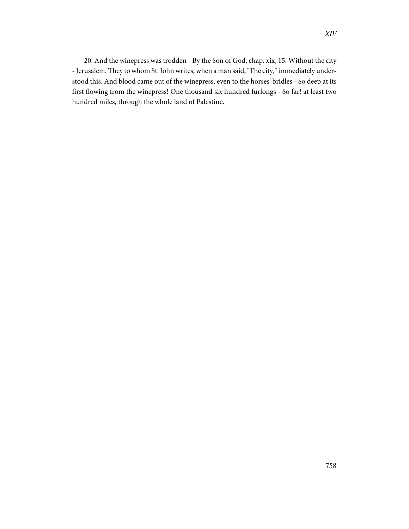20. And the winepress was trodden - By the Son of God, chap. xix, 15. Without the city - Jerusalem. They to whom St. John writes, when a man said, "The city," immediately understood this. And blood came out of the winepress, even to the horses' bridles - So deep at its first flowing from the winepress! One thousand six hundred furlongs - So far! at least two hundred miles, through the whole land of Palestine.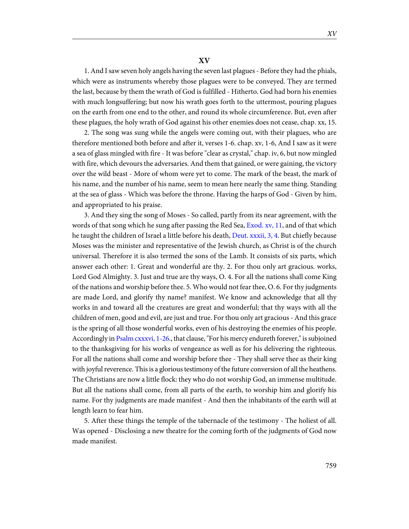**XV**

1. And I saw seven holy angels having the seven last plagues - Before they had the phials, which were as instruments whereby those plagues were to be conveyed. They are termed the last, because by them the wrath of God is fulfilled - Hitherto. God had born his enemies with much longsuffering; but now his wrath goes forth to the uttermost, pouring plagues on the earth from one end to the other, and round its whole circumference. But, even after these plagues, the holy wrath of God against his other enemies does not cease, chap. xx, 15.

2. The song was sung while the angels were coming out, with their plagues, who are therefore mentioned both before and after it, verses 1-6. chap. xv, 1-6, And I saw as it were a sea of glass mingled with fire - It was before "clear as crystal," chap. iv, 6, but now mingled with fire, which devours the adversaries. And them that gained, or were gaining, the victory over the wild beast - More of whom were yet to come. The mark of the beast, the mark of his name, and the number of his name, seem to mean here nearly the same thing. Standing at the sea of glass - Which was before the throne. Having the harps of God - Given by him, and appropriated to his praise.

3. And they sing the song of Moses - So called, partly from its near agreement, with the words of that song which he sung after passing the Red Sea, [Exod. xv, 11,](http://www.ccel.org/study/Bible:Exod.15.11) and of that which he taught the children of Israel a little before his death, [Deut. xxxii, 3, 4.](http://www.ccel.org/study/Bible:Deut.32.3-Deut.32.4) But chiefly because Moses was the minister and representative of the Jewish church, as Christ is of the church universal. Therefore it is also termed the sons of the Lamb. It consists of six parts, which answer each other: 1. Great and wonderful are thy. 2. For thou only art gracious. works, Lord God Almighty. 3. Just and true are thy ways, O. 4. For all the nations shall come King of the nations and worship before thee. 5. Who would not fear thee, O. 6. For thy judgments are made Lord, and glorify thy name? manifest. We know and acknowledge that all thy works in and toward all the creatures are great and wonderful; that thy ways with all the children of men, good and evil, are just and true. For thou only art gracious - And this grace is the spring of all those wonderful works, even of his destroying the enemies of his people. Accordingly in [Psalm cxxxvi, 1-26](http://www.ccel.org/study/Bible:Ps.136.1-Ps.136.26)., that clause, "For his mercy endureth forever," is subjoined to the thanksgiving for his works of vengeance as well as for his delivering the righteous. For all the nations shall come and worship before thee - They shall serve thee as their king with joyful reverence. This is a glorious testimony of the future conversion of all the heathens. The Christians are now a little flock: they who do not worship God, an immense multitude. But all the nations shall come, from all parts of the earth, to worship him and glorify his name. For thy judgments are made manifest - And then the inhabitants of the earth will at length learn to fear him.

5. After these things the temple of the tabernacle of the testimony - The holiest of all. Was opened - Disclosing a new theatre for the coming forth of the judgments of God now made manifest.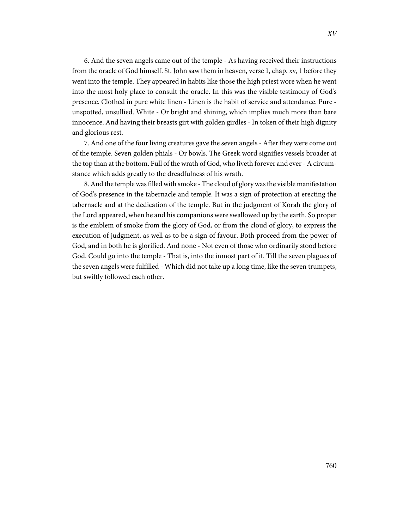6. And the seven angels came out of the temple - As having received their instructions from the oracle of God himself. St. John saw them in heaven, verse 1, chap. xv, 1 before they went into the temple. They appeared in habits like those the high priest wore when he went into the most holy place to consult the oracle. In this was the visible testimony of God's presence. Clothed in pure white linen - Linen is the habit of service and attendance. Pure unspotted, unsullied. White - Or bright and shining, which implies much more than bare innocence. And having their breasts girt with golden girdles - In token of their high dignity and glorious rest.

7. And one of the four living creatures gave the seven angels - After they were come out of the temple. Seven golden phials - Or bowls. The Greek word signifies vessels broader at the top than at the bottom. Full of the wrath of God, who liveth forever and ever - A circumstance which adds greatly to the dreadfulness of his wrath.

8. And the temple was filled with smoke - The cloud of glory was the visible manifestation of God's presence in the tabernacle and temple. It was a sign of protection at erecting the tabernacle and at the dedication of the temple. But in the judgment of Korah the glory of the Lord appeared, when he and his companions were swallowed up by the earth. So proper is the emblem of smoke from the glory of God, or from the cloud of glory, to express the execution of judgment, as well as to be a sign of favour. Both proceed from the power of God, and in both he is glorified. And none - Not even of those who ordinarily stood before God. Could go into the temple - That is, into the inmost part of it. Till the seven plagues of the seven angels were fulfilled - Which did not take up a long time, like the seven trumpets, but swiftly followed each other.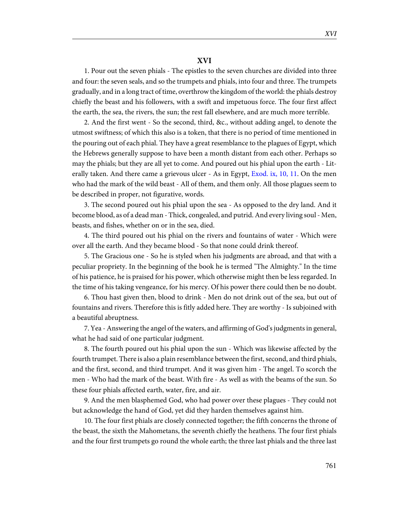### **XVI**

1. Pour out the seven phials - The epistles to the seven churches are divided into three and four: the seven seals, and so the trumpets and phials, into four and three. The trumpets gradually, and in a long tract of time, overthrow the kingdom of the world: the phials destroy chiefly the beast and his followers, with a swift and impetuous force. The four first affect the earth, the sea, the rivers, the sun; the rest fall elsewhere, and are much more terrible.

2. And the first went - So the second, third, &c., without adding angel, to denote the utmost swiftness; of which this also is a token, that there is no period of time mentioned in the pouring out of each phial. They have a great resemblance to the plagues of Egypt, which the Hebrews generally suppose to have been a month distant from each other. Perhaps so may the phials; but they are all yet to come. And poured out his phial upon the earth - Literally taken. And there came a grievous ulcer  $-$  As in Egypt, [Exod. ix, 10, 11.](http://www.ccel.org/study/Bible:Exod.9.10-Exod.9.11) On the men who had the mark of the wild beast - All of them, and them only. All those plagues seem to be described in proper, not figurative, words.

3. The second poured out his phial upon the sea - As opposed to the dry land. And it become blood, as of a dead man - Thick, congealed, and putrid. And every living soul - Men, beasts, and fishes, whether on or in the sea, died.

4. The third poured out his phial on the rivers and fountains of water - Which were over all the earth. And they became blood - So that none could drink thereof.

5. The Gracious one - So he is styled when his judgments are abroad, and that with a peculiar propriety. In the beginning of the book he is termed "The Almighty." In the time of his patience, he is praised for his power, which otherwise might then be less regarded. In the time of his taking vengeance, for his mercy. Of his power there could then be no doubt.

6. Thou hast given then, blood to drink - Men do not drink out of the sea, but out of fountains and rivers. Therefore this is fitly added here. They are worthy - Is subjoined with a beautiful abruptness.

7. Yea - Answering the angel of the waters, and affirming of God's judgments in general, what he had said of one particular judgment.

8. The fourth poured out his phial upon the sun - Which was likewise affected by the fourth trumpet. There is also a plain resemblance between the first, second, and third phials, and the first, second, and third trumpet. And it was given him - The angel. To scorch the men - Who had the mark of the beast. With fire - As well as with the beams of the sun. So these four phials affected earth, water, fire, and air.

9. And the men blasphemed God, who had power over these plagues - They could not but acknowledge the hand of God, yet did they harden themselves against him.

10. The four first phials are closely connected together; the fifth concerns the throne of the beast, the sixth the Mahometans, the seventh chiefly the heathens. The four first phials and the four first trumpets go round the whole earth; the three last phials and the three last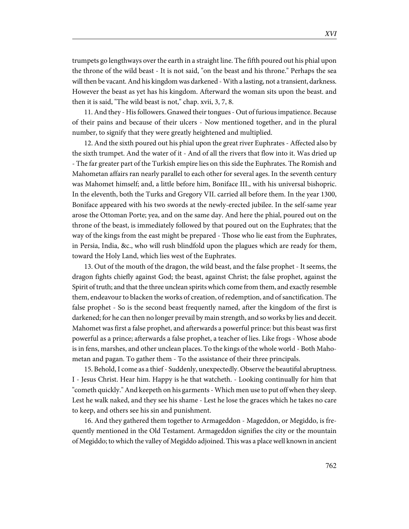trumpets go lengthways over the earth in a straight line. The fifth poured out his phial upon the throne of the wild beast - It is not said, "on the beast and his throne." Perhaps the sea will then be vacant. And his kingdom was darkened - With a lasting, not a transient, darkness. However the beast as yet has his kingdom. Afterward the woman sits upon the beast. and then it is said, "The wild beast is not," chap. xvii, 3, 7, 8.

11. And they - His followers. Gnawed their tongues - Out of furious impatience. Because of their pains and because of their ulcers - Now mentioned together, and in the plural number, to signify that they were greatly heightened and multiplied.

12. And the sixth poured out his phial upon the great river Euphrates - Affected also by the sixth trumpet. And the water of it - And of all the rivers that flow into it. Was dried up - The far greater part of the Turkish empire lies on this side the Euphrates. The Romish and Mahometan affairs ran nearly parallel to each other for several ages. In the seventh century was Mahomet himself; and, a little before him, Boniface III., with his universal bishopric. In the eleventh, both the Turks and Gregory VII. carried all before them. In the year 1300, Boniface appeared with his two swords at the newly-erected jubilee. In the self-same year arose the Ottoman Porte; yea, and on the same day. And here the phial, poured out on the throne of the beast, is immediately followed by that poured out on the Euphrates; that the way of the kings from the east might be prepared - Those who lie east from the Euphrates, in Persia, India, &c., who will rush blindfold upon the plagues which are ready for them, toward the Holy Land, which lies west of the Euphrates.

13. Out of the mouth of the dragon, the wild beast, and the false prophet - It seems, the dragon fights chiefly against God; the beast, against Christ; the false prophet, against the Spirit of truth; and that the three unclean spirits which come from them, and exactly resemble them, endeavour to blacken the works of creation, of redemption, and of sanctification. The false prophet - So is the second beast frequently named, after the kingdom of the first is darkened; for he can then no longer prevail by main strength, and so works by lies and deceit. Mahomet was first a false prophet, and afterwards a powerful prince: but this beast was first powerful as a prince; afterwards a false prophet, a teacher of lies. Like frogs - Whose abode is in fens, marshes, and other unclean places. To the kings of the whole world - Both Mahometan and pagan. To gather them - To the assistance of their three principals.

15. Behold, I come as a thief - Suddenly, unexpectedly. Observe the beautiful abruptness. I - Jesus Christ. Hear him. Happy is he that watcheth. - Looking continually for him that "cometh quickly." And keepeth on his garments - Which men use to put off when they sleep. Lest he walk naked, and they see his shame - Lest he lose the graces which he takes no care to keep, and others see his sin and punishment.

16. And they gathered them together to Armageddon - Mageddon, or Megiddo, is frequently mentioned in the Old Testament. Armageddon signifies the city or the mountain of Megiddo; to which the valley of Megiddo adjoined. This was a place well known in ancient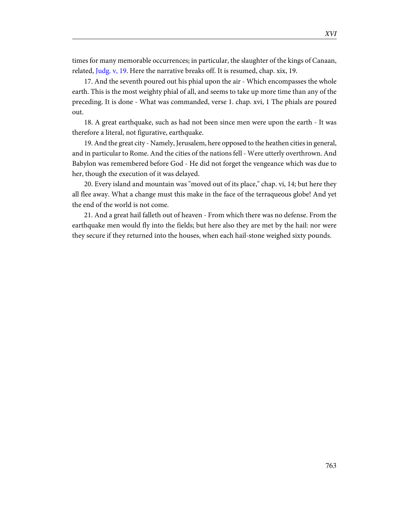times for many memorable occurrences; in particular, the slaughter of the kings of Canaan, related, [Judg. v, 19](http://www.ccel.org/study/Bible:Judg.5.19). Here the narrative breaks off. It is resumed, chap. xix, 19.

17. And the seventh poured out his phial upon the air - Which encompasses the whole earth. This is the most weighty phial of all, and seems to take up more time than any of the preceding. It is done - What was commanded, verse 1. chap. xvi, 1 The phials are poured out.

18. A great earthquake, such as had not been since men were upon the earth - It was therefore a literal, not figurative, earthquake.

19. And the great city - Namely, Jerusalem, here opposed to the heathen cities in general, and in particular to Rome. And the cities of the nations fell - Were utterly overthrown. And Babylon was remembered before God - He did not forget the vengeance which was due to her, though the execution of it was delayed.

20. Every island and mountain was "moved out of its place," chap. vi, 14; but here they all flee away. What a change must this make in the face of the terraqueous globe! And yet the end of the world is not come.

21. And a great hail falleth out of heaven - From which there was no defense. From the earthquake men would fly into the fields; but here also they are met by the hail: nor were they secure if they returned into the houses, when each hail-stone weighed sixty pounds.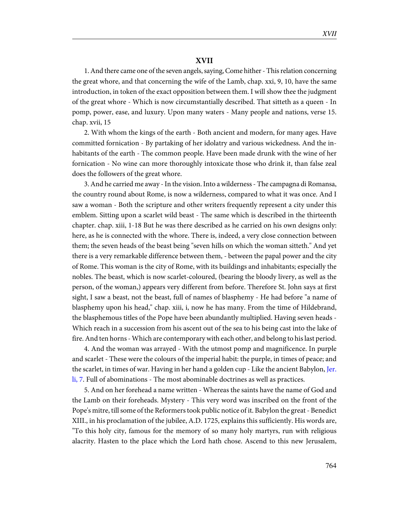# **XVII**

1. And there came one of the seven angels, saying, Come hither - This relation concerning the great whore, and that concerning the wife of the Lamb, chap. xxi, 9, 10, have the same introduction, in token of the exact opposition between them. I will show thee the judgment of the great whore - Which is now circumstantially described. That sitteth as a queen - In pomp, power, ease, and luxury. Upon many waters - Many people and nations, verse 15. chap. xvii, 15

2. With whom the kings of the earth - Both ancient and modern, for many ages. Have committed fornication - By partaking of her idolatry and various wickedness. And the inhabitants of the earth - The common people. Have been made drunk with the wine of her fornication - No wine can more thoroughly intoxicate those who drink it, than false zeal does the followers of the great whore.

3. And he carried me away - In the vision. Into a wilderness - The campagna di Romansa, the country round about Rome, is now a wilderness, compared to what it was once. And I saw a woman - Both the scripture and other writers frequently represent a city under this emblem. Sitting upon a scarlet wild beast - The same which is described in the thirteenth chapter. chap. xiii, 1-18 But he was there described as he carried on his own designs only: here, as he is connected with the whore. There is, indeed, a very close connection between them; the seven heads of the beast being "seven hills on which the woman sitteth." And yet there is a very remarkable difference between them, - between the papal power and the city of Rome. This woman is the city of Rome, with its buildings and inhabitants; especially the nobles. The beast, which is now scarlet-coloured, (bearing the bloody livery, as well as the person, of the woman,) appears very different from before. Therefore St. John says at first sight, I saw a beast, not the beast, full of names of blasphemy - He had before "a name of blasphemy upon his head," chap. xiii, i, now he has many. From the time of Hildebrand, the blasphemous titles of the Pope have been abundantly multiplied. Having seven heads - Which reach in a succession from his ascent out of the sea to his being cast into the lake of fire. And ten horns - Which are contemporary with each other, and belong to his last period.

4. And the woman was arrayed - With the utmost pomp and magnificence. In purple and scarlet - These were the colours of the imperial habit: the purple, in times of peace; and the scarlet, in times of war. Having in her hand a golden cup - Like the ancient Babylon, [Jer.](http://www.ccel.org/study/Bible:Jer.51.7) [li, 7](http://www.ccel.org/study/Bible:Jer.51.7). Full of abominations - The most abominable doctrines as well as practices.

5. And on her forehead a name written - Whereas the saints have the name of God and the Lamb on their foreheads. Mystery - This very word was inscribed on the front of the Pope's mitre, till some of the Reformers took public notice of it. Babylon the great - Benedict XIII., in his proclamation of the jubilee, A.D. 1725, explains this sufficiently. His words are, "To this holy city, famous for the memory of so many holy martyrs, run with religious alacrity. Hasten to the place which the Lord hath chose. Ascend to this new Jerusalem,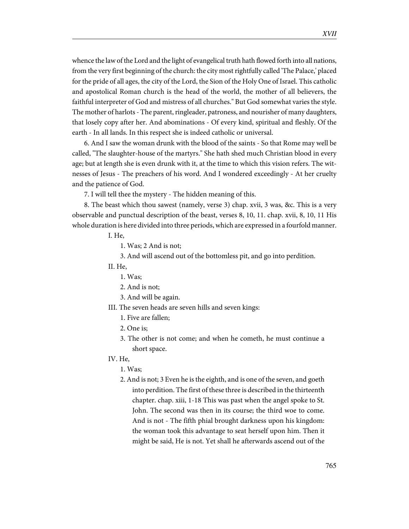whence the law of the Lord and the light of evangelical truth hath flowed forth into all nations, from the very first beginning of the church: the city most rightfully called 'The Palace,' placed for the pride of all ages, the city of the Lord, the Sion of the Holy One of Israel. This catholic and apostolical Roman church is the head of the world, the mother of all believers, the faithful interpreter of God and mistress of all churches." But God somewhat varies the style. The mother of harlots - The parent, ringleader, patroness, and nourisher of many daughters, that losely copy after her. And abominations - Of every kind, spiritual and fleshly. Of the earth - In all lands. In this respect she is indeed catholic or universal.

6. And I saw the woman drunk with the blood of the saints - So that Rome may well be called, "The slaughter-house of the martyrs." She hath shed much Christian blood in every age; but at length she is even drunk with it, at the time to which this vision refers. The witnesses of Jesus - The preachers of his word. And I wondered exceedingly - At her cruelty and the patience of God.

7. I will tell thee the mystery - The hidden meaning of this.

8. The beast which thou sawest (namely, verse 3) chap. xvii, 3 was, &c. This is a very observable and punctual description of the beast, verses 8, 10, 11. chap. xvii, 8, 10, 11 His whole duration is here divided into three periods, which are expressed in a fourfold manner.

I. He,

1. Was; 2 And is not;

3. And will ascend out of the bottomless pit, and go into perdition.

II. He,

- 1. Was;
- 2. And is not;
- 3. And will be again.
- III. The seven heads are seven hills and seven kings:
	- 1. Five are fallen;
	- 2. One is;
	- 3. The other is not come; and when he cometh, he must continue a short space.

# IV. He,

- 1. Was;
- 2. And is not; 3 Even he is the eighth, and is one of the seven, and goeth into perdition. The first of these three is described in the thirteenth chapter. chap. xiii, 1-18 This was past when the angel spoke to St. John. The second was then in its course; the third woe to come. And is not - The fifth phial brought darkness upon his kingdom: the woman took this advantage to seat herself upon him. Then it might be said, He is not. Yet shall he afterwards ascend out of the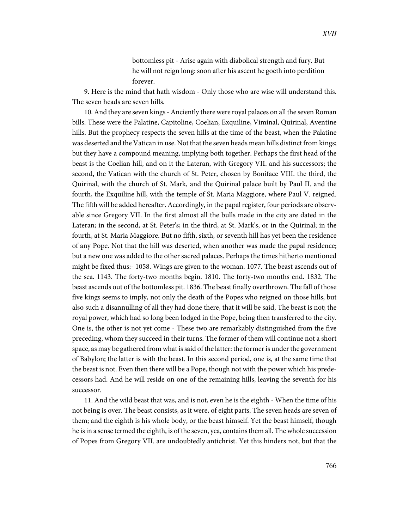9. Here is the mind that hath wisdom - Only those who are wise will understand this. The seven heads are seven hills.

10. And they are seven kings - Anciently there were royal palaces on all the seven Roman bills. These were the Palatine, Capitoline, Coelian, Exquiline, Viminal, Quirinal, Aventine hills. But the prophecy respects the seven hills at the time of the beast, when the Palatine was deserted and the Vatican in use. Not that the seven heads mean hills distinct from kings; but they have a compound meaning, implying both together. Perhaps the first head of the beast is the Coelian hill, and on it the Lateran, with Gregory VII. and his successors; the second, the Vatican with the church of St. Peter, chosen by Boniface VIII. the third, the Quirinal, with the church of St. Mark, and the Quirinal palace built by Paul II. and the fourth, the Exquiline hill, with the temple of St. Maria Maggiore, where Paul V. reigned. The fifth will be added hereafter. Accordingly, in the papal register, four periods are observable since Gregory VII. In the first almost all the bulls made in the city are dated in the Lateran; in the second, at St. Peter's; in the third, at St. Mark's, or in the Quirinal; in the fourth, at St. Maria Maggiore. But no fifth, sixth, or seventh hill has yet been the residence of any Pope. Not that the hill was deserted, when another was made the papal residence; but a new one was added to the other sacred palaces. Perhaps the times hitherto mentioned might be fixed thus:- 1058. Wings are given to the woman. 1077. The beast ascends out of the sea. 1143. The forty-two months begin. 1810. The forty-two months end. 1832. The beast ascends out of the bottomless pit. 1836. The beast finally overthrown. The fall of those five kings seems to imply, not only the death of the Popes who reigned on those hills, but also such a disannulling of all they had done there, that it will be said, The beast is not; the royal power, which had so long been lodged in the Pope, being then transferred to the city. One is, the other is not yet come - These two are remarkably distinguished from the five preceding, whom they succeed in their turns. The former of them will continue not a short space, as may be gathered from what is said of the latter: the former is under the government of Babylon; the latter is with the beast. In this second period, one is, at the same time that the beast is not. Even then there will be a Pope, though not with the power which his predecessors had. And he will reside on one of the remaining hills, leaving the seventh for his successor.

11. And the wild beast that was, and is not, even he is the eighth - When the time of his not being is over. The beast consists, as it were, of eight parts. The seven heads are seven of them; and the eighth is his whole body, or the beast himself. Yet the beast himself, though he is in a sense termed the eighth, is of the seven, yea, contains them all. The whole succession of Popes from Gregory VII. are undoubtedly antichrist. Yet this hinders not, but that the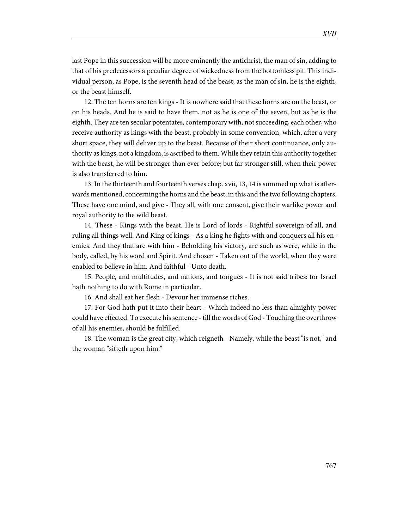12. The ten horns are ten kings - It is nowhere said that these horns are on the beast, or on his heads. And he is said to have them, not as he is one of the seven, but as he is the eighth. They are ten secular potentates, contemporary with, not succeeding, each other, who receive authority as kings with the beast, probably in some convention, which, after a very short space, they will deliver up to the beast. Because of their short continuance, only authority as kings, not a kingdom, is ascribed to them. While they retain this authority together with the beast, he will be stronger than ever before; but far stronger still, when their power is also transferred to him.

13. In the thirteenth and fourteenth verses chap. xvii, 13, 14 is summed up what is afterwards mentioned, concerning the horns and the beast, in this and the two following chapters. These have one mind, and give - They all, with one consent, give their warlike power and royal authority to the wild beast.

14. These - Kings with the beast. He is Lord of lords - Rightful sovereign of all, and ruling all things well. And King of kings - As a king he fights with and conquers all his enemies. And they that are with him - Beholding his victory, are such as were, while in the body, called, by his word and Spirit. And chosen - Taken out of the world, when they were enabled to believe in him. And faithful - Unto death.

15. People, and multitudes, and nations, and tongues - It is not said tribes: for Israel hath nothing to do with Rome in particular.

16. And shall eat her flesh - Devour her immense riches.

17. For God hath put it into their heart - Which indeed no less than almighty power could have effected. To execute his sentence - till the words of God - Touching the overthrow of all his enemies, should be fulfilled.

18. The woman is the great city, which reigneth - Namely, while the beast "is not," and the woman "sitteth upon him."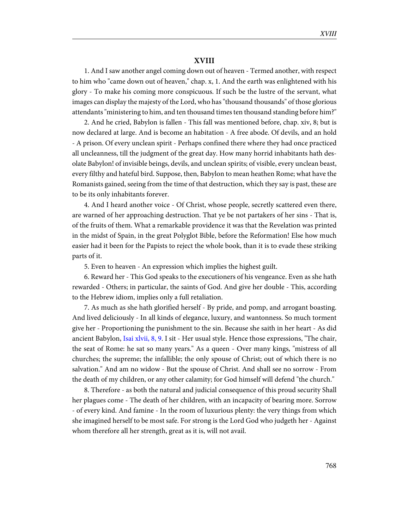## **XVIII**

1. And I saw another angel coming down out of heaven - Termed another, with respect to him who "came down out of heaven," chap. x, 1. And the earth was enlightened with his glory - To make his coming more conspicuous. If such be the lustre of the servant, what images can display the majesty of the Lord, who has "thousand thousands" of those glorious attendants "ministering to him, and ten thousand times ten thousand standing before him?"

2. And he cried, Babylon is fallen - This fall was mentioned before, chap. xiv, 8; but is now declared at large. And is become an habitation - A free abode. Of devils, and an hold - A prison. Of every unclean spirit - Perhaps confined there where they had once practiced all uncleanness, till the judgment of the great day. How many horrid inhabitants hath desolate Babylon! of invisible beings, devils, and unclean spirits; of visible, every unclean beast, every filthy and hateful bird. Suppose, then, Babylon to mean heathen Rome; what have the Romanists gained, seeing from the time of that destruction, which they say is past, these are to be its only inhabitants forever.

4. And I heard another voice - Of Christ, whose people, secretly scattered even there, are warned of her approaching destruction. That ye be not partakers of her sins - That is, of the fruits of them. What a remarkable providence it was that the Revelation was printed in the midst of Spain, in the great Polyglot Bible, before the Reformation! Else how much easier had it been for the Papists to reject the whole book, than it is to evade these striking parts of it.

5. Even to heaven - An expression which implies the highest guilt.

6. Reward her - This God speaks to the executioners of his vengeance. Even as she hath rewarded - Others; in particular, the saints of God. And give her double - This, according to the Hebrew idiom, implies only a full retaliation.

7. As much as she hath glorified herself - By pride, and pomp, and arrogant boasting. And lived deliciously - In all kinds of elegance, luxury, and wantonness. So much torment give her - Proportioning the punishment to the sin. Because she saith in her heart - As did ancient Babylon, [Isai xlvii, 8, 9.](http://www.ccel.org/study/Bible:Isa.47.8-Isa.47.9) I sit - Her usual style. Hence those expressions, "The chair, the seat of Rome: he sat so many years." As a queen - Over many kings, "mistress of all churches; the supreme; the infallible; the only spouse of Christ; out of which there is no salvation." And am no widow - But the spouse of Christ. And shall see no sorrow - From the death of my children, or any other calamity; for God himself will defend "the church."

8. Therefore - as both the natural and judicial consequence of this proud security Shall her plagues come - The death of her children, with an incapacity of bearing more. Sorrow - of every kind. And famine - In the room of luxurious plenty: the very things from which she imagined herself to be most safe. For strong is the Lord God who judgeth her - Against whom therefore all her strength, great as it is, will not avail.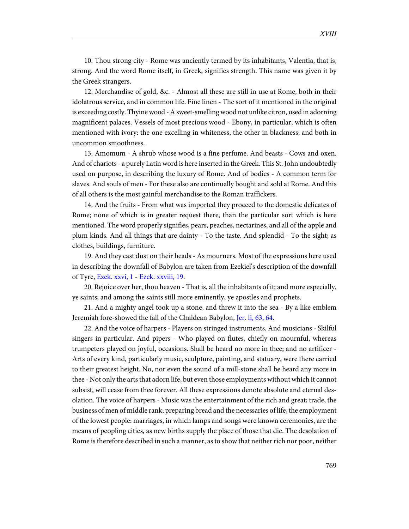10. Thou strong city - Rome was anciently termed by its inhabitants, Valentia, that is, strong. And the word Rome itself, in Greek, signifies strength. This name was given it by the Greek strangers.

12. Merchandise of gold, &c. - Almost all these are still in use at Rome, both in their idolatrous service, and in common life. Fine linen - The sort of it mentioned in the original is exceeding costly. Thyine wood - A sweet-smelling wood not unlike citron, used in adorning magnificent palaces. Vessels of most precious wood - Ebony, in particular, which is often mentioned with ivory: the one excelling in whiteness, the other in blackness; and both in uncommon smoothness.

13. Amomum - A shrub whose wood is a fine perfume. And beasts - Cows and oxen. And of chariots - a purely Latin word is here inserted in the Greek. This St. John undoubtedly used on purpose, in describing the luxury of Rome. And of bodies - A common term for slaves. And souls of men - For these also are continually bought and sold at Rome. And this of all others is the most gainful merchandise to the Roman traffickers.

14. And the fruits - From what was imported they proceed to the domestic delicates of Rome; none of which is in greater request there, than the particular sort which is here mentioned. The word properly signifies, pears, peaches, nectarines, and all of the apple and plum kinds. And all things that are dainty - To the taste. And splendid - To the sight; as clothes, buildings, furniture.

19. And they cast dust on their heads - As mourners. Most of the expressions here used in describing the downfall of Babylon are taken from Ezekiel's description of the downfall of Tyre, [Ezek. xxvi, 1](http://www.ccel.org/study/Bible:Ezek.26.1) - [Ezek. xxviii, 19](http://www.ccel.org/study/Bible:Ezek.28.19).

20. Rejoice over her, thou heaven - That is, all the inhabitants of it; and more especially, ye saints; and among the saints still more eminently, ye apostles and prophets.

21. And a mighty angel took up a stone, and threw it into the sea - By a like emblem Jeremiah fore-showed the fall of the Chaldean Babylon, [Jer. li, 63, 64](http://www.ccel.org/study/Bible:Jer.51.63-Jer.51.64).

22. And the voice of harpers - Players on stringed instruments. And musicians - Skilful singers in particular. And pipers - Who played on flutes, chiefly on mournful, whereas trumpeters played on joyful, occasions. Shall be heard no more in thee; and no artificer - Arts of every kind, particularly music, sculpture, painting, and statuary, were there carried to their greatest height. No, nor even the sound of a mill-stone shall be heard any more in thee - Not only the arts that adorn life, but even those employments without which it cannot subsist, will cease from thee forever. All these expressions denote absolute and eternal desolation. The voice of harpers - Music was the entertainment of the rich and great; trade, the business of men of middle rank; preparing bread and the necessaries of life, the employment of the lowest people: marriages, in which lamps and songs were known ceremonies, are the means of peopling cities, as new births supply the place of those that die. The desolation of Rome is therefore described in such a manner, as to show that neither rich nor poor, neither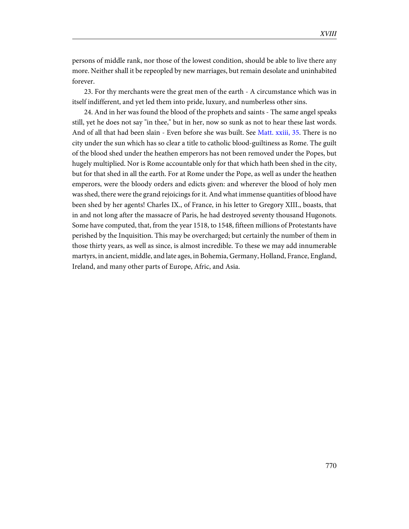persons of middle rank, nor those of the lowest condition, should be able to live there any more. Neither shall it be repeopled by new marriages, but remain desolate and uninhabited forever.

23. For thy merchants were the great men of the earth - A circumstance which was in itself indifferent, and yet led them into pride, luxury, and numberless other sins.

24. And in her was found the blood of the prophets and saints - The same angel speaks still, yet he does not say "in thee," but in her, now so sunk as not to hear these last words. And of all that had been slain - Even before she was built. See [Matt. xxiii, 35.](http://www.ccel.org/study/Bible:Matt.23.35) There is no city under the sun which has so clear a title to catholic blood-guiltiness as Rome. The guilt of the blood shed under the heathen emperors has not been removed under the Popes, but hugely multiplied. Nor is Rome accountable only for that which hath been shed in the city, but for that shed in all the earth. For at Rome under the Pope, as well as under the heathen emperors, were the bloody orders and edicts given: and wherever the blood of holy men was shed, there were the grand rejoicings for it. And what immense quantities of blood have been shed by her agents! Charles IX., of France, in his letter to Gregory XIII., boasts, that in and not long after the massacre of Paris, he had destroyed seventy thousand Hugonots. Some have computed, that, from the year 1518, to 1548, fifteen millions of Protestants have perished by the Inquisition. This may be overcharged; but certainly the number of them in those thirty years, as well as since, is almost incredible. To these we may add innumerable martyrs, in ancient, middle, and late ages, in Bohemia, Germany, Holland, France, England, Ireland, and many other parts of Europe, Afric, and Asia.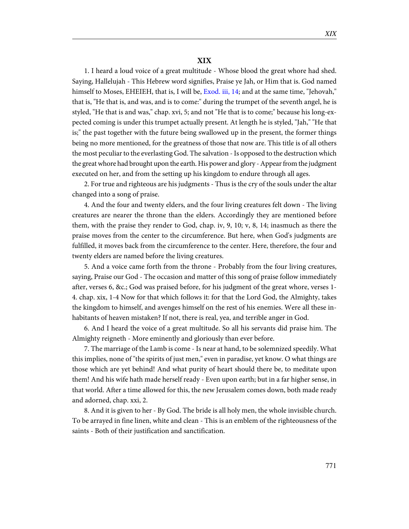# **XIX**

1. I heard a loud voice of a great multitude - Whose blood the great whore had shed. Saying, Hallelujah - This Hebrew word signifies, Praise ye Jah, or Him that is. God named himself to Moses, EHEIEH, that is, I will be, [Exod. iii, 14](http://www.ccel.org/study/Bible:Exod.3.14); and at the same time, "Jehovah," that is, "He that is, and was, and is to come:" during the trumpet of the seventh angel, he is styled, "He that is and was," chap. xvi, 5; and not "He that is to come;" because his long-expected coming is under this trumpet actually present. At length he is styled, "Jah," "He that is;" the past together with the future being swallowed up in the present, the former things being no more mentioned, for the greatness of those that now are. This title is of all others the most peculiar to the everlasting God. The salvation - Is opposed to the destruction which the great whore had brought upon the earth. His power and glory - Appear from the judgment executed on her, and from the setting up his kingdom to endure through all ages.

2. For true and righteous are his judgments - Thus is the cry of the souls under the altar changed into a song of praise.

4. And the four and twenty elders, and the four living creatures felt down - The living creatures are nearer the throne than the elders. Accordingly they are mentioned before them, with the praise they render to God, chap. iv, 9, 10; v, 8, 14; inasmuch as there the praise moves from the center to the circumference. But here, when God's judgments are fulfilled, it moves back from the circumference to the center. Here, therefore, the four and twenty elders are named before the living creatures.

5. And a voice came forth from the throne - Probably from the four living creatures, saying, Praise our God - The occasion and matter of this song of praise follow immediately after, verses 6, &c.; God was praised before, for his judgment of the great whore, verses 1- 4. chap. xix, 1-4 Now for that which follows it: for that the Lord God, the Almighty, takes the kingdom to himself, and avenges himself on the rest of his enemies. Were all these inhabitants of heaven mistaken? If not, there is real, yea, and terrible anger in God.

6. And I heard the voice of a great multitude. So all his servants did praise him. The Almighty reigneth - More eminently and gloriously than ever before.

7. The marriage of the Lamb is come - Is near at hand, to be solemnized speedily. What this implies, none of "the spirits of just men," even in paradise, yet know. O what things are those which are yet behind! And what purity of heart should there be, to meditate upon them! And his wife hath made herself ready - Even upon earth; but in a far higher sense, in that world. After a time allowed for this, the new Jerusalem comes down, both made ready and adorned, chap. xxi, 2.

8. And it is given to her - By God. The bride is all holy men, the whole invisible church. To be arrayed in fine linen, white and clean - This is an emblem of the righteousness of the saints - Both of their justification and sanctification.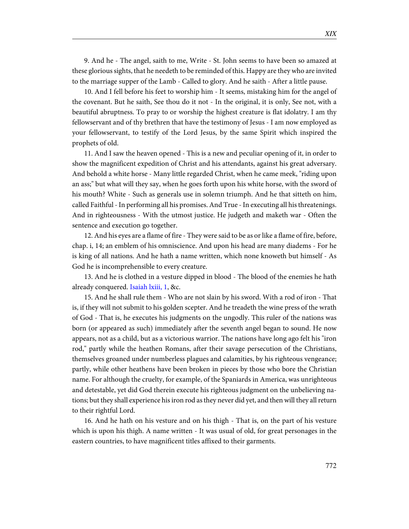9. And he - The angel, saith to me, Write - St. John seems to have been so amazed at these glorious sights, that he needeth to be reminded of this. Happy are they who are invited to the marriage supper of the Lamb - Called to glory. And he saith - After a little pause.

10. And I fell before his feet to worship him - It seems, mistaking him for the angel of the covenant. But he saith, See thou do it not - In the original, it is only, See not, with a beautiful abruptness. To pray to or worship the highest creature is flat idolatry. I am thy fellowservant and of thy brethren that have the testimony of Jesus - I am now employed as your fellowservant, to testify of the Lord Jesus, by the same Spirit which inspired the prophets of old.

11. And I saw the heaven opened - This is a new and peculiar opening of it, in order to show the magnificent expedition of Christ and his attendants, against his great adversary. And behold a white horse - Many little regarded Christ, when he came meek, "riding upon an ass;" but what will they say, when he goes forth upon his white horse, with the sword of his mouth? White - Such as generals use in solemn triumph. And he that sitteth on him, called Faithful - In performing all his promises. And True - In executing all his threatenings. And in righteousness - With the utmost justice. He judgeth and maketh war - Often the sentence and execution go together.

12. And his eyes are a flame of fire - They were said to be as or like a flame of fire, before, chap. i, 14; an emblem of his omniscience. And upon his head are many diadems - For he is king of all nations. And he hath a name written, which none knoweth but himself - As God he is incomprehensible to every creature.

13. And he is clothed in a vesture dipped in blood - The blood of the enemies he hath already conquered. [Isaiah lxiii, 1](http://www.ccel.org/study/Bible:Isa.63.1), &c.

15. And he shall rule them - Who are not slain by his sword. With a rod of iron - That is, if they will not submit to his golden scepter. And he treadeth the wine press of the wrath of God - That is, he executes his judgments on the ungodly. This ruler of the nations was born (or appeared as such) immediately after the seventh angel began to sound. He now appears, not as a child, but as a victorious warrior. The nations have long ago felt his "iron rod," partly while the heathen Romans, after their savage persecution of the Christians, themselves groaned under numberless plagues and calamities, by his righteous vengeance; partly, while other heathens have been broken in pieces by those who bore the Christian name. For although the cruelty, for example, of the Spaniards in America, was unrighteous and detestable, yet did God therein execute his righteous judgment on the unbelieving nations; but they shall experience his iron rod as they never did yet, and then will they all return to their rightful Lord.

16. And he hath on his vesture and on his thigh - That is, on the part of his vesture which is upon his thigh. A name written - It was usual of old, for great personages in the eastern countries, to have magnificent titles affixed to their garments.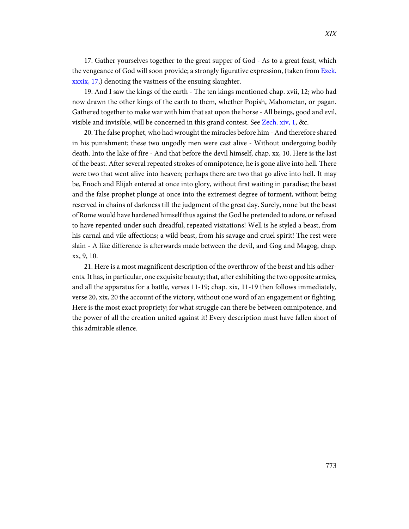17. Gather yourselves together to the great supper of God - As to a great feast, which the vengeance of God will soon provide; a strongly figurative expression, (taken from [Ezek.](http://www.ccel.org/study/Bible:Ezek.39.17) [xxxix, 17](http://www.ccel.org/study/Bible:Ezek.39.17),) denoting the vastness of the ensuing slaughter.

19. And I saw the kings of the earth - The ten kings mentioned chap. xvii, 12; who had now drawn the other kings of the earth to them, whether Popish, Mahometan, or pagan. Gathered together to make war with him that sat upon the horse - All beings, good and evil, visible and invisible, will be concerned in this grand contest. See [Zech. xiv, 1](http://www.ccel.org/study/Bible:Zech.14.1), &c.

20. The false prophet, who had wrought the miracles before him - And therefore shared in his punishment; these two ungodly men were cast alive - Without undergoing bodily death. Into the lake of fire - And that before the devil himself, chap. xx, 10. Here is the last of the beast. After several repeated strokes of omnipotence, he is gone alive into hell. There were two that went alive into heaven; perhaps there are two that go alive into hell. It may be, Enoch and Elijah entered at once into glory, without first waiting in paradise; the beast and the false prophet plunge at once into the extremest degree of torment, without being reserved in chains of darkness till the judgment of the great day. Surely, none but the beast of Rome would have hardened himself thus against the God he pretended to adore, or refused to have repented under such dreadful, repeated visitations! Well is he styled a beast, from his carnal and vile affections; a wild beast, from his savage and cruel spirit! The rest were slain - A like difference is afterwards made between the devil, and Gog and Magog, chap. xx, 9, 10.

21. Here is a most magnificent description of the overthrow of the beast and his adherents. It has, in particular, one exquisite beauty; that, after exhibiting the two opposite armies, and all the apparatus for a battle, verses 11-19; chap. xix, 11-19 then follows immediately, verse 20, xix, 20 the account of the victory, without one word of an engagement or fighting. Here is the most exact propriety; for what struggle can there be between omnipotence, and the power of all the creation united against it! Every description must have fallen short of this admirable silence.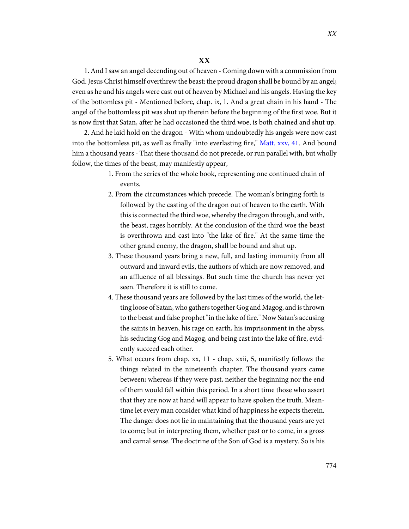# **XX**

1. And I saw an angel decending out of heaven - Coming down with a commission from God. Jesus Christ himself overthrew the beast: the proud dragon shall be bound by an angel; even as he and his angels were cast out of heaven by Michael and his angels. Having the key of the bottomless pit - Mentioned before, chap. ix, 1. And a great chain in his hand - The angel of the bottomless pit was shut up therein before the beginning of the first woe. But it is now first that Satan, after he had occasioned the third woe, is both chained and shut up.

2. And he laid hold on the dragon - With whom undoubtedly his angels were now cast into the bottomless pit, as well as finally "into everlasting fire," [Matt. xxv, 41](http://www.ccel.org/study/Bible:Matt.25.41). And bound him a thousand years - That these thousand do not precede, or run parallel with, but wholly follow, the times of the beast, may manifestly appear,

- 1. From the series of the whole book, representing one continued chain of events.
- 2. From the circumstances which precede. The woman's bringing forth is followed by the casting of the dragon out of heaven to the earth. With this is connected the third woe, whereby the dragon through, and with, the beast, rages horribly. At the conclusion of the third woe the beast is overthrown and cast into "the lake of fire." At the same time the other grand enemy, the dragon, shall be bound and shut up.
- 3. These thousand years bring a new, full, and lasting immunity from all outward and inward evils, the authors of which are now removed, and an affluence of all blessings. But such time the church has never yet seen. Therefore it is still to come.
- 4. These thousand years are followed by the last times of the world, the letting loose of Satan, who gathers together Gog and Magog, and is thrown to the beast and false prophet "in the lake of fire." Now Satan's accusing the saints in heaven, his rage on earth, his imprisonment in the abyss, his seducing Gog and Magog, and being cast into the lake of fire, evidently succeed each other.
- 5. What occurs from chap. xx, 11 chap. xxii, 5, manifestly follows the things related in the nineteenth chapter. The thousand years came between; whereas if they were past, neither the beginning nor the end of them would fall within this period. In a short time those who assert that they are now at hand will appear to have spoken the truth. Meantime let every man consider what kind of happiness he expects therein. The danger does not lie in maintaining that the thousand years are yet to come; but in interpreting them, whether past or to come, in a gross and carnal sense. The doctrine of the Son of God is a mystery. So is his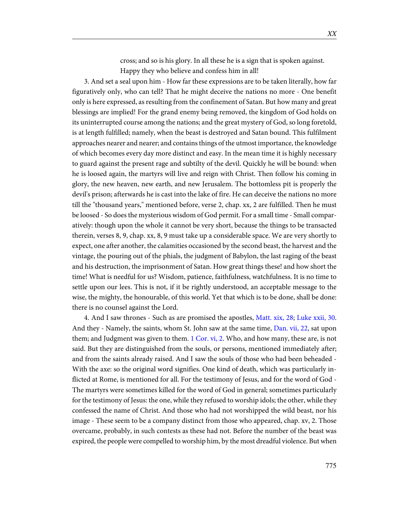cross; and so is his glory. In all these he is a sign that is spoken against. Happy they who believe and confess him in all!

3. And set a seal upon him - How far these expressions are to be taken literally, how far figuratively only, who can tell? That he might deceive the nations no more - One benefit only is here expressed, as resulting from the confinement of Satan. But how many and great blessings are implied! For the grand enemy being removed, the kingdom of God holds on its uninterrupted course among the nations; and the great mystery of God, so long foretold, is at length fulfilled; namely, when the beast is destroyed and Satan bound. This fulfilment approaches nearer and nearer; and contains things of the utmost importance, the knowledge of which becomes every day more distinct and easy. In the mean time it is highly necessary to guard against the present rage and subtilty of the devil. Quickly he will be bound: when he is loosed again, the martyrs will live and reign with Christ. Then follow his coming in glory, the new heaven, new earth, and new Jerusalem. The bottomless pit is properly the devil's prison; afterwards he is cast into the lake of fire. He can deceive the nations no more till the "thousand years," mentioned before, verse 2, chap. xx, 2 are fulfilled. Then he must be loosed - So does the mysterious wisdom of God permit. For a small time - Small comparatively: though upon the whole it cannot be very short, because the things to be transacted therein, verses 8, 9, chap. xx, 8, 9 must take up a considerable space. We are very shortly to expect, one after another, the calamities occasioned by the second beast, the harvest and the vintage, the pouring out of the phials, the judgment of Babylon, the last raging of the beast and his destruction, the imprisonment of Satan. How great things these! and how short the time! What is needful for us? Wisdom, patience, faithfulness, watchfulness. It is no time to settle upon our lees. This is not, if it be rightly understood, an acceptable message to the wise, the mighty, the honourable, of this world. Yet that which is to be done, shall be done: there is no counsel against the Lord.

4. And I saw thrones - Such as are promised the apostles, [Matt. xix, 28](http://www.ccel.org/study/Bible:Matt.19.28); [Luke xxii, 30.](http://www.ccel.org/study/Bible:Luke.22.30) And they - Namely, the saints, whom St. John saw at the same time, [Dan. vii, 22,](http://www.ccel.org/study/Bible:Dan.7.22) sat upon them; and Judgment was given to them. [1 Cor. vi, 2](http://www.ccel.org/study/Bible:1Cor.6.2). Who, and how many, these are, is not said. But they are distinguished from the souls, or persons, mentioned immediately after; and from the saints already raised. And I saw the souls of those who had been beheaded - With the axe: so the original word signifies. One kind of death, which was particularly inflicted at Rome, is mentioned for all. For the testimony of Jesus, and for the word of God - The martyrs were sometimes killed for the word of God in general; sometimes particularly for the testimony of Jesus: the one, while they refused to worship idols; the other, while they confessed the name of Christ. And those who had not worshipped the wild beast, nor his image - These seem to be a company distinct from those who appeared, chap. xv, 2. Those overcame, probably, in such contests as these had not. Before the number of the beast was expired, the people were compelled to worship him, by the most dreadful violence. But when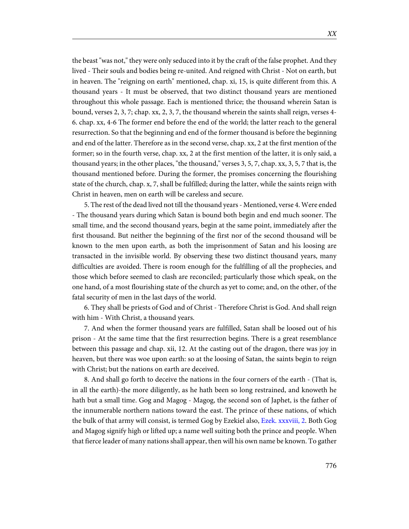the beast "was not," they were only seduced into it by the craft of the false prophet. And they lived - Their souls and bodies being re-united. And reigned with Christ - Not on earth, but in heaven. The "reigning on earth" mentioned, chap. xi, 15, is quite different from this. A thousand years - It must be observed, that two distinct thousand years are mentioned throughout this whole passage. Each is mentioned thrice; the thousand wherein Satan is bound, verses 2, 3, 7; chap. xx, 2, 3, 7, the thousand wherein the saints shall reign, verses 4- 6. chap. xx, 4-6 The former end before the end of the world; the latter reach to the general resurrection. So that the beginning and end of the former thousand is before the beginning and end of the latter. Therefore as in the second verse, chap. xx, 2 at the first mention of the former; so in the fourth verse, chap. xx, 2 at the first mention of the latter, it is only said, a thousand years; in the other places, "the thousand," verses 3, 5, 7, chap. xx, 3, 5, 7 that is, the thousand mentioned before. During the former, the promises concerning the flourishing state of the church, chap. x, 7, shall be fulfilled; during the latter, while the saints reign with Christ in heaven, men on earth will be careless and secure.

5. The rest of the dead lived not till the thousand years - Mentioned, verse 4. Were ended - The thousand years during which Satan is bound both begin and end much sooner. The small time, and the second thousand years, begin at the same point, immediately after the first thousand. But neither the beginning of the first nor of the second thousand will be known to the men upon earth, as both the imprisonment of Satan and his loosing are transacted in the invisible world. By observing these two distinct thousand years, many difficulties are avoided. There is room enough for the fulfilling of all the prophecies, and those which before seemed to clash are reconciled; particularly those which speak, on the one hand, of a most flourishing state of the church as yet to come; and, on the other, of the fatal security of men in the last days of the world.

6. They shall be priests of God and of Christ - Therefore Christ is God. And shall reign with him - With Christ, a thousand years.

7. And when the former thousand years are fulfilled, Satan shall be loosed out of his prison - At the same time that the first resurrection begins. There is a great resemblance between this passage and chap. xii, 12. At the casting out of the dragon, there was joy in heaven, but there was woe upon earth: so at the loosing of Satan, the saints begin to reign with Christ; but the nations on earth are deceived.

8. And shall go forth to deceive the nations in the four corners of the earth - (That is, in all the earth)-the more diligently, as he hath been so long restrained, and knoweth he hath but a small time. Gog and Magog - Magog, the second son of Japhet, is the father of the innumerable northern nations toward the east. The prince of these nations, of which the bulk of that army will consist, is termed Gog by Ezekiel also, [Ezek. xxxviii, 2.](http://www.ccel.org/study/Bible:Ezek.38.2) Both Gog and Magog signify high or lifted up; a name well suiting both the prince and people. When that fierce leader of many nations shall appear, then will his own name be known. To gather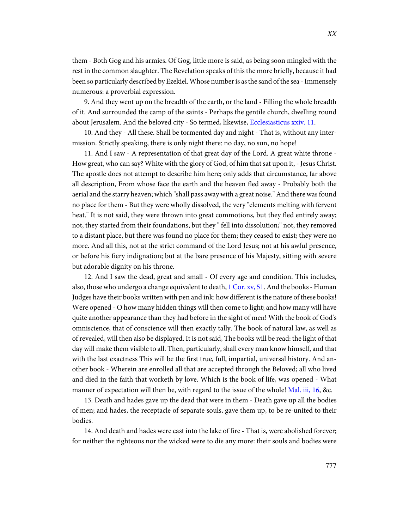them - Both Gog and his armies. Of Gog, little more is said, as being soon mingled with the rest in the common slaughter. The Revelation speaks of this the more briefly, because it had been so particularly described by Ezekiel. Whose number is as the sand of the sea - Immensely numerous: a proverbial expression.

9. And they went up on the breadth of the earth, or the land - Filling the whole breadth of it. And surrounded the camp of the saints - Perhaps the gentile church, dwelling round about Jerusalem. And the beloved city - So termed, likewise, [Ecclesiasticus xxiv. 11](http://www.ccel.org/study/Bible:Sir.24.11).

10. And they - All these. Shall be tormented day and night - That is, without any intermission. Strictly speaking, there is only night there: no day, no sun, no hope!

11. And I saw - A representation of that great day of the Lord. A great white throne - How great, who can say? White with the glory of God, of him that sat upon it, - Jesus Christ. The apostle does not attempt to describe him here; only adds that circumstance, far above all description, From whose face the earth and the heaven fled away - Probably both the aerial and the starry heaven; which "shall pass away with a great noise." And there was found no place for them - But they were wholly dissolved, the very "elements melting with fervent heat." It is not said, they were thrown into great commotions, but they fled entirely away; not, they started from their foundations, but they " fell into dissolution;" not, they removed to a distant place, but there was found no place for them; they ceased to exist; they were no more. And all this, not at the strict command of the Lord Jesus; not at his awful presence, or before his fiery indignation; but at the bare presence of his Majesty, sitting with severe but adorable dignity on his throne.

12. And I saw the dead, great and small - Of every age and condition. This includes, also, those who undergo a change equivalent to death, [1 Cor. xv, 51.](http://www.ccel.org/study/Bible:1Cor.15.51) And the books - Human Judges have their books written with pen and ink: how different is the nature of these books! Were opened - O how many hidden things will then come to light; and how many will have quite another appearance than they had before in the sight of men! With the book of God's omniscience, that of conscience will then exactly tally. The book of natural law, as well as of revealed, will then also be displayed. It is not said, The books will be read: the light of that day will make them visible to all. Then, particularly, shall every man know himself, and that with the last exactness This will be the first true, full, impartial, universal history. And another book - Wherein are enrolled all that are accepted through the Beloved; all who lived and died in the faith that worketh by love. Which is the book of life, was opened - What manner of expectation will then be, with regard to the issue of the whole! [Mal. iii, 16](http://www.ccel.org/study/Bible:Mal.3.16), &c.

13. Death and hades gave up the dead that were in them - Death gave up all the bodies of men; and hades, the receptacle of separate souls, gave them up, to be re-united to their bodies.

14. And death and hades were cast into the lake of fire - That is, were abolished forever; for neither the righteous nor the wicked were to die any more: their souls and bodies were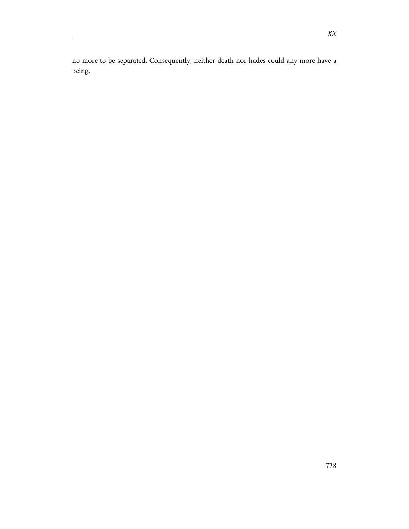no more to be separated. Consequently, neither death nor hades could any more have a being.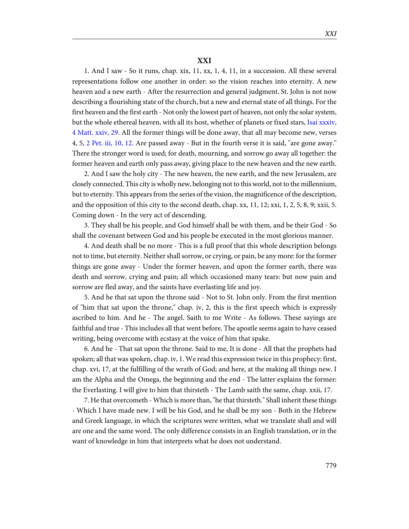# **XXI**

1. And I saw - So it runs, chap. xix, 11, xx, 1, 4, 11, in a succession. All these several representations follow one another in order: so the vision reaches into eternity. A new heaven and a new earth - After the resurrection and general judgment. St. John is not now describing a flourishing state of the church, but a new and eternal state of all things. For the first heaven and the first earth - Not only the lowest part of heaven, not only the solar system, but the whole ethereal heaven, with all its host, whether of planets or fixed stars, [Isai xxxiv,](http://www.ccel.org/study/Bible:Isa.34.4) [4](http://www.ccel.org/study/Bible:Isa.34.4) [Matt. xxiv, 29.](http://www.ccel.org/study/Bible:Matt.24.29) All the former things will be done away, that all may become new, verses 4, 5, [2 Pet. iii, 10, 12.](http://www.ccel.org/study/Bible:2Pet.3.10 Bible:2Pet.3.12) Are passed away - But in the fourth verse it is said, "are gone away." There the stronger word is used; for death, mourning, and sorrow go away all together: the former heaven and earth only pass away, giving place to the new heaven and the new earth.

2. And I saw the holy city - The new heaven, the new earth, and the new Jerusalem, are closely connected. This city is wholly new, belonging not to this world, not to the millennium, but to eternity. This appears from the series of the vision, the magnificence of the description, and the opposition of this city to the second death, chap. xx, 11, 12; xxi, 1, 2, 5, 8, 9; xxii, 5. Coming down - In the very act of descending.

3. They shall be his people, and God himself shall be with them, and be their God - So shall the covenant between God and his people be executed in the most glorious manner.

4. And death shall be no more - This is a full proof that this whole description belongs not to time, but eternity. Neither shall sorrow, or crying, or pain, be any more: for the former things are gone away - Under the former heaven, and upon the former earth, there was death and sorrow, crying and pain; all which occasioned many tears: but now pain and sorrow are fled away, and the saints have everlasting life and joy.

5. And he that sat upon the throne said - Not to St. John only. From the first mention of "him that sat upon the throne," chap. iv, 2, this is the first speech which is expressly ascribed to him. And he - The angel. Saith to me Write - As follows. These sayings are faithful and true - This includes all that went before. The apostle seems again to have ceased writing, being overcome with ecstasy at the voice of him that spake.

6. And he - That sat upon the throne. Said to me, It is done - All that the prophets had spoken; all that was spoken, chap. iv, 1. We read this expression twice in this prophecy: first, chap. xvi, 17, at the fulfilling of the wrath of God; and here, at the making all things new. I am the Alpha and the Omega, the beginning and the end - The latter explains the former: the Everlasting. I will give to him that thirsteth - The Lamb saith the same, chap. xxii, 17.

7. He that overcometh - Which is more than, "he that thirsteth." Shall inherit these things - Which I have made new. I will be his God, and he shall be my son - Both in the Hebrew and Greek language, in which the scriptures were written, what we translate shall and will are one and the same word. The only difference consists in an English translation, or in the want of knowledge in him that interprets what he does not understand.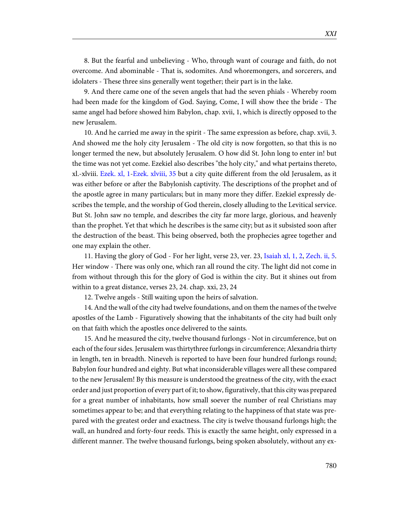8. But the fearful and unbelieving - Who, through want of courage and faith, do not overcome. And abominable - That is, sodomites. And whoremongers, and sorcerers, and idolaters - These three sins generally went together; their part is in the lake.

9. And there came one of the seven angels that had the seven phials - Whereby room had been made for the kingdom of God. Saying, Come, I will show thee the bride - The same angel had before showed him Babylon, chap. xvii, 1, which is directly opposed to the new Jerusalem.

10. And he carried me away in the spirit - The same expression as before, chap. xvii, 3. And showed me the holy city Jerusalem - The old city is now forgotten, so that this is no longer termed the new, but absolutely Jerusalem. O how did St. John long to enter in! but the time was not yet come. Ezekiel also describes "the holy city," and what pertains thereto, xl.-xlviii. [Ezek. xl, 1](http://www.ccel.org/study/Bible:Ezek.40.1)[-Ezek. xlviii, 35](http://www.ccel.org/study/Bible:Ezek.48.35) but a city quite different from the old Jerusalem, as it was either before or after the Babylonish captivity. The descriptions of the prophet and of the apostle agree in many particulars; but in many more they differ. Ezekiel expressly describes the temple, and the worship of God therein, closely alluding to the Levitical service. But St. John saw no temple, and describes the city far more large, glorious, and heavenly than the prophet. Yet that which he describes is the same city; but as it subsisted soon after the destruction of the beast. This being observed, both the prophecies agree together and one may explain the other.

11. Having the glory of God - For her light, verse 23, ver. 23, [Isaiah xl, 1, 2,](http://www.ccel.org/study/Bible:Isa.40.1-Isa.40.2) [Zech. ii, 5.](http://www.ccel.org/study/Bible:Zech.2.5) Her window - There was only one, which ran all round the city. The light did not come in from without through this for the glory of God is within the city. But it shines out from within to a great distance, verses 23, 24. chap. xxi, 23, 24

12. Twelve angels - Still waiting upon the heirs of salvation.

14. And the wall of the city had twelve foundations, and on them the names of the twelve apostles of the Lamb - Figuratively showing that the inhabitants of the city had built only on that faith which the apostles once delivered to the saints.

15. And he measured the city, twelve thousand furlongs - Not in circumference, but on each of the four sides. Jerusalem was thirtythree furlongs in circumference; Alexandria thirty in length, ten in breadth. Nineveh is reported to have been four hundred furlongs round; Babylon four hundred and eighty. But what inconsiderable villages were all these compared to the new Jerusalem! By this measure is understood the greatness of the city, with the exact order and just proportion of every part of it; to show, figuratively, that this city was prepared for a great number of inhabitants, how small soever the number of real Christians may sometimes appear to be; and that everything relating to the happiness of that state was prepared with the greatest order and exactness. The city is twelve thousand furlongs high; the wall, an hundred and forty-four reeds. This is exactly the same height, only expressed in a different manner. The twelve thousand furlongs, being spoken absolutely, without any ex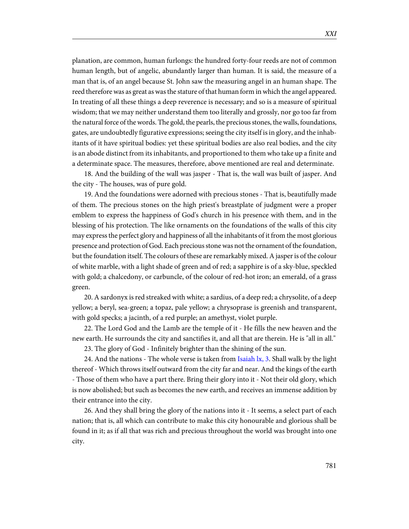planation, are common, human furlongs: the hundred forty-four reeds are not of common human length, but of angelic, abundantly larger than human. It is said, the measure of a man that is, of an angel because St. John saw the measuring angel in an human shape. The reed therefore was as great as was the stature of that human form in which the angel appeared. In treating of all these things a deep reverence is necessary; and so is a measure of spiritual wisdom; that we may neither understand them too literally and grossly, nor go too far from the natural force of the words. The gold, the pearls, the precious stones, the walls, foundations, gates, are undoubtedly figurative expressions; seeing the city itself is in glory, and the inhabitants of it have spiritual bodies: yet these spiritual bodies are also real bodies, and the city is an abode distinct from its inhabitants, and proportioned to them who take up a finite and a determinate space. The measures, therefore, above mentioned are real and determinate.

18. And the building of the wall was jasper - That is, the wall was built of jasper. And the city - The houses, was of pure gold.

19. And the foundations were adorned with precious stones - That is, beautifully made of them. The precious stones on the high priest's breastplate of judgment were a proper emblem to express the happiness of God's church in his presence with them, and in the blessing of his protection. The like ornaments on the foundations of the walls of this city may express the perfect glory and happiness of all the inhabitants of it from the most glorious presence and protection of God. Each precious stone was not the ornament of the foundation, but the foundation itself. The colours of these are remarkably mixed. A jasper is of the colour of white marble, with a light shade of green and of red; a sapphire is of a sky-blue, speckled with gold; a chalcedony, or carbuncle, of the colour of red-hot iron; an emerald, of a grass green.

20. A sardonyx is red streaked with white; a sardius, of a deep red; a chrysolite, of a deep yellow; a beryl, sea-green; a topaz, pale yellow; a chrysoprase is greenish and transparent, with gold specks; a jacinth, of a red purple; an amethyst, violet purple.

22. The Lord God and the Lamb are the temple of it - He fills the new heaven and the new earth. He surrounds the city and sanctifies it, and all that are therein. He is "all in all."

23. The glory of God - Infinitely brighter than the shining of the sun.

24. And the nations - The whole verse is taken from [Isaiah lx, 3.](http://www.ccel.org/study/Bible:Isa.60.3) Shall walk by the light thereof - Which throws itself outward from the city far and near. And the kings of the earth - Those of them who have a part there. Bring their glory into it - Not their old glory, which is now abolished; but such as becomes the new earth, and receives an immense addition by their entrance into the city.

26. And they shall bring the glory of the nations into it - It seems, a select part of each nation; that is, all which can contribute to make this city honourable and glorious shall be found in it; as if all that was rich and precious throughout the world was brought into one city.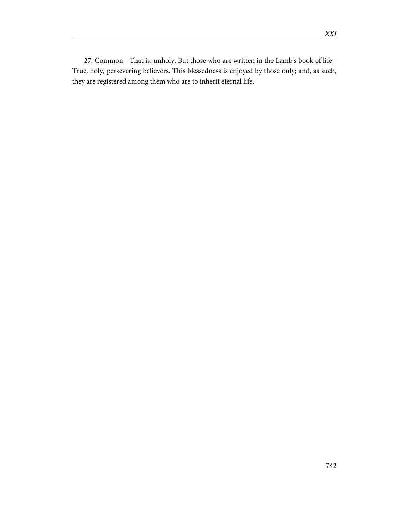27. Common - That is. unholy. But those who are written in the Lamb's book of life - True, holy, persevering believers. This blessedness is enjoyed by those only; and, as such, they are registered among them who are to inherit eternal life.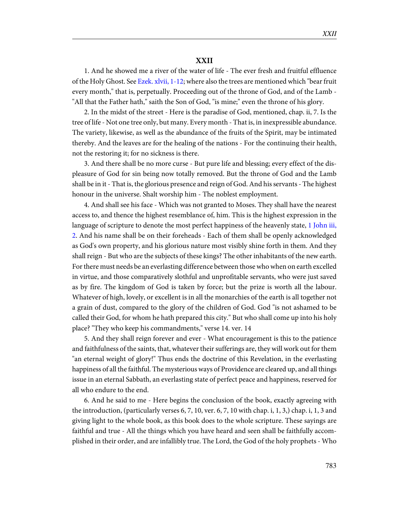# **XXII**

1. And he showed me a river of the water of life - The ever fresh and fruitful effluence of the Holy Ghost. See [Ezek. xlvii, 1-12;](http://www.ccel.org/study/Bible:Ezek.47.1-Ezek.47.12) where also the trees are mentioned which "bear fruit every month," that is, perpetually. Proceeding out of the throne of God, and of the Lamb - "All that the Father hath," saith the Son of God, "is mine;" even the throne of his glory.

2. In the midst of the street - Here is the paradise of God, mentioned, chap. ii, 7. Is the tree of life - Not one tree only, but many. Every month - That is, in inexpressible abundance. The variety, likewise, as well as the abundance of the fruits of the Spirit, may be intimated thereby. And the leaves are for the healing of the nations - For the continuing their health, not the restoring it; for no sickness is there.

3. And there shall be no more curse - But pure life and blessing; every effect of the displeasure of God for sin being now totally removed. But the throne of God and the Lamb shall be in it - That is, the glorious presence and reign of God. And his servants - The highest honour in the universe. Shalt worship him - The noblest employment.

4. And shall see his face - Which was not granted to Moses. They shall have the nearest access to, and thence the highest resemblance of, him. This is the highest expression in the language of scripture to denote the most perfect happiness of the heavenly state, [1 John iii,](http://www.ccel.org/study/Bible:1John.3.2) [2](http://www.ccel.org/study/Bible:1John.3.2). And his name shall be on their foreheads - Each of them shall be openly acknowledged as God's own property, and his glorious nature most visibly shine forth in them. And they shall reign - But who are the subjects of these kings? The other inhabitants of the new earth. For there must needs be an everlasting difference between those who when on earth excelled in virtue, and those comparatively slothful and unprofitable servants, who were just saved as by fire. The kingdom of God is taken by force; but the prize is worth all the labour. Whatever of high, lovely, or excellent is in all the monarchies of the earth is all together not a grain of dust, compared to the glory of the children of God. God "is not ashamed to be called their God, for whom he hath prepared this city." But who shall come up into his holy place? "They who keep his commandments," verse 14. ver. 14

5. And they shall reign forever and ever - What encouragement is this to the patience and faithfulness of the saints, that, whatever their sufferings are, they will work out for them "an eternal weight of glory!" Thus ends the doctrine of this Revelation, in the everlasting happiness of all the faithful. The mysterious ways of Providence are cleared up, and all things issue in an eternal Sabbath, an everlasting state of perfect peace and happiness, reserved for all who endure to the end.

6. And he said to me - Here begins the conclusion of the book, exactly agreeing with the introduction, (particularly verses 6, 7, 10, ver. 6, 7, 10 with chap. i, 1, 3,) chap. i, 1, 3 and giving light to the whole book, as this book does to the whole scripture. These sayings are faithful and true - All the things which you have heard and seen shall be faithfully accomplished in their order, and are infallibly true. The Lord, the God of the holy prophets - Who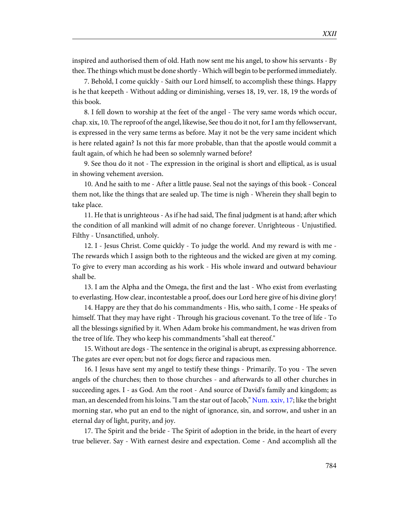inspired and authorised them of old. Hath now sent me his angel, to show his servants - By thee. The things which must be done shortly - Which will begin to be performed immediately.

7. Behold, I come quickly - Saith our Lord himself, to accomplish these things. Happy is he that keepeth - Without adding or diminishing, verses 18, 19, ver. 18, 19 the words of this book.

8. I fell down to worship at the feet of the angel - The very same words which occur, chap. xix, 10. The reproof of the angel, likewise, See thou do it not, for I am thy fellowservant, is expressed in the very same terms as before. May it not be the very same incident which is here related again? Is not this far more probable, than that the apostle would commit a fault again, of which he had been so solemnly warned before?

9. See thou do it not - The expression in the original is short and elliptical, as is usual in showing vehement aversion.

10. And he saith to me - After a little pause. Seal not the sayings of this book - Conceal them not, like the things that are sealed up. The time is nigh - Wherein they shall begin to take place.

11. He that is unrighteous - As if he had said, The final judgment is at hand; after which the condition of all mankind will admit of no change forever. Unrighteous - Unjustified. Filthy - Unsanctified, unholy.

12. I - Jesus Christ. Come quickly - To judge the world. And my reward is with me - The rewards which I assign both to the righteous and the wicked are given at my coming. To give to every man according as his work - His whole inward and outward behaviour shall be.

13. I am the Alpha and the Omega, the first and the last - Who exist from everlasting to everlasting. How clear, incontestable a proof, does our Lord here give of his divine glory!

14. Happy are they that do his commandments - His, who saith, I come - He speaks of himself. That they may have right - Through his gracious covenant. To the tree of life - To all the blessings signified by it. When Adam broke his commandment, he was driven from the tree of life. They who keep his commandments "shall eat thereof."

15. Without are dogs - The sentence in the original is abrupt, as expressing abhorrence. The gates are ever open; but not for dogs; fierce and rapacious men.

16. I Jesus have sent my angel to testify these things - Primarily. To you - The seven angels of the churches; then to those churches - and afterwards to all other churches in succeeding ages. I - as God. Am the root - And source of David's family and kingdom; as man, an descended from his loins. "I am the star out of Jacob," [Num. xxiv, 17;](http://www.ccel.org/study/Bible:Num.24.17) like the bright morning star, who put an end to the night of ignorance, sin, and sorrow, and usher in an eternal day of light, purity, and joy.

17. The Spirit and the bride - The Spirit of adoption in the bride, in the heart of every true believer. Say - With earnest desire and expectation. Come - And accomplish all the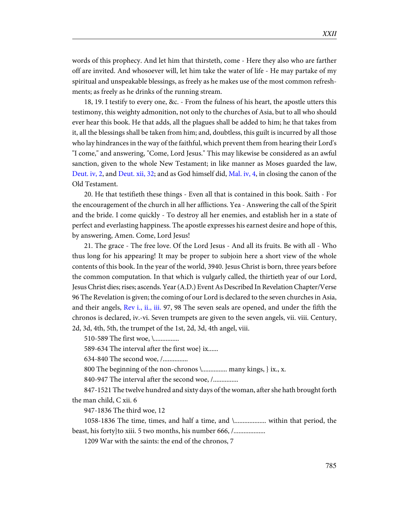18, 19. I testify to every one, &c. - From the fulness of his heart, the apostle utters this testimony, this weighty admonition, not only to the churches of Asia, but to all who should ever hear this book. He that adds, all the plagues shall be added to him; he that takes from it, all the blessings shall be taken from him; and, doubtless, this guilt is incurred by all those who lay hindrances in the way of the faithful, which prevent them from hearing their Lord's "I come," and answering, "Come, Lord Jesus." This may likewise be considered as an awful sanction, given to the whole New Testament; in like manner as Moses guarded the law, [Deut. iv, 2](http://www.ccel.org/study/Bible:Deut.4.2), and [Deut. xii, 32;](http://www.ccel.org/study/Bible:Deut.12.32) and as God himself did, [Mal. iv, 4,](http://www.ccel.org/study/Bible:Mal.4.4) in closing the canon of the Old Testament.

20. He that testifieth these things - Even all that is contained in this book. Saith - For the encouragement of the church in all her afflictions. Yea - Answering the call of the Spirit and the bride. I come quickly - To destroy all her enemies, and establish her in a state of perfect and everlasting happiness. The apostle expresses his earnest desire and hope of this, by answering, Amen. Come, Lord Jesus!

21. The grace - The free love. Of the Lord Jesus - And all its fruits. Be with all - Who thus long for his appearing! It may be proper to subjoin here a short view of the whole contents of this book. In the year of the world, 3940. Jesus Christ is born, three years before the common computation. In that which is vulgarly called, the thirtieth year of our Lord, Jesus Christ dies; rises; ascends. Year (A.D.) Event As Described In Revelation Chapter/Verse 96 The Revelation is given; the coming of our Lord is declared to the seven churches in Asia, and their angels, [Rev i., ii., iii.](http://www.ccel.org/study/) 97, 98 The seven seals are opened, and under the fifth the chronos is declared, iv.-vi. Seven trumpets are given to the seven angels, vii. viii. Century, 2d, 3d, 4th, 5th, the trumpet of the 1st, 2d, 3d, 4th angel, viii.

510-589 The first woe, \................

589-634 The interval after the first woe} ix......

ments; as freely as he drinks of the running stream.

634-840 The second woe, /...............

800 The beginning of the non-chronos \............... many kings, } ix., x.

840-947 The interval after the second woe, /...............

847-1521 The twelve hundred and sixty days of the woman, after she hath brought forth the man child, C xii. 6

947-1836 The third woe, 12

1058-1836 The time, times, and half a time, and \................... within that period, the beast, his forty to xiii. 5 two months, his number 666, /.......................

1209 War with the saints: the end of the chronos, 7